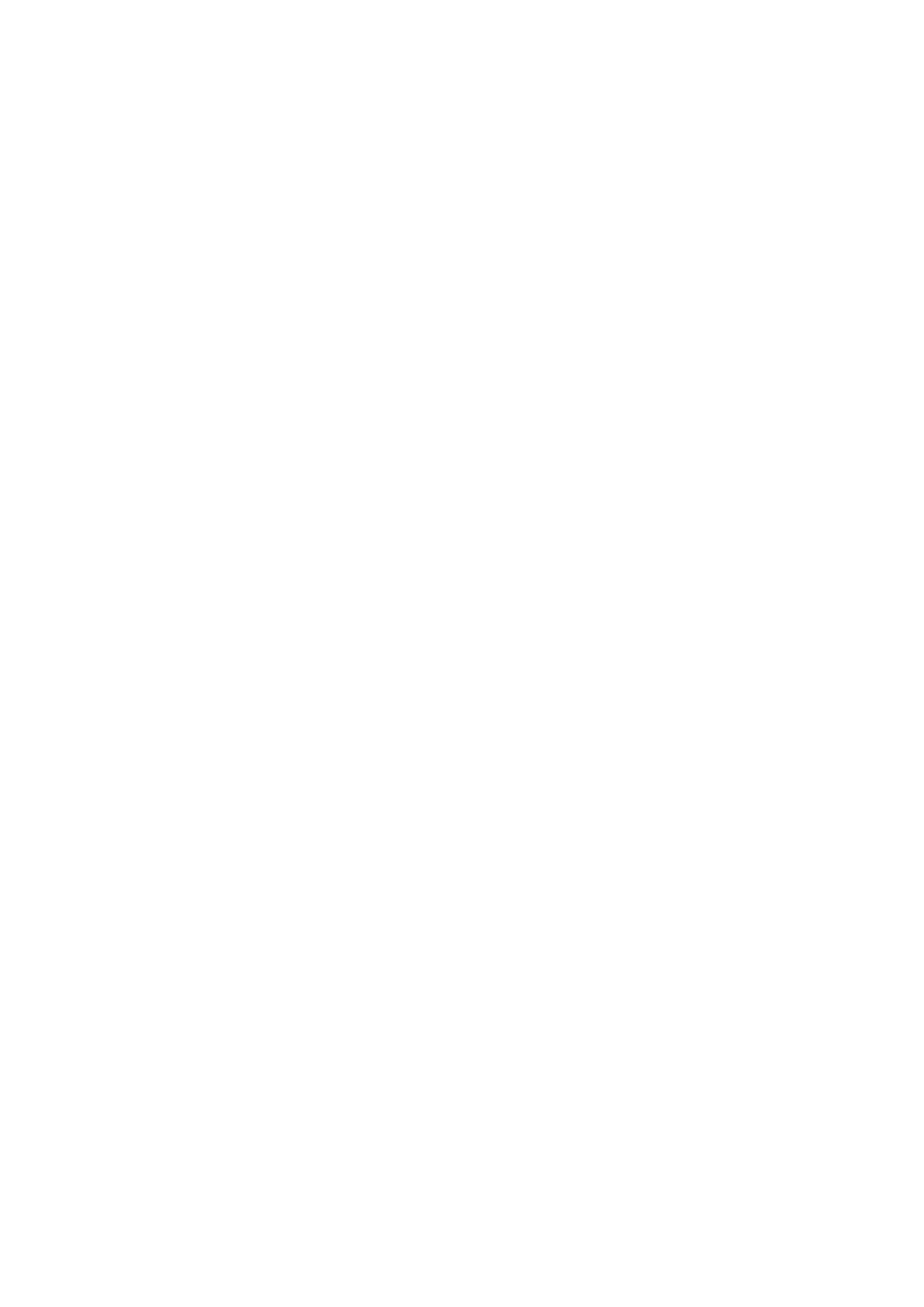# **Register of Cultural Organisations (ROCO)**

Organisations and Funds as of November 2015

## **State: Australian Capital Territory**

| <b>Name</b>                                                                                     | <b>Fund name</b>                                                  |
|-------------------------------------------------------------------------------------------------|-------------------------------------------------------------------|
| <b>ACT Writers Centre Inc</b>                                                                   | <b>ACT Writers Centre Donations Fund</b>                          |
| All Saints Music Group Incorporated                                                             | All Saints Music Group Donation Fund                              |
| Art Monthly Australia Limited                                                                   | Art Monthly Australia Fund                                        |
| Art Song Canberra Inc                                                                           | Art Song Canberra Fund                                            |
| Artists Society of Canberra Incorporated, The                                                   | ASOC - Artists' Development Fund                                  |
| ArtSound Inc                                                                                    | ArtSound Fund                                                     |
| Australian Dance Council - Ausdance Incorporated                                                | Ausdance Fund, The                                                |
| Australian Federation of Friends of Museums Inc                                                 | AFFM Fund, The                                                    |
| Australian Institute for the Conservation of                                                    | <b>AICCM Public fund</b>                                          |
| Australian Institute of Architects Foundation                                                   | Australian Institute of Architects Foundation Fund                |
| Australian National Capital Artists Incorporated                                                | <b>ANCA Donations</b>                                             |
| Australian National Eisteddfod Society Inc                                                      | Australian National Eisteddfod Society Inc Events Fund            |
| Australian Talented Youth Project Incorporated                                                  | ATY Project Gift Fund                                             |
| Australian Tibetan Cultural Organisation, The                                                   | Public Fund for the Australian Tibetan Cultural Organisation, The |
| Belconnen Arts Centre Inc.                                                                      | Belconnen Arts Centre Inc Public Fund                             |
| Canberra Choral Society Inc                                                                     | Canberra Choral Society Fund                                      |
| Canberra Christian Radio Ltd                                                                    | Rhema FM Canberra Trust, The                                      |
| Canberra Contemporary Art Space Inc                                                             | Canberra Contemporary Art Space Inc Donations Fund                |
| Canberra Glassworks Limited                                                                     | <b>Canberra Glassworks Foundation</b>                             |
| Canberra Philharmonic Society Inc                                                               | Canberra Philharmonic Society Donations Account                   |
| Canberra Repertory Society                                                                      | Canberra Repertory Society Fund                                   |
| Canberra Symphony Orchestra Inc                                                                 | Canberra Symphony Orchestra Donations                             |
| Canberra Youth Music Incorporated                                                               | Canberra Youth Music Support Fund                                 |
| Canberra Youth Theatre Company Inc                                                              | Canberra Youth Theatre Youth Arts Fund                            |
| Capital Arts Patrons Organisation Inc                                                           | Capital Arts Patrons Organisation - Donations Account             |
| Community Radio 2XX Incorporated                                                                | Community Radio 2XX Incorporated Donations Fund                   |
| Craft ACT: Craft and Design Centre Incorporated                                                 | Craft ACT: Craft and Design Centre Gift Deductible Account        |
| <b>Cultural Facilities Corporation</b>                                                          | <b>Cultural Facilities Corporation Theatre Donations Account</b>  |
| E V Llewellyn Memorial Fund                                                                     | E V Llewellyn Memorial Fund, The                                  |
| Friends of AAMU, The Museum of Contemporary<br>Aboriginal Art, Utrecht, The Netherlands Limited | Friends of AAMU Public Fund                                       |
| Friends of Chopin Australia Incorporated                                                        | Friends of Chopin Australia Inc Fund                              |
| Friends of the Noel Butlin Archives Inc                                                         | Conservation Fund, The                                            |
| Friends of the School of Music - ANU Inc                                                        | Friends of the School of Music - ANU Inc Public Fund              |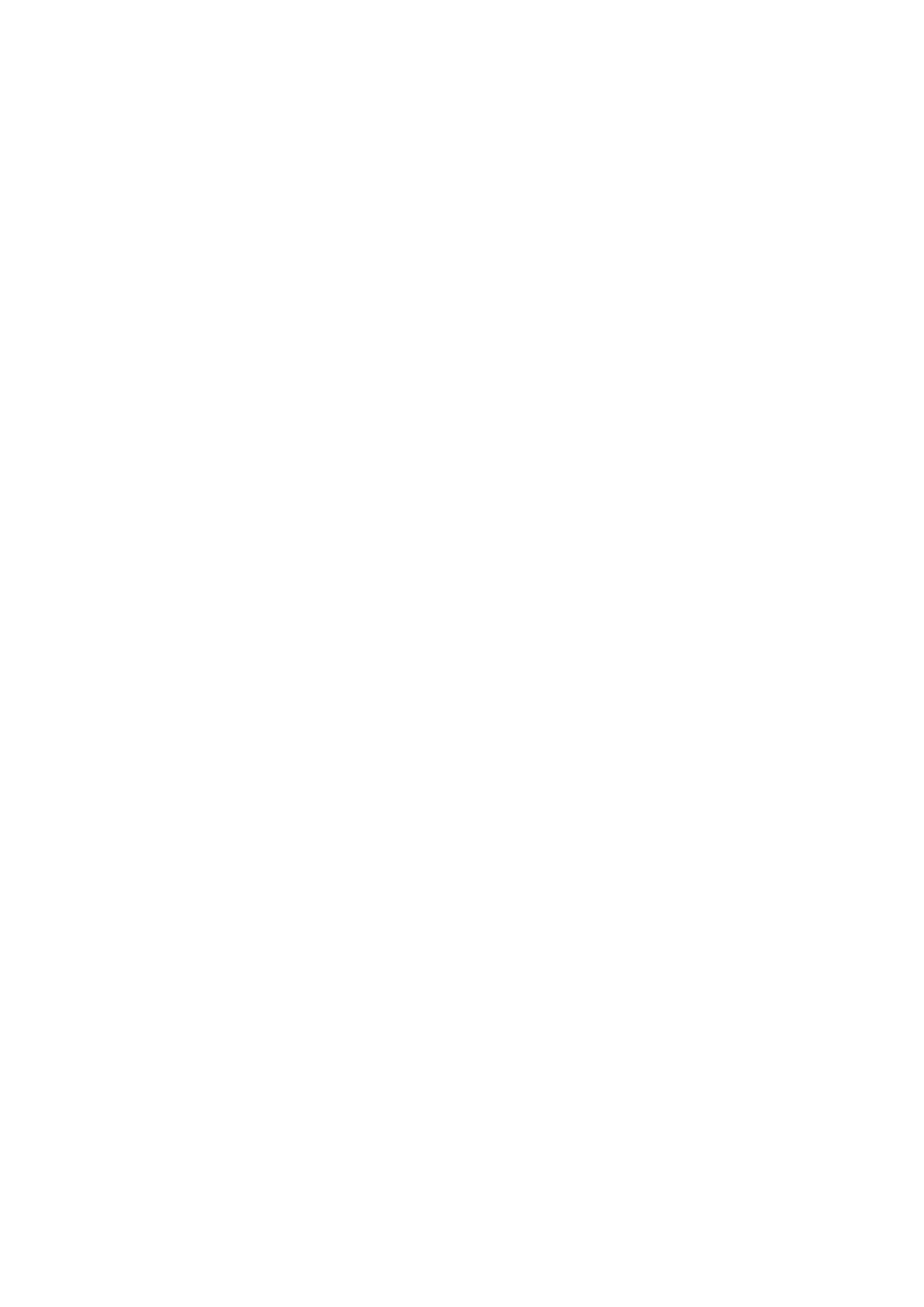| <b>Name</b>                                         | <b>Fund name</b>                                              |
|-----------------------------------------------------|---------------------------------------------------------------|
| Jigsaw Theatre Company Incorporated                 | Jigsaw Theatre Company Public Fund                            |
| Kulture Break                                       | Kulture Break Donation Fund                                   |
| Llewellyn Choir Inc                                 | Llewellyn Choir Public Fund, The                              |
| Manning Clark House Inc                             | Manning Clark House Cultural Fund, The                        |
| Maruki Incorporated                                 | <b>Maruki Association Fund</b>                                |
| Megalo Access Arts Incorporated                     | Megalo Arts Development Fund                                  |
| Museums Australia Inc                               | Museums Australia Fund                                        |
| Music for Everyone Incorporated                     | Music for Everyone Public Fund                                |
| <b>National Folk Festival Ltd</b>                   | National Folk Festival Public Fund                            |
| National Gallery of Australia Foundation            | National Gallery of Australia Foundation Fund                 |
| Oriana Chorale Inc                                  | Oriana Chorale Cultural Fund                                  |
| <b>Oriens Foundation Inc</b>                        | <b>Oriens Foundation Public Gift Fund</b>                     |
| Parish of Manuka Arts Foundation, The               | Parish of Manuka Arts Foundation, The                         |
| Pro Musica Inc.                                     | Pro Musica Public Donation Fund                               |
| QL2 Dance Inc                                       | Australian Choreographic Centre Development Fund, The         |
| Rondanihan Incorporated                             | <b>Rondanihan Arts and Culture Fund</b>                       |
| Salut! Baroque Inc                                  | Salut! Baroque Fund                                           |
| Spanish Heritage Foundation                         | Spanish Heritage Foundation Fund                              |
| Stagemaster Inc (trading as The Street Theatre)     | <b>Street Theatre Donations Account, The</b>                  |
| Tuggeranong Community Arts Association Incorporated | Tuggeranong Community Arts Association Inc - Public Gift Fund |
| Warehouse Circus Incorporated                       | <b>Warehouse Circus Donation Fund</b>                         |
| <b>Wesley Music Foundation</b>                      | <b>Wesley Music Foundation</b>                                |
| Woden Valley Youth Choir Inc                        | Woden Valley Youth Choir Trust                                |
| <b>Writing Australia</b>                            | Writing Australia Ltd                                         |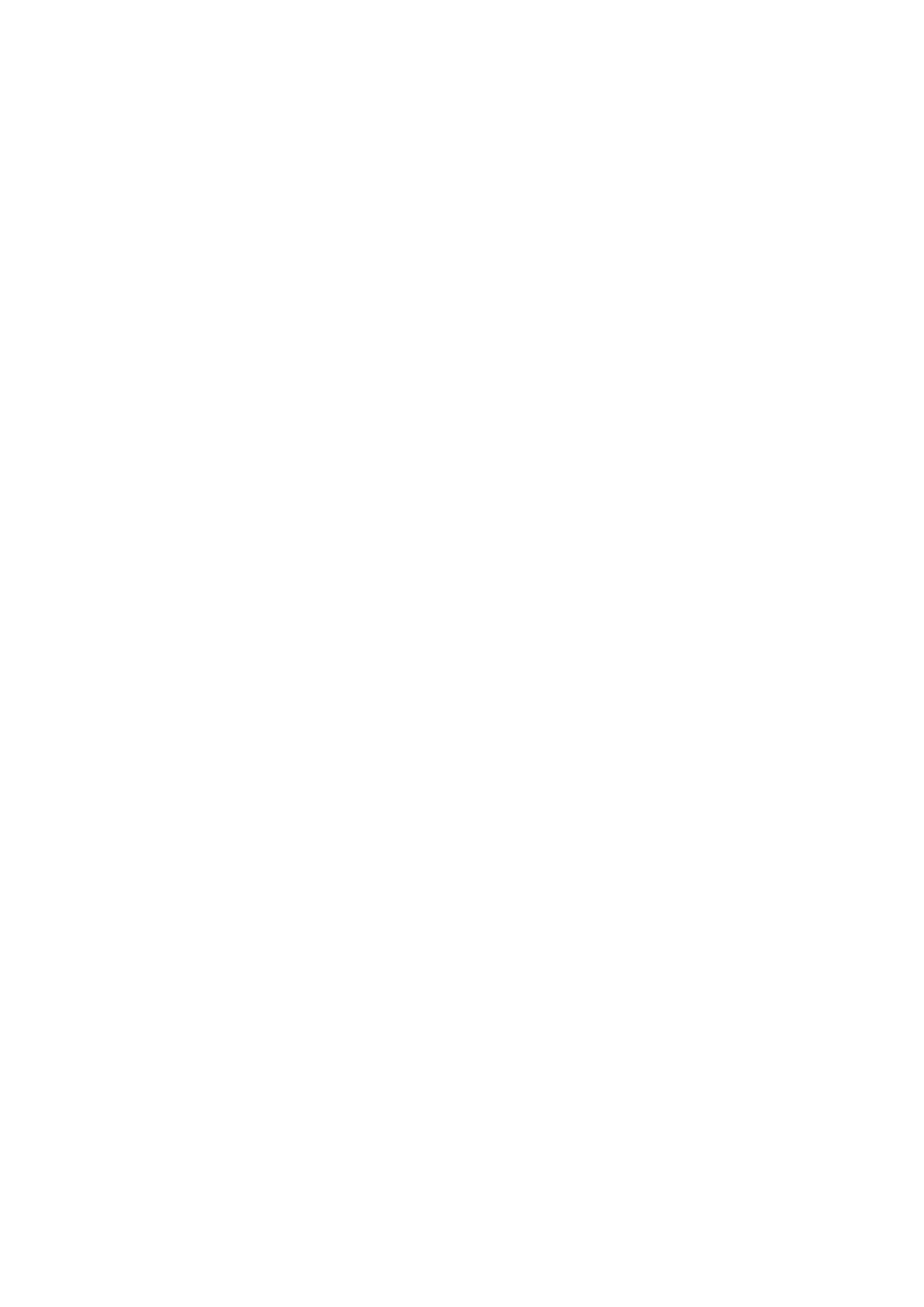## **State: New South Wales**

| <b>Name</b>                                              | <b>Fund name</b>                                             |
|----------------------------------------------------------|--------------------------------------------------------------|
| <b>&amp;company Foundation Limited</b>                   | <b>&amp;company Foundation Public Fund</b>                   |
| 107 Projects Incorporated                                | 107 Projects Inc Public Fund                                 |
| Aboriginal Dance Theatre Redfern Inc                     | Aboriginal Dance Theatre Redfern Donation Account            |
| Aboriginal Men's Learning Circle Incorporated            | Aboriginal Men's Learning Circle - Gift Account              |
| Acting Factory Inc, The                                  | Acting Factory Inc Donations Fund, The                       |
| Actors' Forum Incorporated, The                          | Actors' Forum Donation Account, The                          |
| Adventist Media Network Cultural Trust                   | Adventist Media Network Cultural Trust                       |
| Aerialize, Sydney Aerial Theatre Incorporated            | Aerialize - Public Fund                                      |
| Albury Wodonga Theatre Company Inc                       | Albury Wodonga Theatre Company                               |
| Alistair Hulett Memorial Fund Incorporated               | Alistair Hulett Memorial Fund Inc                            |
| Aloysie Second Chance Incorporated                       | Aloysie Second Chance Donations Fund, The                    |
| AMF Australia Foundation, The                            | AMF Australia Foundation Fund, The                           |
| <b>Arcadians Theatre Group</b>                           | Arcadians Theatre Group Public Fund                          |
| Areopagus Trust                                          | Areopagus Trust Gift Fund, The                               |
| Armidale City Band Incorporated                          | <b>ACB Donations Fund</b>                                    |
| Armidale Eisteddfod Society Incorporated                 | <b>Eisteddfod Donations Fund</b>                             |
| Ars Musica (trading as Ars Musica Australis)             | <b>Ars Musica</b>                                            |
| Art Gallery Society of New South Wales                   | Art Gallery Society of New South Wales                       |
| Art Incubator Ltd                                        | Art Incubator Ltd                                            |
| Arts Education Foundation Trust, The                     | Arts Education Foundation, The                               |
| Arts Mid North Coast Incorporated                        | Arts Mid North Coast Inc Public Fund                         |
| Arts North West Incorporated                             | Arts North West Public Fund                                  |
| Arts Northern Rivers Incorporated                        | Arts Northern Rivers Public Fund                             |
| Arts Outwest Incorporated                                | Arts Outwest Cultural Fund                                   |
| ArtsAbout Pty Ltd                                        | ArtsAbout Pty Ltd Arts Fund                                  |
| ARTSONGnsw Incorporated                                  | ARTSONGnsw Scholarship and Education Fund                    |
| Artspace Visual Arts Centre Ltd                          | Artspace (Donations)                                         |
| Asia Australian Artists Association Inc                  | <b>AAAA Inc Fund</b>                                         |
| Association for the Study of Australian Literature       | <b>ASAL Public Fund</b>                                      |
| Association of NSW Regional Conservatoriums Incorporated | Association of NSW Regional Conservatoriums Donations Fund   |
| Association of Tongan Arts and Culture Inc               | Association of Tongan Arts and Culture Public Fund, The      |
| Aurora Community Television Arts Foundation              | Aurora Community Television Arts Foundation                  |
| Aurora New Music Inc                                     | Aurora New Music Gift Fund                                   |
| Australia Council                                        | Australia Council Donations Fund                             |
| Australia Indonesia Arts Alliance Inc                    | AIAA Public Art Fund                                         |
| Australia-Japan National Federation Cultural Trust       | Australia-Japan National Federation Cultural Trust Gift Fund |
| Australian Architecture Association Incorporated         | Australian Architecture Association Fund                     |
| Australian Art Events Foundation                         | Australian Art Events Foundation Donation Fund               |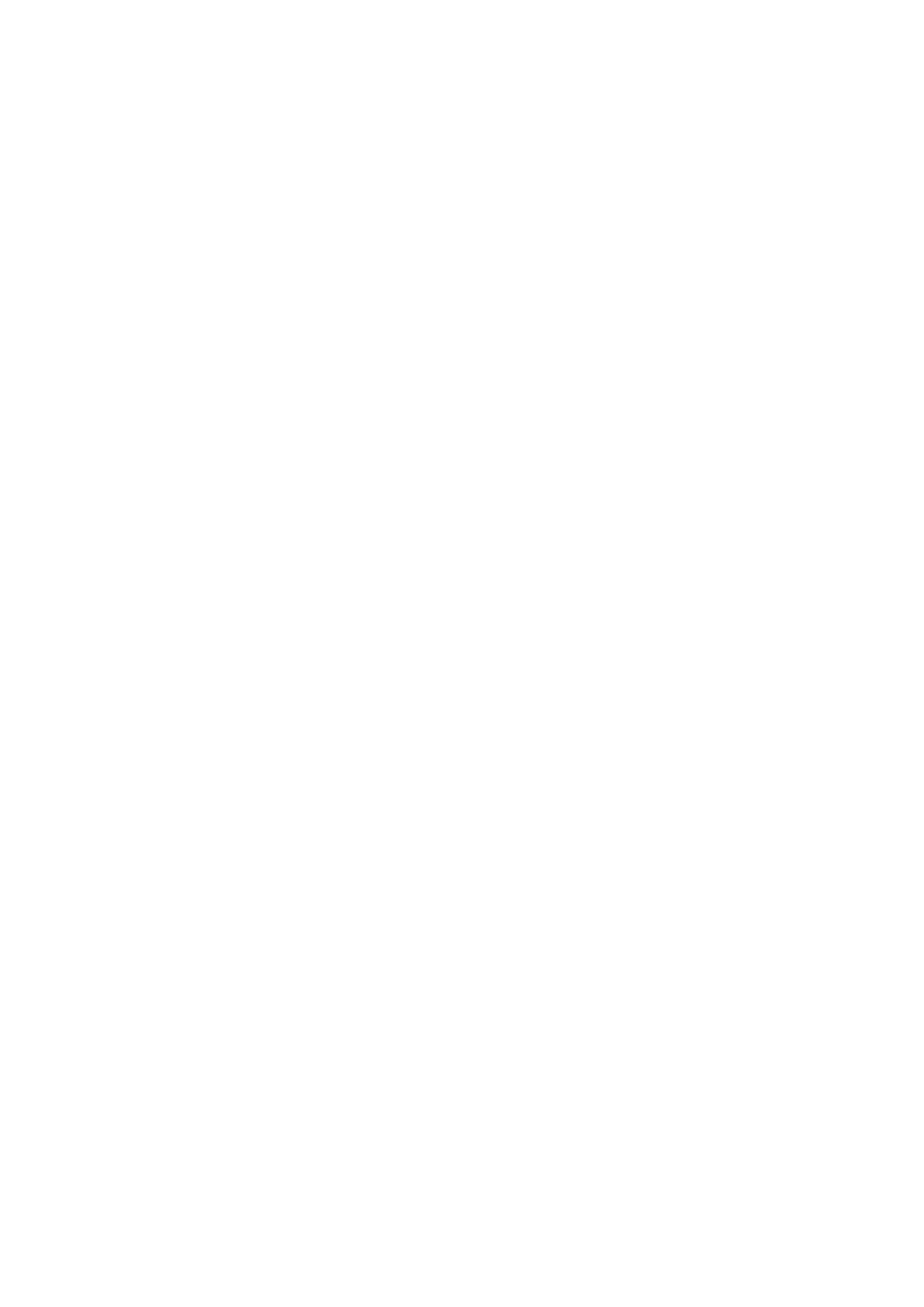| <b>Name</b>                                                            | <b>Fund name</b>                                                                     |
|------------------------------------------------------------------------|--------------------------------------------------------------------------------------|
| <b>Australian Arts Trust</b>                                           | <b>Australian Arts Trust</b>                                                         |
| Australian Celtic Arts Fund Incorporated                               | Australian Celtic Arts Fund Inc                                                      |
| Australian Centre for Photography Ltd, The                             | Lux: The Australian Centre for Photography Foundation                                |
| Australian Chamber Orchestra Pty Limited                               | Australian Chamber Orchestra Pty Limited, The                                        |
| Australian Chinese Performing Artist's Association<br>Incorporated     | <b>ACPAA Donations Fund</b>                                                          |
| Australian Classical Era Orchestra Limited                             | Australian Classical Era Orchestra Fund                                              |
| Australian College of Entertainment Incorporated                       | <b>ACE Development Fund</b>                                                          |
| Australian Dance Council - Ausdance NSW Incorporated                   | Ausdance (NSW) Fund, The                                                             |
| Australian Dance Vision Company Limited                                | <b>Australian Dance Vision Fund</b>                                                  |
| Australian Design Centre                                               | Object Development Fund                                                              |
| Australian Elizabethan Theatre Trust                                   | Australian Elizabethan Theatre Trust                                                 |
| Australian Fashion Chamber Ltd                                         | Australian Fashion Chamber Ltd AFC Donations                                         |
| Australian Film Television and Radio School                            | Australian Film Television and Radio School Donations Fund                           |
| Australian Haydn Ensemble Incorporated, The                            | Australian Haydn Ensemble Public Fund                                                |
| Australian Heritage Dancers Inc                                        | Australian Heritage Dancers Donations Account                                        |
| Australian Hindu Educational & Cultural Society Inc                    | Rossmore Arts Building Fund                                                          |
| Australian Historical Performance Initiative Incorporated              | <b>AHPI Donation Fund</b>                                                            |
| Australian Institute of Asian Culture and Visual Arts Ltd<br>(VisAsia) | VisAsia Public Fund                                                                  |
| Australian Lebanese Historical Society Incorporated                    | Australian Lebanese Historical Society Cultural Fund                                 |
| Australian Music Centre Ltd                                            | Australian Music Centre Fund, The                                                    |
| Australian National Association of Teachers of Singing<br>Limited      | Australian National Association of Teachers of Singing Limited<br><b>Public Fund</b> |
| Australian National Maritime Foundation                                | Australian National Maritime Foundation Public Fund                                  |
| Australian Opera Auditions Committee Inc                               | Australian Opera Auditions Committee Inc                                             |
| Australian Performance Exchange Incorporated                           | Public Fund of Australian Performance Exchange Inc                                   |
| Australian Rock Company Ltd                                            | ARC 'Rock & Roll Fund'                                                               |
| Australian Society of Archivists Incorporated                          | Australian Society of Archivists Public Fund Account Ltd                             |
| Australian Society of Authors Ltd                                      | Australian Society of Authors Endowment Fund, The                                    |
| Australian String Academy Incorporated                                 | Australian String Academy Inc Gift Fund                                              |
| Australian Theatre for Young People                                    | <b>ATYP Deductible Gift Account</b>                                                  |
| Australian Theatre of the Deaf Ltd                                     | Australian Theatre of the Deaf Donations Fund                                        |
| Australian Tibetan Society Cultural Fund                               | Australian Tibetan Society Cultural Fund                                             |
| Australian Trio                                                        | Australian Trio Fund, The                                                            |
| Australian Turkish Mutual Alliance Trust                               | <b>ATMA Donations Fund</b>                                                           |
| Australian Violin Ensemble Inc                                         | Australian Violin Ensemble Cultural Fund                                             |
| Australian Writers Foundation Limited, The                             | Australian Writers Foundation Donations Fund, The                                    |
| Australian Writers' Guild Ltd                                          | Australian Writers' Guild Donations Fund                                             |
| Australian Youth Orchestra                                             | Australian Youth Orchestra Donations Trust                                           |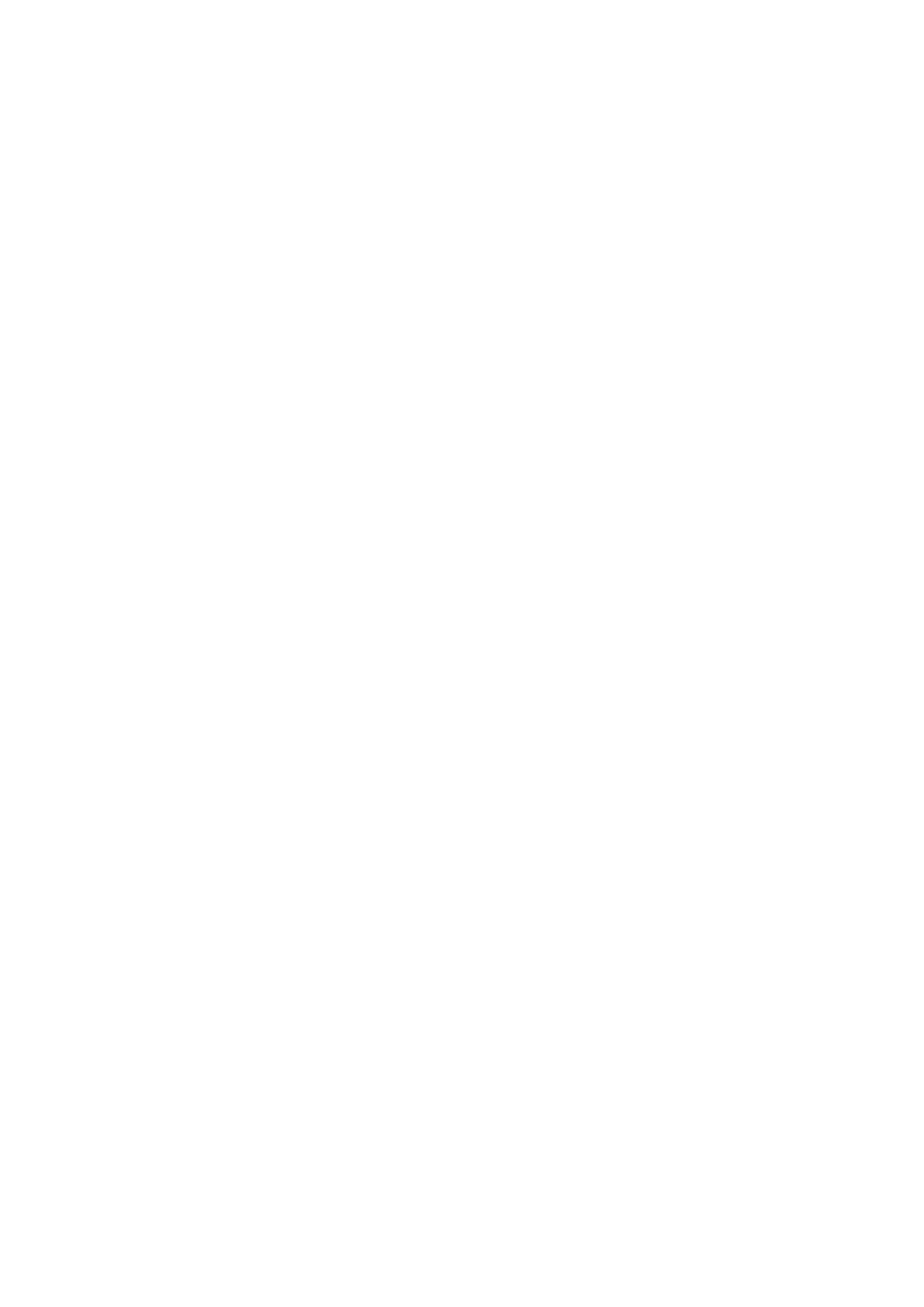| <b>Name</b>                                                                 | <b>Fund name</b>                                                              |
|-----------------------------------------------------------------------------|-------------------------------------------------------------------------------|
| Australiana Society Inc                                                     | <b>Australiana Donations Fund</b>                                             |
| Australia's Magna Carta Institute Incorporated                              | Australia Magna Carta Public Fund                                             |
| austraLYSIS Productions Inc                                                 | austraLYSIS Productions Public Fund                                           |
| Bald Face Music and Creative Arts Association Inc                           | <b>Bald Face Music and Creative Arts Fund</b>                                 |
| Bangalow Cultural Development Foundation Inc                                | Bangalow Cultural Development Foundation Donations Fund, The                  |
| Bangarra Dance Theatre Australia Ltd                                        | Bangarra Dance Theatre Australia Limited Fund                                 |
| Bankstown Youth Development Service Inc                                     | Bankstown Youth Development Service Incorporated Arts<br><b>Donation Fund</b> |
| Baragoola Preservation Association Incorporated                             | Baragoola Preservation Association Incorporated                               |
| Bathurst Christian Broadcasters Incorporated                                | Bathurst Christian Broadcasters Inc Fund                                      |
| Bay FM Community Radio Inc                                                  | Bay FM Public Fund                                                            |
| Bay Theatre Players Inc                                                     | Eurobodalla Shire Performing Arts Centre Fund                                 |
| Bell Shakespeare Company Limited                                            | Bell Shakespeare Company Fund                                                 |
| Bellingen Community Arts Council Inc                                        | Bellingen Art Prize Fund                                                      |
| <b>Bellingen Music Association Incorporated</b>                             | <b>Bellingen Music Association Public Fund</b>                                |
| <b>Belvoir Street Theatre Ltd</b>                                           | <b>Belvoir Street Ltd Theatre Fund</b>                                        |
| Bembeya Music Incorporated                                                  | Bembeya Music Inc Public Fund                                                 |
| Biennale of Sydney Ltd                                                      | Biennale of Sydney Ltd                                                        |
| Blackheath Rhodedendron Festival Inc                                        | Blackheath Rhodedendron Festival Public Fund                                  |
| <b>Blake Society Limited</b>                                                | Blake Society Limited Donations Account, The                                  |
| Blue Mountains City of the Arts Trust                                       | Blue Mountains City of the Arts Trust                                         |
| <b>Blue Mountains Concert Band Inc</b>                                      | <b>Blue Mountains Concert Band Public Fund</b>                                |
| Bochasanwasi Shri Akshar-Purushottam Swaminarayan<br>Sanstha Cultural Trust | <b>BAPS Cultural Fund</b>                                                     |
| Boolarng Nangamai Aboriginal Corporation                                    | Boolarng Nangamai Aboriginal Corporation Gift Fund                            |
| Border Music Camp Incorporated                                              | Border Music Camp Incorporated Public Fund                                    |
| Botanical Art Society of Australia Inc                                      | <b>Australian Botanical Art Fund</b>                                          |
| Bowral & District Art Society Inc                                           | Bowral & District Art Society Inc Donation Fund                               |
| <b>Bowraville Arts Council Inc</b>                                          | <b>Bowraville Theatre Fund</b>                                                |
| Brackets & Jam Central Coast Inc                                            | Brackets & Jam - Public Fund                                                  |
| Braidwood Regional Arts Group Inc                                           | Braidwood Regional Arts Groups Inc Public Fund                                |
| <b>Brand X Productions Incorporated</b>                                     | Brand X Productions Incorporated Donations Fund                               |
| Brandenburg Ensemble Ltd                                                    | Brandenburg Ensemble Limited                                                  |
| <b>Brandenburg Foundation Limited</b>                                       | <b>Brandenburg Foundation</b>                                                 |
| Brandenburg Friends Incorporated                                            | Brandenburg Friends' Public Fund                                              |
| Break-A-Leg Incorporated                                                    | Break-A-Leg Incorporated                                                      |
| Broughton Anglican College Music Foundation                                 | Broughton Anglican College Music Foundation Donations Fund                    |
| <b>Bundanon Trust</b>                                                       | <b>Bundanon Cultural Fund</b>                                                 |
| C3 Church Sydney Cultural Fund                                              | C3 Church Sydney Cultural Trust Fund                                          |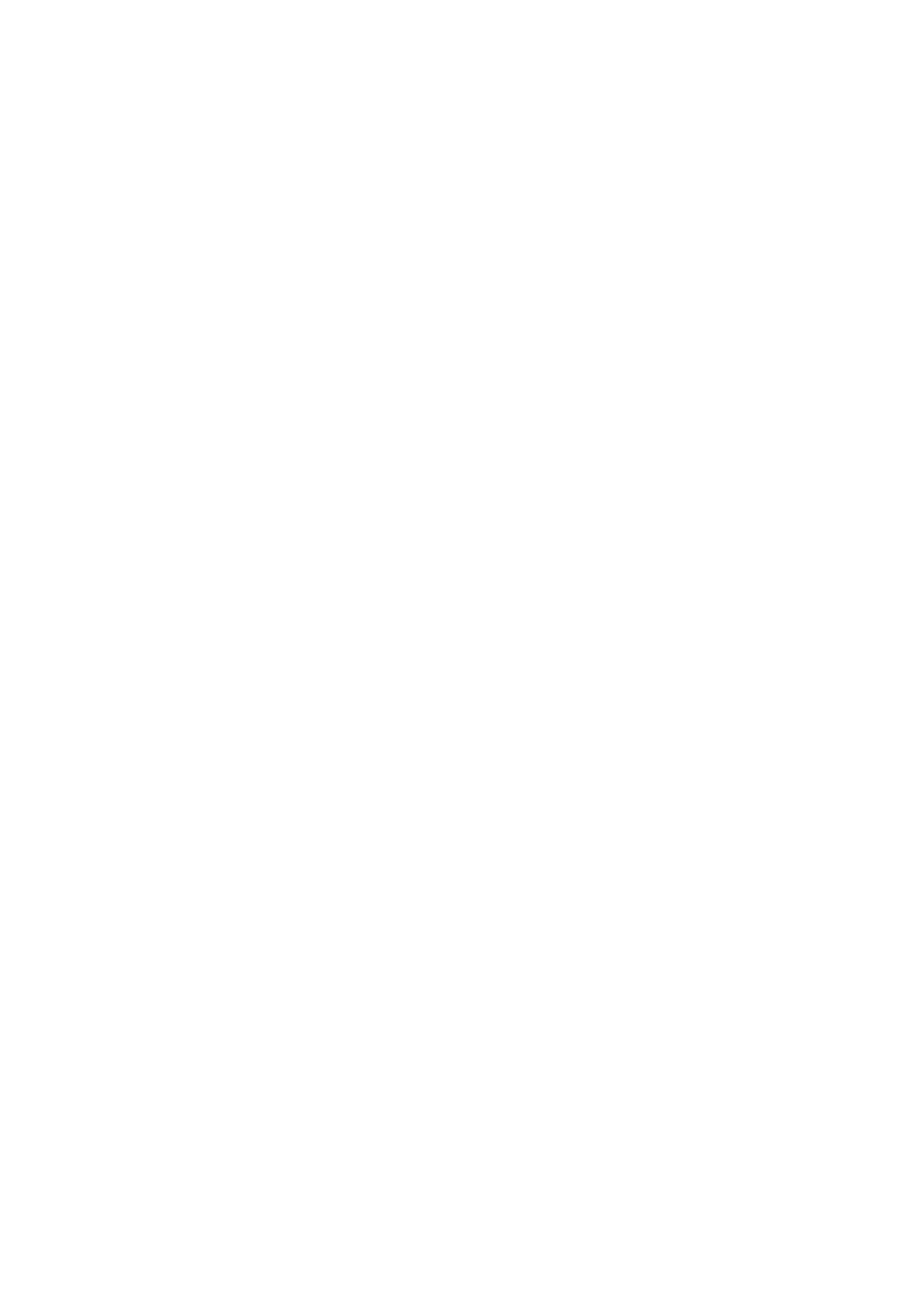| <b>Name</b>                                                                 | <b>Fund name</b>                                            |
|-----------------------------------------------------------------------------|-------------------------------------------------------------|
| Camden Haven Arts Council Inc                                               | Camden Haven Arts Council Inc Public Fund                   |
| Camden Haven Music Inc                                                      | <b>CHMF Inc Public Fund</b>                                 |
| Campsie Cultural Centre Arts Trust                                          | Campsie Cultural Centre Arts Trust Fund                     |
| Carriageworks Limited                                                       | Carriageworks Limited Donations Account                     |
| Cathedral Singers Inc                                                       | Cathedral Singers Donations Fund, The                       |
| <b>Catholic Mission Cultural Trust</b>                                      | <b>Catholic Mission Cultural Trust Public Fund</b>          |
| Central Coast Conservatorium Inc                                            | Central Coast Conservatorium Development Fund               |
| Chado Urasenke Tankokai Sydney Association Inc.                             | Chado Urasenke Tankokai Sydney Association Inc.             |
| Chalk Urban Art Incorporated                                                | Chalk Urban Art Incorporated - Public Fund                  |
| Children's Book Council of Australia Awards Foundation                      | Children's Book Council of Australia Awards Foundation, The |
| Children's Festival Organisation Inc                                        | Children's Festival Gift Fund, The                          |
| Chinese Cultural Centre (NSW)                                               | Chinese Cultural Centre (NSW) Arts Fund                     |
| Christ Church Camerata Inc.                                                 | Christ Church Camerata Inc. Donations Fund                  |
| Christ Church St Ives Music and Arts Trust                                  | Christ Church St Ives Music and Arts Trust                  |
| Christian Youth Channel Now (CYCNOW)                                        | Christian Youth Channel (CYCNOW) Cultural Fund              |
| Church by the Bridge Music and the Arts                                     | Church by the Bridge Music and the Arts Public Fund         |
| Cicada International Inc                                                    | Cicada International Public Fund                            |
| City of Wollongong Eisteddfod Inc                                           | Wollongong Eisteddfod Donations Account                     |
| Civic Place Trust                                                           | Civic Place Trust Fund                                      |
| Cladan Cultural Exchange Institute of Australia                             | Cladan Cultural Exchange Institute of Australia Fund        |
| Clarence Valley Christian Broadcasters Incorporated (T/A<br>Rhema FM 103.1) | Clarence Valley Christian Broadcasters Inc. Public Fund     |
| Clarence Valley Conservatorium Incorporated                                 | Clarence Valley Conservatorium Donations Fund               |
| Classical Guitar Society, Sydney Incorporated                               | <b>CGS Public Fund</b>                                      |
| <b>CMTV Australia Ltd</b>                                                   | CMTV Gift Fund 1                                            |
| Coffs Coast Community Radio Incorporated                                    | 2Air Building & Maintenance Fund                            |
| Coffs Harbour City Council Cultural Trust                                   | Coffs Harbour Cultural Donations Fund                       |
| Coffs Harbour Regional Conservatorium                                       | Coffs Harbour Regional Conservatorium Donations Fund        |
| Coffs Harbour Regional Conservatorium Incorporated                          | Coffs Harbour Regional Conservatorium Donation Fund         |
| Community Arts and Adult Education Centre of Newcastle<br>Ltd               | Newcastle Community Arts Centre Public Fund, The            |
| Community Broadcasting Association of Australia Limited                     | <b>CBAA Public Fund</b>                                     |
| Community Television Association of Australia Inc                           | <b>Community Television Development Fund</b>                |
| Company B Ltd                                                               | <b>Company B Theatre Foundation</b>                         |
| Conservatorium High Association of Old Students<br>Incorporated             | <b>CHAOS Donation Fund</b>                                  |
| Cootamundra Community Arts Trust                                            | Cootamundra Creative Arts Trust Public Fund                 |
| Coro Innominata Incorporated                                                | Coro Innominata Donations Fund                              |
| Cowra Japanese Garden and Cultural Centre Limited                           | Cowra Japanese Garden and Cultural Centre Public Fund       |
| Craven Creek Music Association Incorporated                                 | Craven Creek Music Association Incorporated Public Fund     |
| Critical Path Incorporated                                                  | <b>Critical Path Inc Donations Account</b>                  |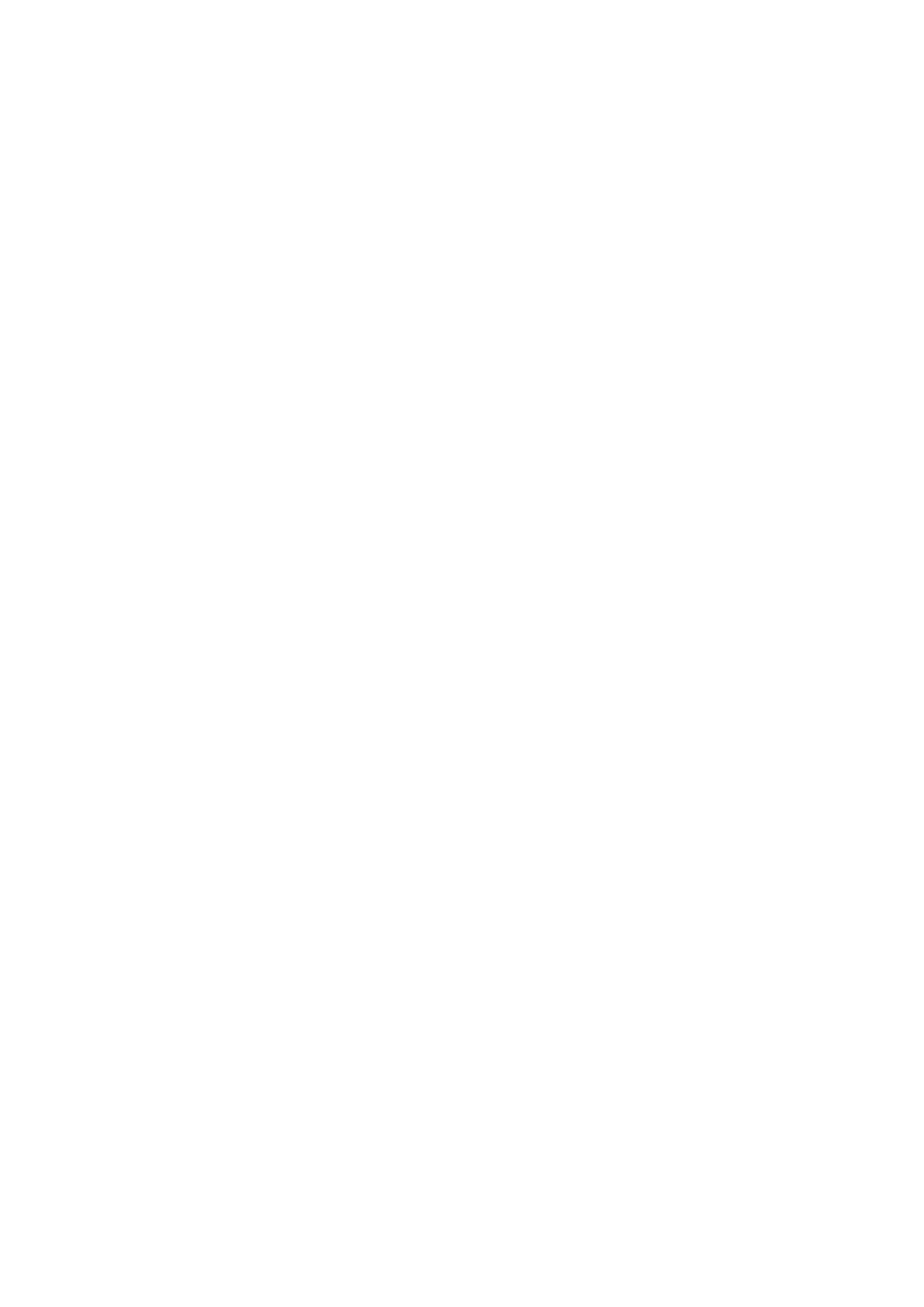| <b>Name</b>                                          | <b>Fund name</b>                                                                |
|------------------------------------------------------|---------------------------------------------------------------------------------|
| <b>Critical Stages</b>                               | <b>Critical Stages Public Fund</b>                                              |
| Croc Festival Foundation                             | <b>Croc Festival Foundation Public Fund</b>                                     |
| <b>Cultural Dissent</b>                              | <b>Cultural Dissent Alternative Culture Fund</b>                                |
| Curious Works Incorporated                           | <b>Curious Works Arts Fund</b>                                                  |
| Currency House Incorporated                          | Currency House Inc Arts Fund                                                    |
| DamShel Productions Incorporated                     | DamShel Productions Incorporated Public Fund                                    |
| Darlinghurst Theatre Limited                         | Darlinghurst Theatre Trust Account                                              |
| De Quincey Company Limited                           | De Quincey Company Arts Fund                                                    |
| Dhammakaya Cultural Trust                            | Dhammakaya Cultural Fund                                                        |
| Dictionary of Sydney Inc                             | Dictionary of Sydney Inc Donations Fund                                         |
| Dictionary of Sydney Trust                           | Dictionary of Sydney Trust Donations Fund                                       |
| DiDimSori Incorporated                               | DiDimSori Fund                                                                  |
| DirtyFeet Limited                                    | DirtyFeet Limited Public Fund                                                   |
| dLux Media Arts                                      | dLux Media Arts                                                                 |
| Documentary Australia Foundation                     | Documentary Australia Foundation Donations Fund                                 |
| Documentary Foundation Inc                           | Documentary Foundation Fund                                                     |
| Dorothea Mackellar Memorial Society Inc              | Dorothea Mackellar Memorial Society Fund                                        |
| Dubbo Artz Incorporated                              | Dubbo Artz Inc - Public Fund Account                                            |
| Dubbo Christian Broadcasters Inc                     | Dubbo Christian Broadcasters trading as Radio Rhema Dubbo -<br>Development Fund |
| Dutch Australian Cultural Centre Ltd                 | Dutch Australian Centre Gift Fund                                               |
| Early Music Association of New South Wales Inc       | Early Music Association of NSW Fund                                             |
| East Coast Theatre Company Ltd                       | East Coast Theatre Company Ltd Trust Account                                    |
| East-West Philharmonic Orchestra Inc                 | East-West Philharmonic Orchestra Foundation                                     |
| <b>Edge Productions Inc</b>                          | <b>Edge Productions Donations Fund</b>                                          |
| Ekta Mandir Incorporated                             | Ekta Mandir Inc                                                                 |
| <b>Eleanor Dark Foundation</b>                       | Varuna - A Writers' Centre Fund                                                 |
| Emanuel Synagogue Cultural Fund                      | Emanuel Synagogue Cultural Fund                                                 |
| Emu Music Australia Inc                              | <b>Emu Music Donations Fund</b>                                                 |
| <b>Endeavour Harmony Chorus Inc</b>                  | Endeavour Harmony Chorus Music Fund                                             |
| Ensemble Limited                                     | Ensemble Limited                                                                |
| Ensemble Offspring Ltd                               | Ensemble Offspring Ltd                                                          |
| <b>Ensemble Productions Pty Ltd</b>                  | Ensemble Productions Pty Ltd Theatre Fund                                       |
| <b>Ensemble Theatre Foundation</b>                   | Ensemble Theatre Foundation - Public Fund                                       |
| Epicentre Theatre Company Inc                        | Epicentre Theatre Company Donations Fund                                        |
| Eramboo World Studies Centre Pty Ltd                 | Eramboo Public Fund                                                             |
| Euraba Paper Aboriginal Corporation                  | Place of Healing and Culture Fund                                               |
| Eurobodalla Saint Cecilia Music Scholarship Inc      | Saint Cecilia Scholarship Fund                                                  |
| Federated Music Clubs of Australia - NSW Council Inc | Promoting And Training In Music (PATIM) Fund                                    |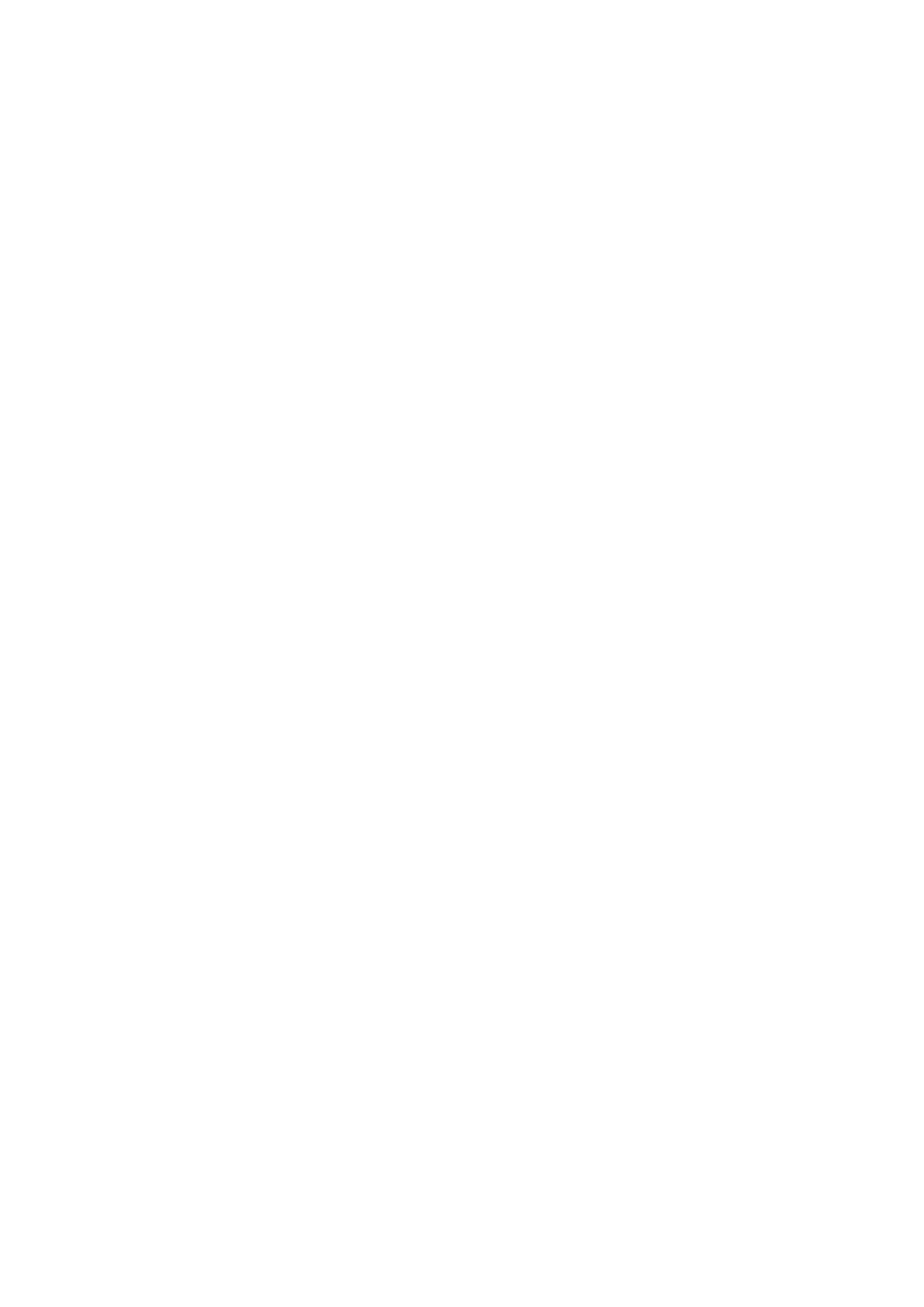| <b>Name</b>                                                                      | <b>Fund name</b>                                                                          |
|----------------------------------------------------------------------------------|-------------------------------------------------------------------------------------------|
| <b>Felix Foundation</b>                                                          | <b>Felix Foundation Public Fund</b>                                                       |
| Fellowship of Australian Writers NSW Inc                                         | FAW (NSW) Public Fund                                                                     |
| Fiji Indian Social and Cultural Association of Australia                         | <b>FISCAA Arts Fund</b>                                                                   |
| Fling Physical Theatre Incorporated                                              | Fling Physical Theatre Public Trust Fund                                                  |
| Folk Federation of New South Wales Incorporated                                  | <b>Folk Federation Public Fund</b>                                                        |
| Footlice Theatre Company Inc                                                     | Footlice Theatre Company Inc Donations Trust Account                                      |
| Force Majeure                                                                    | Force Majeure Public Fund                                                                 |
| Form Dance Projects Incorporated                                                 | Form Dance Projects Donations Fund                                                        |
| Four Winds Concerts Incorporated                                                 | Four Winds Public Account Fund                                                            |
| Free Broadcast Incorporated                                                      | <b>Fbi Donations Fund</b>                                                                 |
| Friends of Balmain Library Incorporated                                          | Friends of Balmain Library Inc Donations Account                                          |
| <b>Friends of Newcastle Cathedral Music</b>                                      | Friends of Newcastle Cathedral Music Trust Fund                                           |
| Friends of the Hawkesbury Art Community and Regional                             | Friends of the Hawkesbury Art Community and Regional Gallery                              |
| Gallery Incorporated<br>Friends of the Manning Regional Art Gallery Incorporated | <b>Inc Donations Account</b><br>FOG's Arts Fund                                           |
| Friends of the National Art School Inc                                           | Friends of the National Art School Public Fund                                            |
| Friends of the Young Drums Inc                                                   | Friends of the Young Drums Donations Fund                                                 |
| From Mozart to Madonna Inc                                                       | <b>MO2MA Donations Fund</b>                                                               |
| Frontline Film Foundation Incorporated                                           | Frontline Film Foundation Fund                                                            |
| Furniture History Society (Australasia) Inc                                      | Furniture History Society Donations Fund                                                  |
| Futa Helu Performing Arts and Culture Inc                                        | Futa Helu Performing Arts and Culture Inc                                                 |
| Gadigal Information Service Aboriginal Corporation                               | Gadigal Information Service Aboriginal Gift Fund, The                                     |
| Gangga Marrang Cultural Indigenous Corporation                                   | Gangga Marrang Public Fund                                                                |
| Ganggalah Aboriginal Arts Incorporated                                           | Ganggalah Aboriginal Arts Fund                                                            |
| Garage Hymnal Incorporated                                                       | Garage Hymnal Inc Cultural Fund                                                           |
| Garigal Community Performing Arts Society Inc                                    | Garigal Community Performing Arts Society Inc - Public Fund<br>Account                    |
| <b>Geraldine Pascall Pty Ltd</b>                                                 | <b>Geraldine Pascall Foundation</b>                                                       |
| Gondwana Choirs                                                                  | Gondwana Choirs Public Fund                                                               |
| Good News Broadcasting Association Cultural Trust                                | Good News Broadcasting Association Cultural Trust                                         |
| <b>Gosford Christian Broadcasters Limited</b>                                    | Gosford Christian Broadcasters Limited T/A Rhema FM Central<br><b>Coast Donation Fund</b> |
| Gosford City Brass Band Incorporated                                             | Gosford City Brass Band Public Fund                                                       |
| Goulburn Eisteddfod Society Inc                                                  | Goulburn Eisteddfod Society Public Fund                                                   |
| Goulburn Liedertafel Inc                                                         | Goulburn Liedertafel Theatre Donation Fund, The                                           |
| Goulburn Regional Conservatorium Incorporated                                    | Goulburn Regional Conservatorium Donations Fund                                           |
| <b>Grainger Quartet Incorporated</b>                                             | Grainger Quartet Inc Public Gift Fund                                                     |
| Grays Point Christian Music Promotion Trust                                      | Grays Point Christian Music Promotion Trust                                               |
| Great Lakes Art Society Incorporated                                             | Great Lakes Art Society Incorporated Building Fund                                        |
| <b>Griffin Theatre Company Limited</b>                                           | Griffin Theatre Company Donations Fund, The                                               |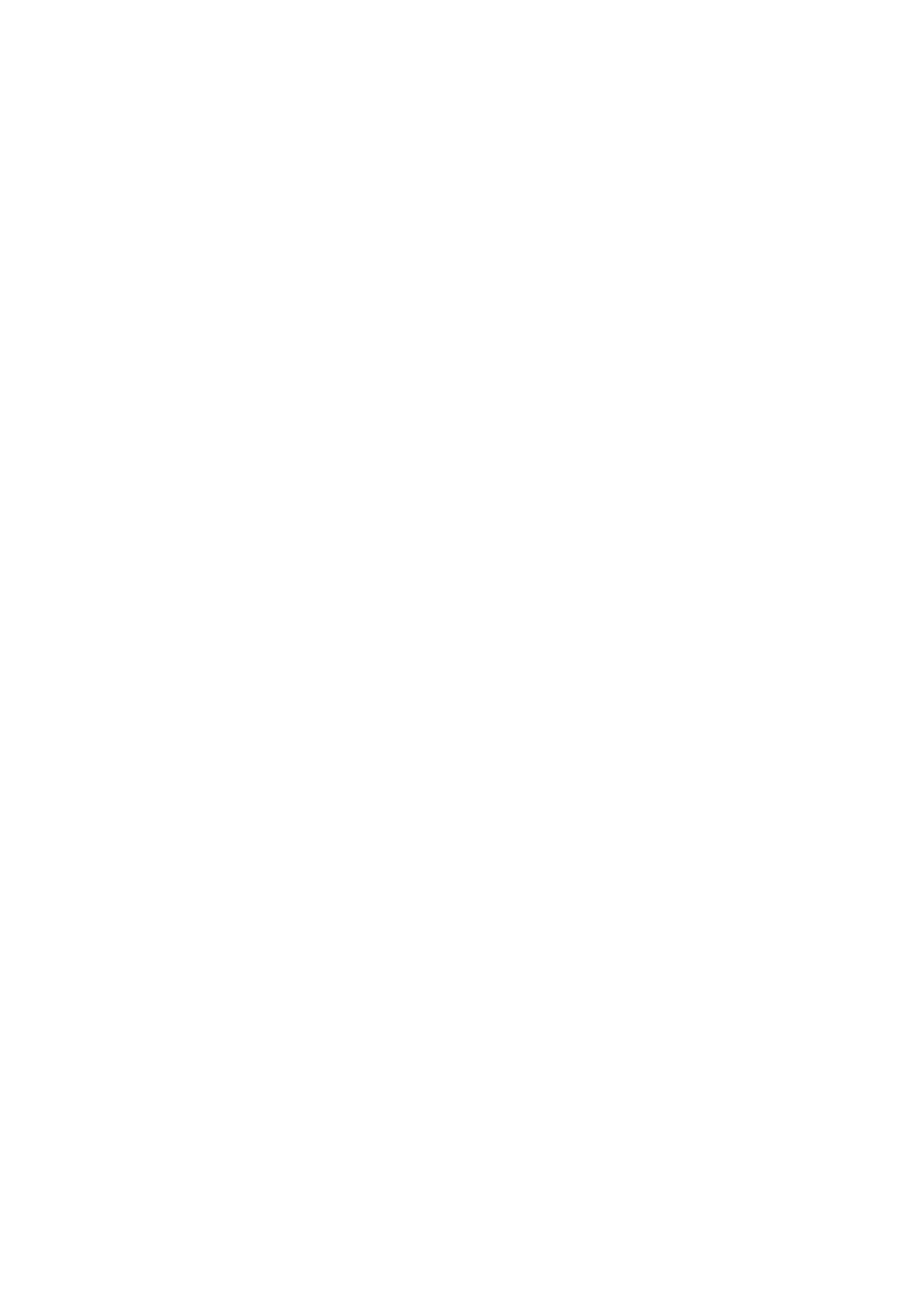| <b>Name</b>                                                | <b>Fund name</b>                                                         |
|------------------------------------------------------------|--------------------------------------------------------------------------|
| Guiwan Cultural Elders Aboriginal Association Incorporated | Guiwan Cultural Elders Aboriginal Association Incorporated               |
| <b>Gymea Anglican Music Promotion Trust</b>                | Gymea Anglican Music Promotion Trust                                     |
| HAPI Heritage-culture Arts Promotions Inc                  | <b>HAPI Fund</b>                                                         |
| Hazelhurst Retreat Regional Art Gallery Fund Inc           | Hazelhurst Retreat Regional Art Gallery Fund                             |
| Heaps Decent Ltd                                           | Heaps Decent Gift Fund                                                   |
| <b>Heather Gell Dalcroze Foundation</b>                    | Heather Gell Dalcroze Foundation, The                                    |
| Hellenic Tribute Inc                                       | <b>Hellenic Tribute Arts Fund</b>                                        |
| Hephzibah Tintner Foundation, The                          | Hephzibah Tintner Foundation Fund, The                                   |
| Highland Media Co-operative Limited                        | Highland Media Co-operative Limited Public Fund                          |
| Hillsong Media & Performing Arts Incorporated              | Hillsong Media & Performing Arts Inc - Public Fund                       |
| Hindu Heritage Society Trust                               | Hindu Heritage Society Trust                                             |
| History Council of NSW Inc                                 | History Council of NSW Public Fund                                       |
| Homepride Arts Building Fund                               | Homepride Arts Building Fund                                             |
| Hope Media Ltd                                             | 2CBA Development Fund                                                    |
| Horizon Theatre Company Ltd                                | <b>Horizon Theatre Fund</b>                                              |
| Hunters Hill Theatre Incorporated                          | Hunters Hill Theatre Fund                                                |
| Ian Bowie Memorial Association Inc                         | Ian Bowie Memorial Association Inc - Donation                            |
| IBBY Australia Incorporated                                | <b>IBBY Australia Inc Public Fund</b>                                    |
| Illawarra Community FM Broadcasters Limited                | <b>VOX FM Donations Fund</b>                                             |
| Illawarra Performing Arts Centre Limited                   | Merrigong Theatre Company Public Fund                                    |
| Imaducation Incorporated                                   | <b>Imaducation Donations Fund</b>                                        |
| I-Manifest Limited                                         | I-Manifest Public Fund                                                   |
| In The Pipeline (Arts) Ltd                                 | In The Pipeline (Arts) Ltd trading as Independent Music Theatre          |
| Indij Readers Limited                                      | Indij Readers Ltd Gift Fund                                              |
| Information & Cultural Exchange Inc                        | Information and Cultural Exchange Public Fund                            |
| Institute for Theology and the Arts, The                   | Institute for Theology and the Arts Fund                                 |
| International PEN Sydney Centre Incorporated               | PEN Sydney Donations Fund                                                |
| Irish National Association of Australasia Inc              | Irish National Association of Australasia Public Cultural Fund, The      |
| Italian Forum Ltd                                          | Italian Forum Public Fund Cultural Account                               |
| Italian Opera Foundation Australia Limited                 | Italian Opera Foundation Australia Limited Public Gift Fund              |
| Jacobean Singers Incorporated                              | Jacobean Singers Choral Fund                                             |
| Jazzgroove Association Incorporated                        | Jazzgroove Public Fund                                                   |
| Jewish Arts Incorporated                                   | Jewish Arts Cultural Fund                                                |
| Joan Sutherland and Richard Bonynge Foundation Limited     | Joan Sutherland and Richard Bonynge Opera Gift Fund, The                 |
| Joan Sutherland Performing Arts Foundation                 | Joan Sutherland Foundation                                               |
| Joyce Limited as Trustee for the James Joyce Foundation    | Joyce Limited as Trustee for the James Joyce Foundation - Public<br>Fund |
| Kaldor Public Art Projects                                 | Kaldor Public Art Projects Fund                                          |
| Kangaroo Valley Arts Festival Inc                          | Kangaroo Valley Arts Festival Fund                                       |
| Katoomba Theatre Company Ltd                               | Katoomba Theatre Company Ltd Public Fund Account                         |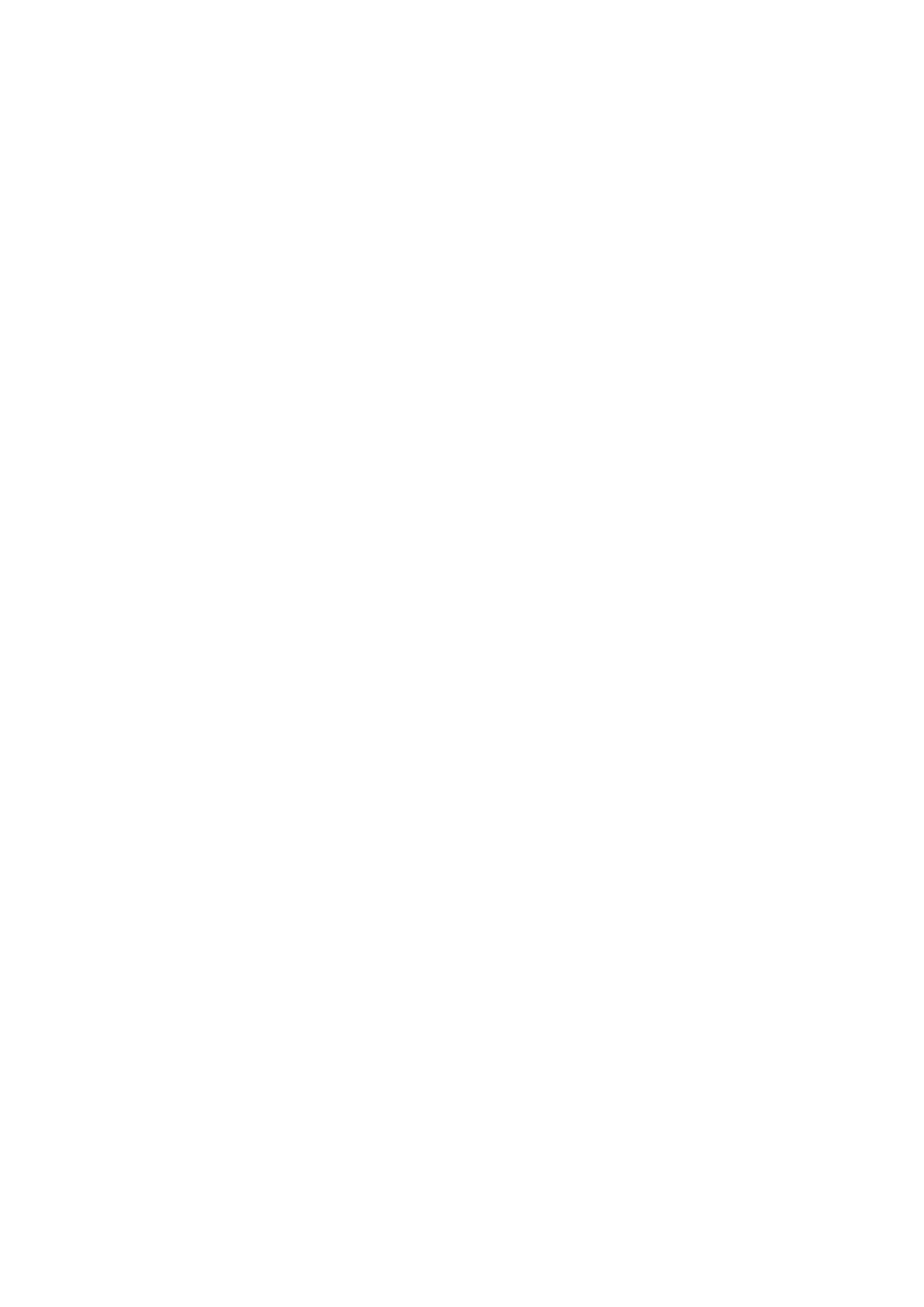| <b>Name</b>                                         | <b>Fund name</b>                                           |
|-----------------------------------------------------|------------------------------------------------------------|
| Kehillat Masada Cultural Fund                       | Kehillat Masada Cultural Fund, The                         |
| Kendall National Violin Competition Inc             | Kendall National Violin Competition Inc Gift Fund          |
| Korean Cultural Centre Inc                          | <b>KCC Cultural Fund</b>                                   |
| Krosswerdz Incorporated                             | Krosswerdz DGR                                             |
| Kuringai Youth Orchestra Incorporated               | Kuringai Youth Orchestra Development Fund                  |
| Ku-ring-gai Philharmonic Orchestra Incorporated     | Ku-ring-gai Philharmonic Orchestra DGR Donations           |
| Lake Macquarie Cultural Foundation Inc              | Lake Macquarie Cultural Foundation Donations Fund          |
| Lake Macquarie Music Society Inc                    | Lake Macquarie Music Society Donations Fund                |
| Lane Cove Music and Cultural Association            | Lane Cove Music and Cultural Association Donations Account |
| Lane Cove Youth Orchestra Incorporated              | Lane Cove Youth Orchestra Donations Account                |
| Leading The Way Media Broadcasting Trust            | Leading The Way Media Broadcasting Trust Fund              |
| Legs on the Wall Incorporated                       | Legs on the Wall Donations Fund                            |
| Leichhardt Espresso Chorus Incorporated             | Leichhardt Espresso Chorus Public Fund                     |
| Lithgow City Band Inc                               | Lithgow City Band Public Fund                              |
| Live at the Village Inc                             | Live at the Village Gift Fund                              |
| Liverpool City Council                              | Casula Powerhouse Arts Centre Trust                        |
| Living Sound Broadcasters Ltd                       | Living Sound FM Development Fund                           |
| Local Informative Network Community                 | <b>LINC TV Inc Donations Account</b>                       |
| Logosdor Limited                                    | <b>IAM Arts Fund</b>                                       |
| Lower Clarence Community Radio Incorporated         | Lower Clarence Community Radio Public Fund                 |
| Lurline Chamber Orchestra Incorporated              | Lurline Chamber Orchestra Incorporated Donations Fund      |
| Lysicrates Foundation Limited, The                  | Lysicrates Cultural Fund ABN 36 914 534 256, The           |
| Macarthur Singers Incorporated                      | Macarthur Singers Donations Fund                           |
| Macquarie Conservatorium of Music Inc               | Macquarie Conservatorium Fundraising Account               |
| Macquarie Philharmonia Foundation Inc, The          | Macquarie Philharmonia Foundation Inc Public Fund, The     |
| Maitland Repertory Theatre Incorporated             | Maitland Repertory Building Fund                           |
| Manning Great Lakes Christian Broadcasters Inc      | Rhema FM Broadcasting Fund                                 |
| Manning Valley Cultural Fund Trust                  | Manning Valley Cultural Fund                               |
| Mardi Gras Arts Ltd                                 | Mardi Gras Parade & Festival Gift Fund                     |
| Marian Street Theatre for Young People Incorporated | <b>MSTYP Gift Fund</b>                                     |
| Mascara Poetry Incorporated                         | Mascara Poetry Incorporated Public Fund                    |
| Media Dream Australia Limited                       | Media Dream Australia Fund                                 |
| Memory Bank Cultural Media Incorporated             | Memory Bank Cultural Media Inc Donations Fund              |
| Metro Screen Ltd                                    | Metro Screen Ltd No.3 Account                              |
| Metropolitan Orchestra Incorporated, The            | Metropolitan Orchestra Public Fund, The                    |
| Mexican Cultural Fund                               | Mexican Cultural Fund, The                                 |
| Mid North Coast Christian Broadcasters Inc          | <b>MNCCBI Development Fund</b>                             |
| Milk Crate Theatre                                  | Milk Crate Theatre Gift Fund                               |
| Mitchell Conservatorium Inc                         | Mitchell Conservatorium Public Fund                        |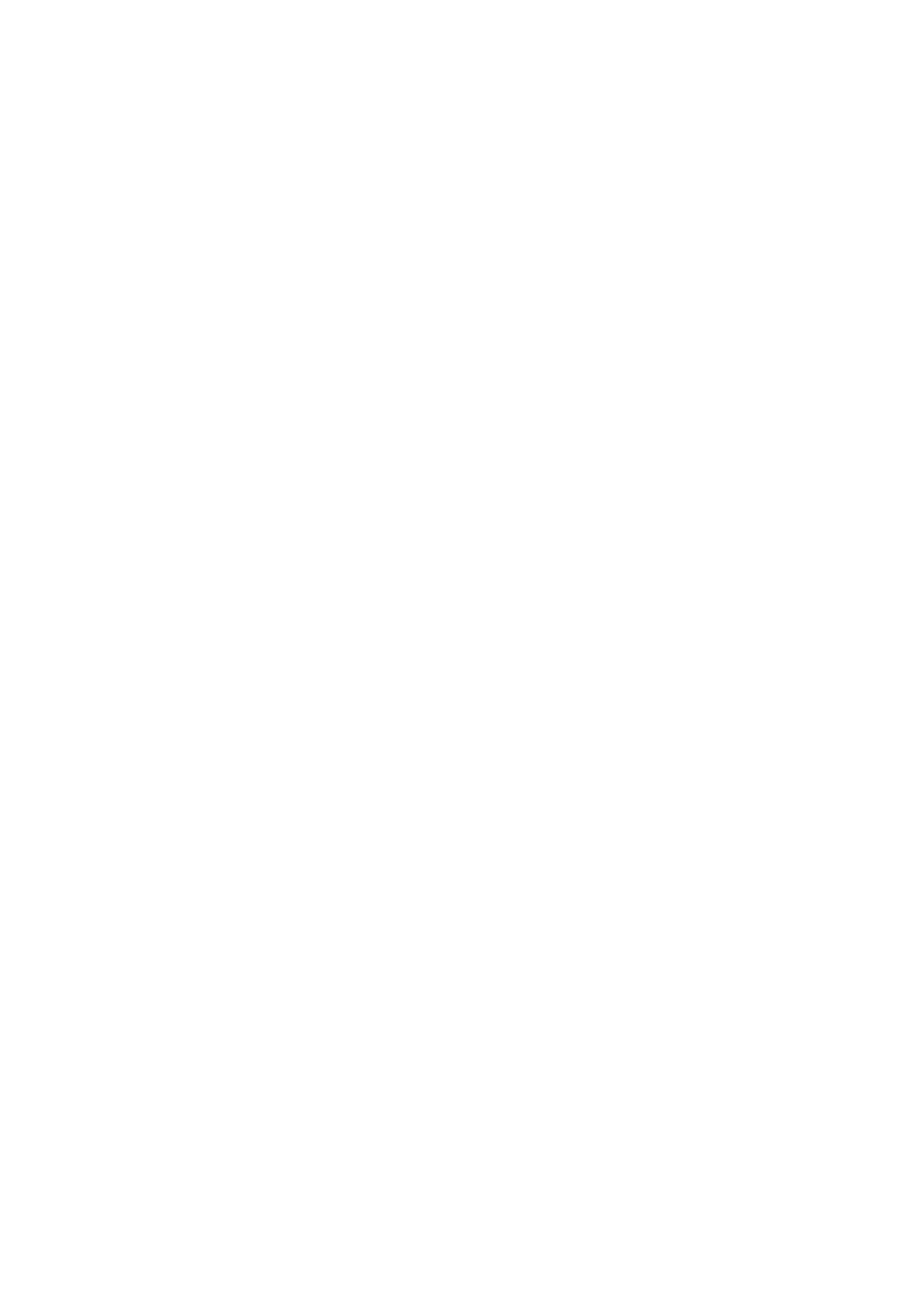| <b>Name</b>                                                            | <b>Fund name</b>                                                   |
|------------------------------------------------------------------------|--------------------------------------------------------------------|
| Moniker Australia Incorporated                                         | Moniker Group Australia                                            |
| Monkey Baa Theatre for Young People Limited                            | Monkey Baa Fund, The                                               |
| Moogahlin Performing Arts Incorporated                                 | Moogahlin Public Fund                                              |
| Moorambilla Voices Limited                                             | Moorambilla Voices Limited Public Fund                             |
| Moran Arts Foundation Ltd                                              | Moran Arts Foundation Ltd                                          |
| Morundah Bush Entertainment Committee Incorporated                     | Morundah Bush Entertainment Committee Public Fund                  |
| Moruya and District Historical Society Incorporated                    | Moruya and District Historical Society Inc Donations Fund          |
| <b>Mosman Art Trust</b>                                                | <b>Mosman Art Trust Account</b>                                    |
| Mosman Orchestra Inc                                                   | Mosman Orchestra Inc Public Fund                                   |
| Murray Conservatorium Board of Management Inc                          | Murray Conservatorium Board of Management Inc Donations<br>Account |
| Museums and Galleries Foundation of NSW Ltd                            | Museums and Galleries NSW - Public Fund                            |
| Music 43 Incorporated                                                  | Music 43 Instrument Collection                                     |
| Music and Opera Singers Trust Limited                                  | Music and Opera Singers Trust                                      |
| Music Broadcasting Society of New South Wales Co-<br>operative Ltd     | Music Broadcasting Society Fund                                    |
| Music Outback Foundation Limited                                       | Music Outback Foundation Fund                                      |
| Musica Viva Australia                                                  | Musica Viva Development Fund                                       |
| Musical Matinees Incorporated                                          | <b>MMI Public Donation Fund</b>                                    |
| <b>Musicoz Foundation Ltd</b>                                          | <b>Musicoz Foundation Ltd</b>                                      |
| MVH-FM Incorporated                                                    | <b>MVH-FM Public Fund</b>                                          |
| <b>NAISDA Limited</b>                                                  | NA&ISDA Public Fund                                                |
| Narooma School of Arts and Soldier's War Memorial Hall<br>Incorporated | Narooma School of Arts Public Fund                                 |
| National Art School                                                    | National Art School General Fund                                   |
| National Association for the Visual Arts Limited                       | <b>NAVA Donations</b>                                              |
| National Braille Music Camp Association Incorporated                   | National Braille Music Camp Public Fund                            |
| National Institute of Dramatic Art, The                                | National Institute of Dramatic Art - Donation Fund                 |
| National Youth Theatre Company Foundation Ltd                          | National Youth Theatre Company Foundation Ltd                      |
| New England Antique Machinery Club Inc                                 | NEAML Heritage Machinery Restoration Fund                          |
| New England Conservatorium of Music Limited                            | <b>NECOM Public donations fund</b>                                 |
| New England Railway Inc                                                | New England Railway Inc Gift Account                               |
| New Music Network Incorporated                                         | New Music Network Fund                                             |
| New South Wales Writers' Centre Inc                                    | New South Wales Writers' Centre Inc Donations Account              |
| New Theatre (Properties) Limited, The                                  | New Theatre Fund                                                   |
| Newcastle Christian Broadcasters Ltd                                   | Rhema FM Development Fund                                          |
| Newcastle Repertory Club Incorporated                                  | Newcastle Repertory New Building Public Fund                       |
| Newcastle Youth Orchestra Incorporated                                 | Newcastle Youth Orchestra Donations Fund                           |
| Newtown High School of the Performing Arts                             | St Georges Hall Trust Fund                                         |
| North Coast Performing Arts Association Inc                            | <b>NCPAA Public Fund</b>                                           |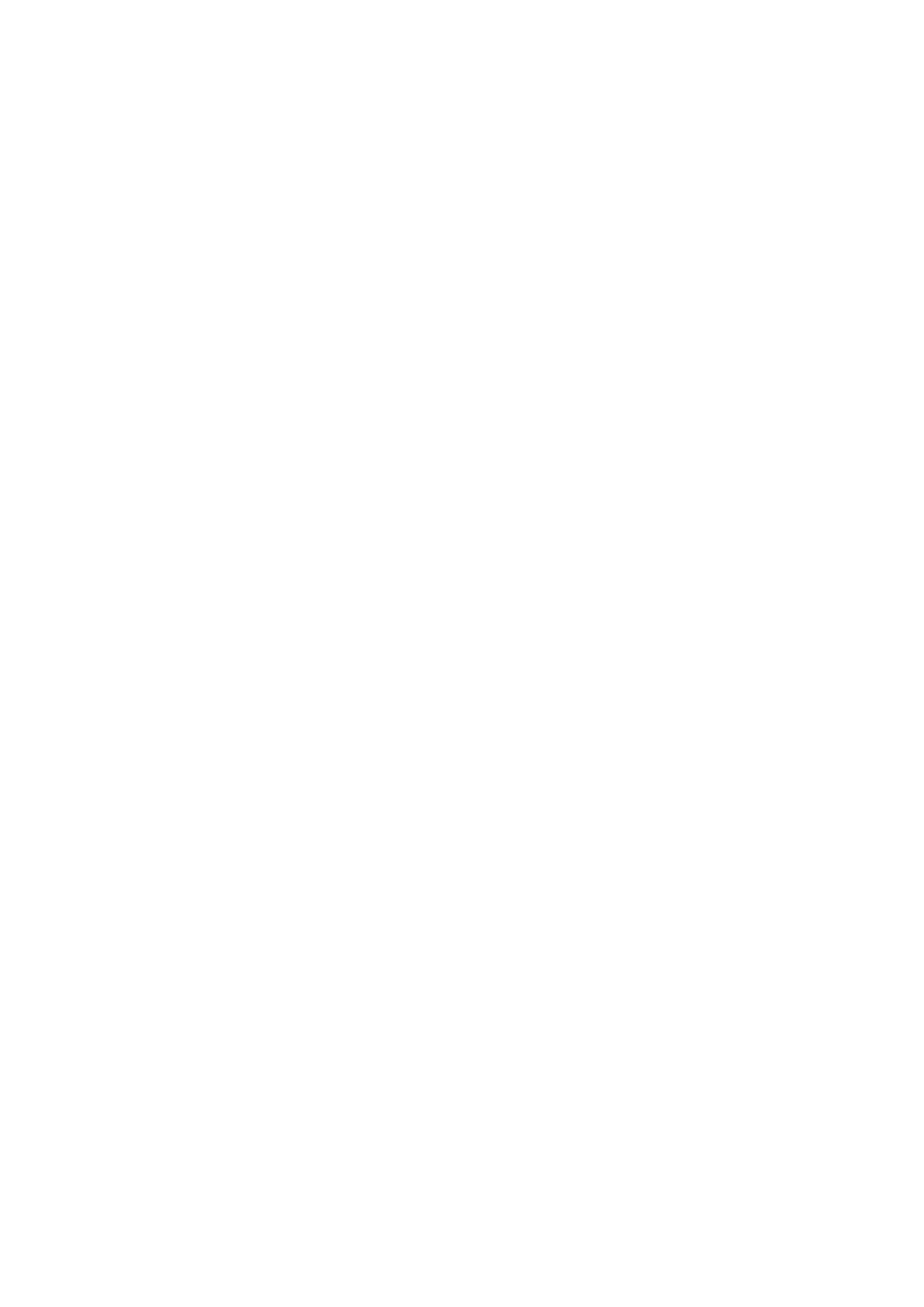| <b>Name</b>                                                  | <b>Fund name</b>                                                               |
|--------------------------------------------------------------|--------------------------------------------------------------------------------|
| North Sydney Symphony Orchestra Inc                          | <b>NSSO Donations Fund</b>                                                     |
| North Sydney Youth Symphony Incorporated                     | <b>NSYS Development Fund</b>                                                   |
| Northern Beaches Symphony Orchestra Inc.                     | Northern Beaches Symphony Orchestra                                            |
| Northern Beaches Youth Orchestra Association<br>Incorporated | Northern Beaches Youth Orchestra T/A NBYO Public Fund                          |
| Northern Rivers Conservatorium Arts Centre Incorporated      | <b>NRCAC Public Fund Account</b>                                               |
| Northern Rivers Performing Arts Incorporated                 | Northern Rivers Performing Arts Theatre Fund                                   |
| Northern Rivers Screenworks Incorporated                     | Northern Rivers Screenworks Inc Donations Fund                                 |
| Northern Rivers Symphony Orchestra Incorporated              | Northern Rivers Symphony Orchestra Development Fund                            |
| Northern Rivers Writers' Centre Incorporated                 | Northern Rivers Writers' Centre Donations Fund                                 |
| Northern Sydney Symphonic Wind Ensemble Incorporated         | Northern Sydney Symphonic Wind Ensemble Trading As NSSWE<br><b>Public Fund</b> |
| Nova Youth Orchestra Association Inc.                        | Nova Youth Orchestra Fund                                                      |
| NSW Cultural Management Limited                              | Sydney Theatre Fund                                                            |
| NSW School Band Festival Limited                             | NSW School Band Festival Limited Public Fund                                   |
| Oceanic Art Society Inc                                      | <b>Oceanic Art Society Donations Fund</b>                                      |
| <b>Octapod Association Incorporated</b>                      | Octapod Association Cultural Activities Public Fund, The                       |
| Old Teachers College Armidale Inc                            | Armidale Teachers College Donations Fund                                       |
| Omega Ensemble                                               | Omega Ensemble Public Fund                                                     |
| Open City Incorporated                                       | Open City Incorporated Public Fund                                             |
| Opera & Arts Support Group Inc                               | Opera & Arts Support Group Inc Public Donations Account                        |
| Opera Australia                                              | Opera Australia                                                                |
| Opera Foundation Australia                                   | Opera Foundation Australia Public Fund                                         |
| Opera Hunter Inc                                             | Opera Hunter Inc Donation Fund                                                 |
| Opera New England Incorporated                               | Opera New England - Gift Fund                                                  |
| Opera North West Limited                                     | Opera North West Fund                                                          |
| Orana Broadcasters Inc                                       | Orana Broadcasters Public Fund                                                 |
| Orange Regional Arts Foundation Limited, The                 | Orange Regional Arts Foundation Fund, The                                      |
| Orange Regional Conservatorium Inc                           | Orange Regional Conservatorium Inc. Public Fund for Donations                  |
| Orchestra Romantique Incorporated                            | Orchestra Romantique Donations Fund                                            |
| orchestra seventeen88 inc                                    | orchestra seventeen88 Public Fund                                              |
| Orchestras Australia Incorporated                            | Orchestras Australia Inc Donations Fund                                        |
| Organ Historical Trust of Australia                          | <b>OHTA Trust Account</b>                                                      |
| <b>Outback Arts Incorporated</b>                             | Outback Arts Incorporated Public Fund                                          |
| <b>Outback Theatre for Young People</b>                      | <b>Outback Theatre for Young People</b>                                        |
| Pacific Opera Company Limited                                | Pacific Opera Donation Fund                                                    |
| PACT Youth Theatre Incorporated                              | PACT Youth Theatre Playworkshop Account                                        |
| Palestrina Foundation                                        | Palestrina Foundation Fund, The                                                |
| Paradise FM Community Radio Association Incorporated         | Paradise FM Community Radio Association Inc Donations Fund                     |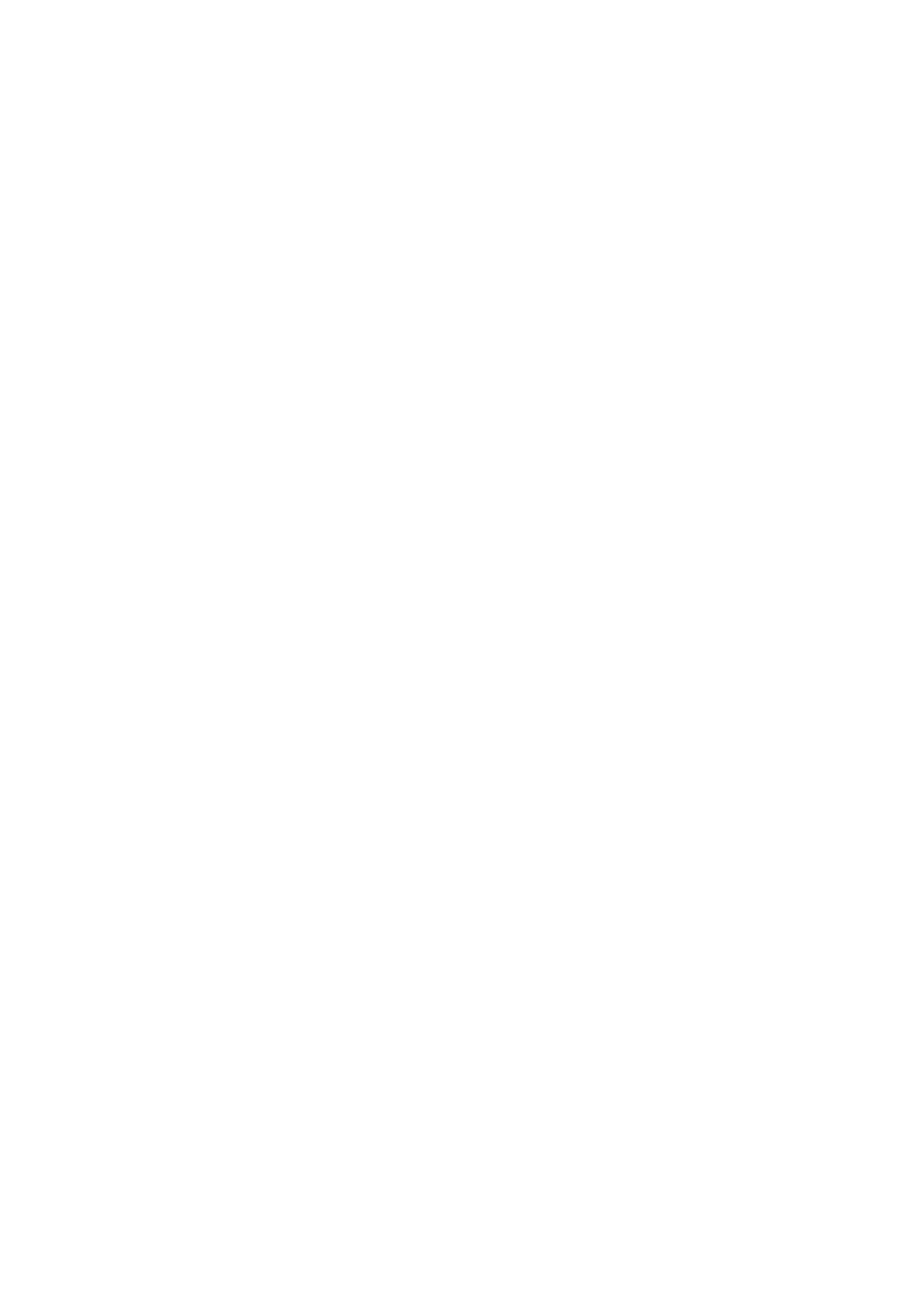| <b>Name</b>                                            | <b>Fund name</b>                                                         |
|--------------------------------------------------------|--------------------------------------------------------------------------|
| Parish of Wagga Wagga Arts Fund Incorporated           | Parish of Wagga Wagga Arts Fund Inc                                      |
| Parkes Film Society Incorporated                       | Parkes Film Society Development Fund, The                                |
| Parramasala Ltd                                        | Parramasala Fund                                                         |
| Parramatta Cultural Trust                              | Parramatta Cultural Trust                                                |
| Peel Valley Christian Broadcasters                     | Peel Valley Christian Broadcasters Inc Public Fund                       |
| Peggy Glanville-Hicks Composers' House Trust           | Peggy Glanville-Hicks Composers Trust Account                            |
| Penrith Performing and Visual Arts Limited             | Penrith Performing and Visual Arts Public Fund                           |
| Penrith Symphony Orchestra Incorporated                | Penrith Symphony Orchestra Donations Fund, The                           |
| Performance Space Ltd                                  | Performance Space Development Fund, The                                  |
| Performing Lines Limited                               | Performing Lines Donation Fund                                           |
| Pinchgut Opera Ltd                                     | Pinchgut Opera Public Fund                                               |
| Places and Spaces Incorporated                         | Places and Spaces Public Fund                                            |
| PlayWriting Australia                                  | PlayWriting Australia Public Fund                                        |
| Poetry In Action Incorporated (T/A Shaman Productions) | Poetry In Action Donations Fund                                          |
| Port Macquarie Hastings Band Inc                       | Port Macquarie Hastings Band Inc Donations Fund                          |
| Port Stephens Community Arts Centre Inc                | Port Stephens Community Arts Centre Inc Public Donations Fund            |
| Portrait Artists Australia Inc                         | Portrait Artists Australia Public Fund                                   |
| Powerhouse Youth Theatre Incorporated                  | Powerhouse Youth Theatre - Public Funds                                  |
| Precarious Inc (trading as Circus Monoxide)            | <b>Circus Monoxide Donations Fund</b>                                    |
| Priory Preservation and Restoration Trust, The         | Priory Preservation and Restoration Trust, The                           |
| Pyrmont Heritage Boating Club Incorporated             | Pyrmont Waterman Fund                                                    |
| Quadrant Magazine Limited                              | <b>Quadrant Foundation</b>                                               |
| Queer Screen Limited                                   | Queer Screen Public Fund                                                 |
| Radio Eastern Sydney Co-operative Limited              | Radio Eastern Sydney Co-operative Limited Donations Public Fund          |
| Ranamok Glass Prize Ltd                                | Ranamok Glass Prize Donations Fund                                       |
| Red Room Company Ltd                                   | Red Room Company Gift Fund, The                                          |
| Regional Arts New South Wales Ltd                      | Arts Council of New South Wales Limited Donations Account                |
| <b>Renew Newcastle Limited</b>                         | <b>Renew Newcastle</b>                                                   |
| Richmond Players Incorporated                          | Richmond Players Incorporated Public Fund                                |
| Rinse Out Incorporated                                 | Rinse Out Inc Public Fund                                                |
| Riverina Christian Radio Incorporated                  | Riverina Christian Radio Inc Public Fund                                 |
| Riverina Conservatorium of Music Incorporated          | Riverina Conservatorium of Music Inc. Donations Fund                     |
| Rodney Seaborn Playwrights Trust                       | Rodney Seaborn Playwrights Trust                                         |
| Rona Tranby Award and Collection                       | Rona Tranby Fund, The                                                    |
| Roo Theatre Company Incorporated                       | Roo Theatre Company Incorporated                                         |
| Royal Australian Historical Society                    | Royal Australian Historical Society Publications and Research<br>Account |
| <b>Rylstone Community Cultural Centre</b>              | Rylstone Community Cultural Centre Public Fund                           |
| Saaz Incorporated                                      | Saaz Incorporated                                                        |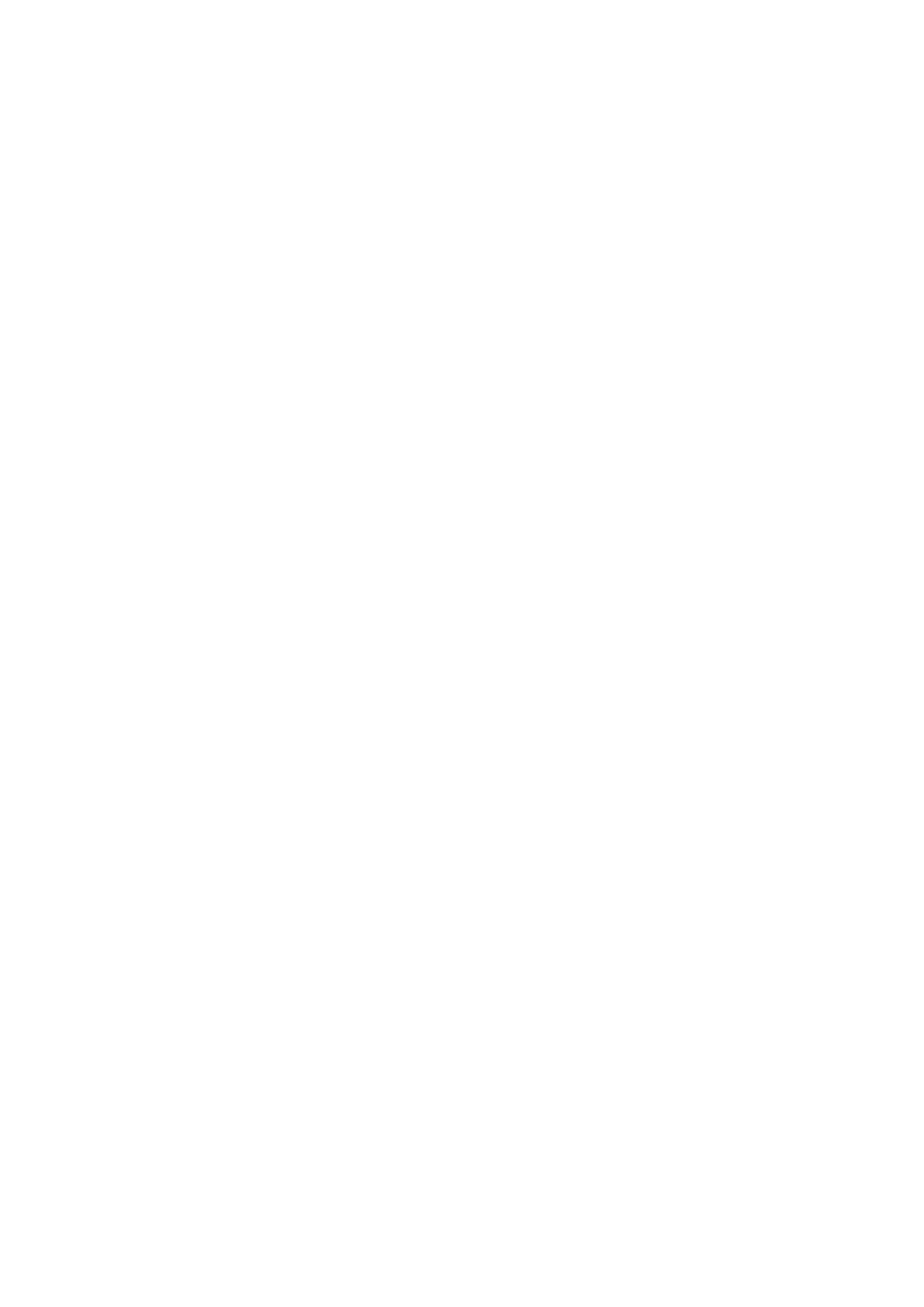| <b>Name</b>                                                | <b>Fund name</b>                                                              |
|------------------------------------------------------------|-------------------------------------------------------------------------------|
| Saltwater Freshwater Arts Alliance Aboriginal Corporation  | Saltwater Freshwater Arts Alliance Aboriginal Corporate Gift Fund             |
| Sanatan Cultural Centre Trust                              | Sanatan Cultural Centre Trust                                                 |
| Scottish Australian Cultural Public Fund                   | Scottish Australian Cultural Public Fund                                      |
| Sculpture By The Sea Inc                                   | Sculpture by the Sea Inc Donations Fund                                       |
| Seaborn Broughton & Walford Pty Ltd                        | Seaborn Broughton and Walford Foundation                                      |
| Sharing Stories Foundation Limited                         | Sharing Stories Public Fund                                                   |
| Shaun Parker & Company Limited                             | Shaun Parker & Company Public Fund                                            |
| Sherman Contemporary Art Foundation Limited                | Sherman Contemporary Art Fund                                                 |
| Shoalhaven Youth Orchestra Incorporated                    | SYO Tax Deductible Donations Account                                          |
| Shopfront Theatre for Young People Co- operative Ltd       | Shopfront Theatre Public Fund                                                 |
| Sinfonia Mid North Coast Incorporated                      | Sinfonia Support Fund                                                         |
| Slippry Sirkus Incorporated                                | <b>Slippry Sirkus Donations Fund</b>                                          |
| Smugglers of Light Foundation                              | Smugglers of Light Foundation Donations Fund                                  |
| Somali Welfare & Cultural Centre Incorporate               | Somali Welfare and Cultural Centre Fund                                       |
| South Coast Writers Centre Incorporated                    | <b>SCWC Donations Fund</b>                                                    |
| South East Arts (NSW) Inc                                  | South East Arts Innovation Public Fund                                        |
| South East Music Collective Incorporated                   | <b>SEMC Public Fund</b>                                                       |
| South West Music Inc                                       | South West Music Public Fund                                                  |
| Southern Highlands International Piano                     | <b>SHIPC Trust Account</b>                                                    |
| Competition Incorporated                                   |                                                                               |
| Southern Highlands Symphony Orchestra Inc                  | Southern Highlands Symphony Orchestra Public Fund, The                        |
| Spaghetti Circus Inc                                       | Spaghetti Circus Public Fund Account                                          |
| Spirit of the Land Foundation Ltd                          | Spirit of the Land Foundation Ltd                                             |
| Sport for Jove Theatre Company Ltd                         | Sport for Jove Theatre Company Ltd Public Fund                                |
| Sri Lanka Arts Council of Australia Inc                    | Sri Lanka Arts Council of Australia Eastern Music & Dance<br>Development Fund |
| St Alban's Music and Arts Trust                            | St Alban's Music and Arts Trust Public Fund                                   |
| St Andrew's Anglican Church Roseville Music and Arts Trust | Roseville Anglican Parish Music and Arts Trust Public Fund                    |
| St Andrew's Cathedral Music Foundation                     | St Andrew's Cathedral Music Foundation Fund                                   |
| St Andrew's Coolah Community Cultural Centre Foundation    | St Andrew's Coolah Community Cultural Centre Foundation Public<br>Fund        |
| St Clements Cultural Trust for The Promotion of Music      | St Clements Music Fund, The                                                   |
| <b>St James Foundation Limited</b>                         | <b>St James Music Foundation</b>                                              |
| St John's Music Association Inc                            | St John's Music Association Public Fund, The                                  |
| St Jude's Music Association Incorporated                   | St Jude's Music Association Public Fund, The                                  |
| St Laurence Music Incorporated                             | <b>St Laurence Music Donations Fund</b>                                       |
| St Luke's Cultural Trust for the Promotion of Music        | St Luke's Music Trust Fund                                                    |
| St Paul's Chatswood Anglican Cultural Trust for the        | St Paul's Chatswood Anglican Cultural Trust for the Promotion of              |
| <b>Promotion of Music</b><br>St Paul's Cultural Trust      | Music<br>St Paul's Cultural Trust Fund                                        |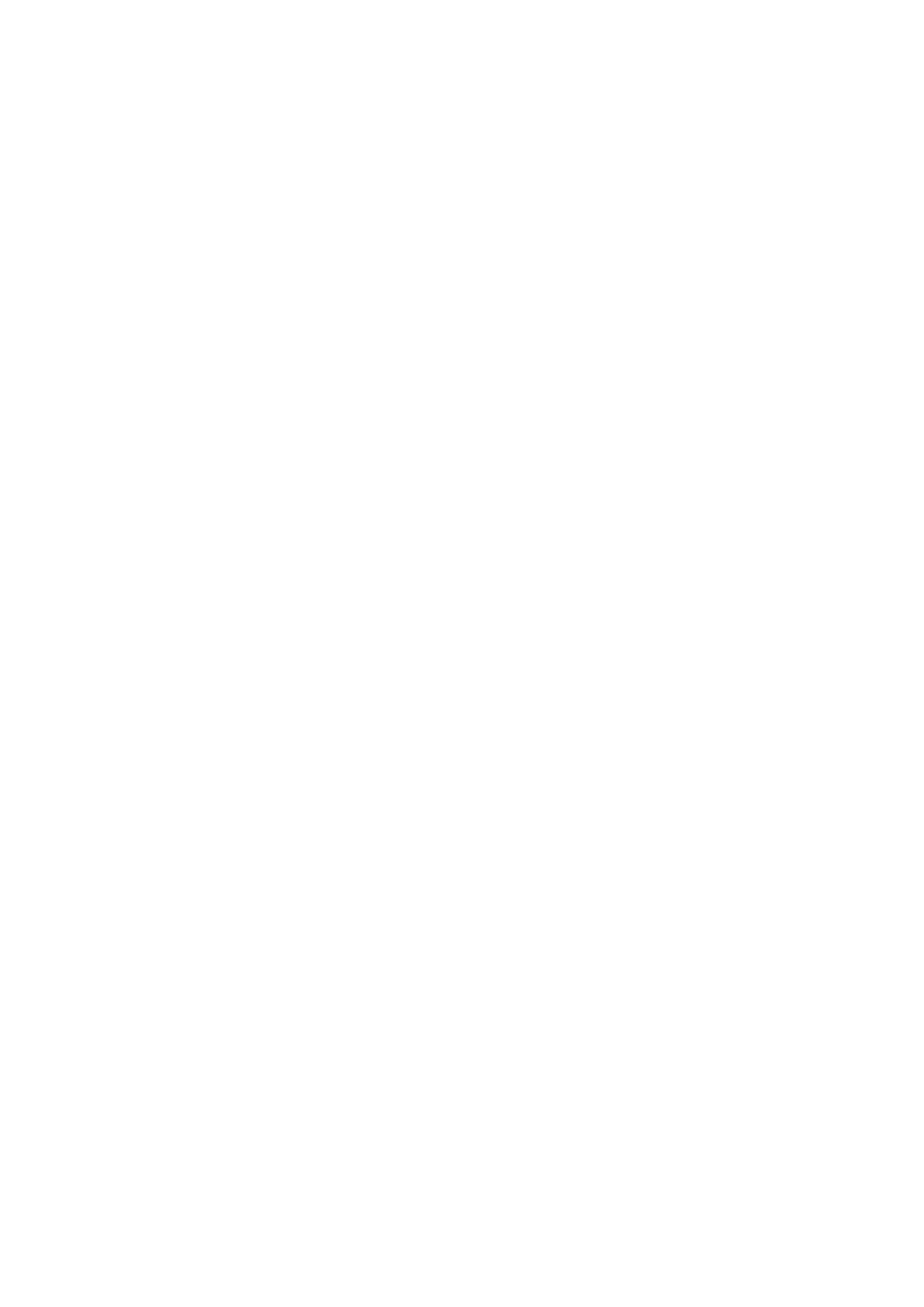| <b>Name</b>                                                                              | <b>Fund name</b>                                                     |
|------------------------------------------------------------------------------------------|----------------------------------------------------------------------|
| St Peter's Anglican Primary School Music Foundation                                      | St Peter's Anglican Primary School Music Foundation Donation<br>Fund |
| St Philips Anglican Church Caringbah Cultural Trust for the<br><b>Promotion of Music</b> | St Philips Anglican Church Music Trust                               |
| St Stephen's Sydney Music and Cultural Foundation                                        | St Stephen's Music and Cultural Foundation Gift Fund                 |
| <b>Stalker Theatre Incorporated</b>                                                      | <b>Stalker Theatre Inc Public Fund</b>                               |
| State Records Authority of New South Wales                                               | <b>Special Deposits Account - Donations</b>                          |
| Subud International Cultural Association Inc                                             | Subud International Cultural Association Public Gift Fund            |
| Suzuki Talent Education Association of Australia (NSW)<br>Limited                        | Suzuki Music NSW Public Fund                                         |
| Sydney Chamber Choir Incorporated                                                        | Sydney Chamber Choir Incorporated Public Fund                        |
| Sydney Conservatorium Association Incorporated                                           | Sydney Conservatorium Association (Inc) Support Account              |
| Sydney Dance Company                                                                     | <b>Sydney Dance Company</b>                                          |
| Sydney Educational Broadcasting Ltd                                                      | 2SER-FM Development Fund                                             |
| Sydney Eisteddfod                                                                        | Sydney Eisteddfod Fund                                               |
| Sydney Festival Limited, The                                                             | Sydney Festival Limited Donations Account, The                       |
| Sydney Film Festival Ltd                                                                 | Sydney Film Festival Donations Fund, The                             |
| Sydney Flute Academy Ltd                                                                 | Sydney Flute Academy Public Fund                                     |
| Sydney Gay & Lesbian Choir Incorporated                                                  | Sydney Gay & Lesbian Choir Cultural Fund                             |
| Sydney Harmony Incorporated                                                              | Sydney Harmony Public Fund                                           |
| Sydney Improvised Music Association Inc                                                  | Sydney Improvised Music Association Inc Donations Account            |
| Sydney International Piano Competition of Australia                                      | Sydney International Piano Competition of Australia Fund             |
| Sydney Jewish Choral Society Inc                                                         | Sydney Jewish Choral Society Donations                               |
| Sydney Jewish Music Festival Inc                                                         | Shir Madness Sydney Jewish Music Festival Fund                       |
| Sydney Male Choir Incorporated                                                           | Sydney Male Choir Foundation, The                                    |
| Sydney Music Circle Incorporated                                                         | <b>SMC Fund</b>                                                      |
| <b>Sydney Musical Promotions Trust</b>                                                   | Sydney Musical Promotions Public Fund                                |
| Sydney North Ensembles Ltd                                                               | Sydney North Chamber Orchestra and Ensemble Cultural Fund            |
| Sydney Opera House Trust                                                                 | Sydney Opera House Trust                                             |
| Sydney Philharmonia Limited                                                              | Sydney Philharmonia Donations Account                                |
| Sydney Savage Club Inc                                                                   | Sydney Savage Club Cultural Fund                                     |
| Sydney Story Factory Inc                                                                 | Sydney Story Factory Gift Fund                                       |
| Sydney Symphony Orchestra Holdings Pty Limited                                           | Sydney Symphony Orchestra Holdings Pty Ltd Donations Account         |
| St Luke's Mosman Music Association Incorporated, The                                     | St Luke's Mosman Music Association Inc, The                          |
| Swiz Cultural Foundation, The                                                            | Swiz Cultural Foundation Public Fund, The                            |
| Sydney Contemporary Orchestra Incorporated, The                                          | SCO Foundation, The                                                  |
| Symphony of Australia Foundation, The                                                    | Symphony of Australia Foundation Public Fund, The                    |
| <b>Teter Mek Foundation</b>                                                              | <b>Teter Mek Foundation Public Fund</b>                              |
| Trustee for HCMB Trust, The                                                              | <b>HCMB Trust</b>                                                    |
| Theatre 4a                                                                               | Theatre 4a Incorporated                                              |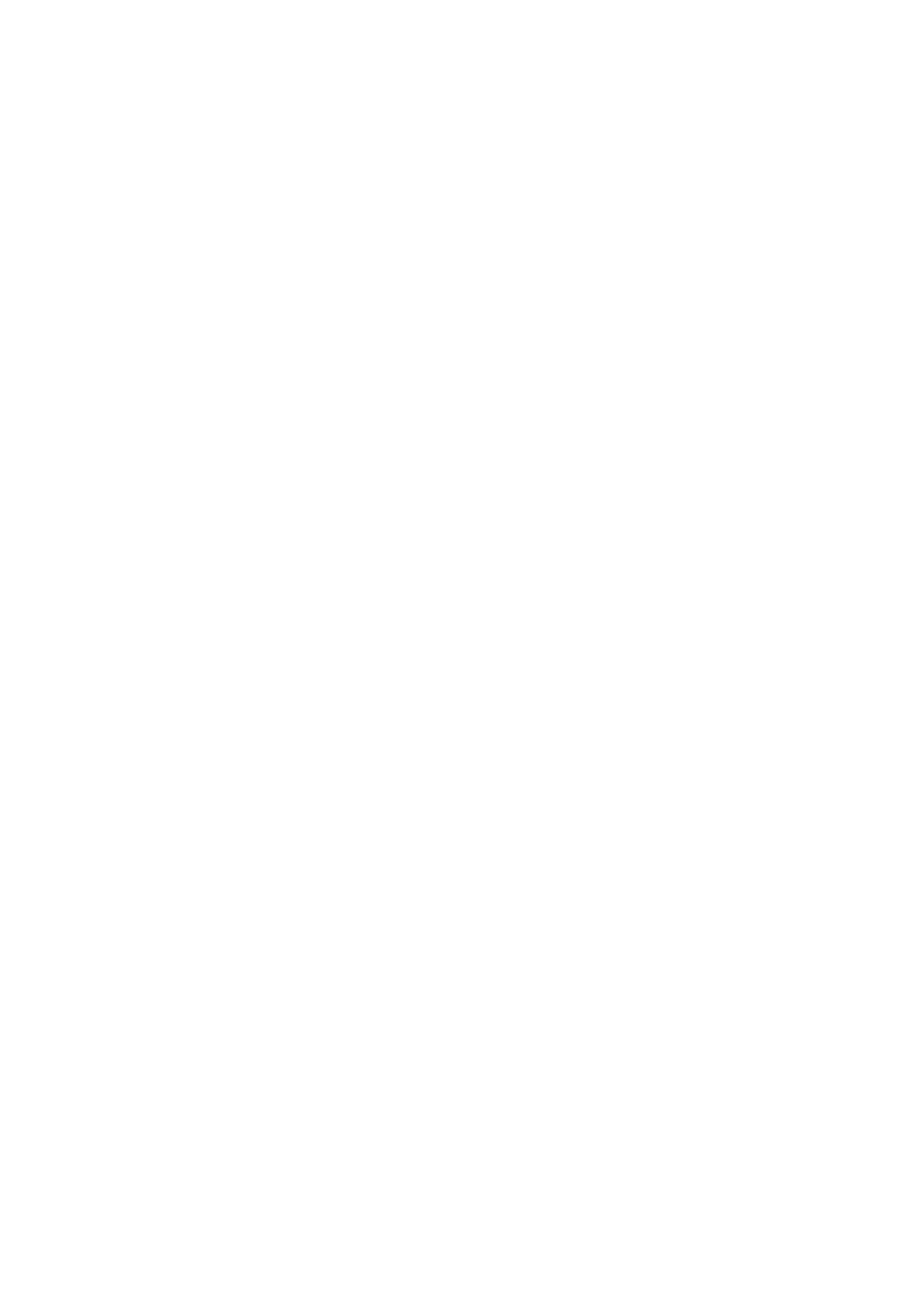| <b>Name</b>                                             | <b>Fund name</b>                                                                                                  |
|---------------------------------------------------------|-------------------------------------------------------------------------------------------------------------------|
| Theatre Kantanka Inc                                    | Theatre Kantanka Inc Fund                                                                                         |
| Theatre of Image Ltd                                    | Theatre of Image Ltd Trust Account                                                                                |
| Think & Do Tank Foundation Limited                      | Think & Do Tank Foundation Limited Public Fund                                                                    |
| Tom Bass Sculpture Studio School Inc                    | Tom Bass Fund for the Promotion of Sculpture                                                                      |
| Trinity Cultural Association Inc                        | <b>Trinity Cultural Association Fund</b>                                                                          |
| Tumut Art Society Incorporated                          | Tumut Art Society Incorporated Trust Account                                                                      |
| Turn Round Australia Trust                              | Turn Round Australia Trust Fund                                                                                   |
| Upper Hunter Conservatorium of Music Incorporated       | Upper Hunter Conservatorium Public Fund                                                                           |
| Urban Theatre Projects Ltd                              | Urban Theatre Projects Public Fund                                                                                |
| Valley Artists Inc                                      | <b>Valley Artists Donations Fund</b>                                                                              |
| Version 1.0 Incorporated                                | Version 1.0 Incorporated Deductible Gift                                                                          |
| VIM Incorporated                                        | <b>VIMinc Endowment Fund</b>                                                                                      |
| Vintage Duck Incorporated                               | Vintage Duck Donations Fund                                                                                       |
| Voci Stupende                                           | Voci Stupende Public Fund                                                                                         |
| Voice of Charity Ltd                                    | Voice of Charity Public Fund                                                                                      |
| Wagner Society in NSW Inc                               | Wagner Society New South Wales Incorporated Public Donations<br>Account                                           |
| Wakakirri Story-Dance Association Incorporated          | Wakakirri Public Fund                                                                                             |
| Walk a While Foundation Limited                         | Walk a While Foundation Gift Fund                                                                                 |
| Waratah Brass - Newcastle Inc                           | Waratah Brass - Newcastle Inc Public Fund                                                                         |
| Waratah Girls Choir Inc                                 | Waratah Girls Choir Cultural Fund                                                                                 |
| Warringah Concert Brass Inc                             | Warringah Concert Brass Inc Trust Account                                                                         |
| Warrumbungles Community Broadcasting Association Inc    | Warrumbungles Community Broadcasting Association Inc Public<br>Fund                                               |
| <b>Western Crossings Trust</b>                          | <b>Western Crossings Trust</b>                                                                                    |
| Western Riverina Arts Inc                               | Western Riverina Arts Gift Fund                                                                                   |
| William Fletcher Foundation                             | William Fletcher Foundation Fund                                                                                  |
| <b>Windmill Trust</b>                                   | Windmill Trust Fund, The                                                                                          |
| Wired Lab Culture Trust, The<br>Conservatorium of Music | Wired Lab Special Projects Public Fund #2, TheWollongong<br>Wollongong Conservatorium of Music Ltd Donations Fund |
| Wollongong Symphony Orchestra Foundation Limited        | Wollongong Symphony Orchestra Cultural Fund                                                                       |
| Women in Film and Television Inc (NSW)                  | WIFT (NSW) Donation Account                                                                                       |
| Workhorse Theatre Company Limited                       | Workhorse Theatre Company Gift Fund                                                                               |
| <b>Workshop Arts Centre</b>                             | Workshop Arts Centre Development Fund                                                                             |
| Yass Repertory Society Inc                              | Friends of Yass Rep Arts Fund                                                                                     |
| Young People's Theatre Newcastle Inc                    | YPT Newcastle Theatre Fund                                                                                        |
| Young Regional School of Music Incorporated             | Young Regional School of Music Donation Fund                                                                      |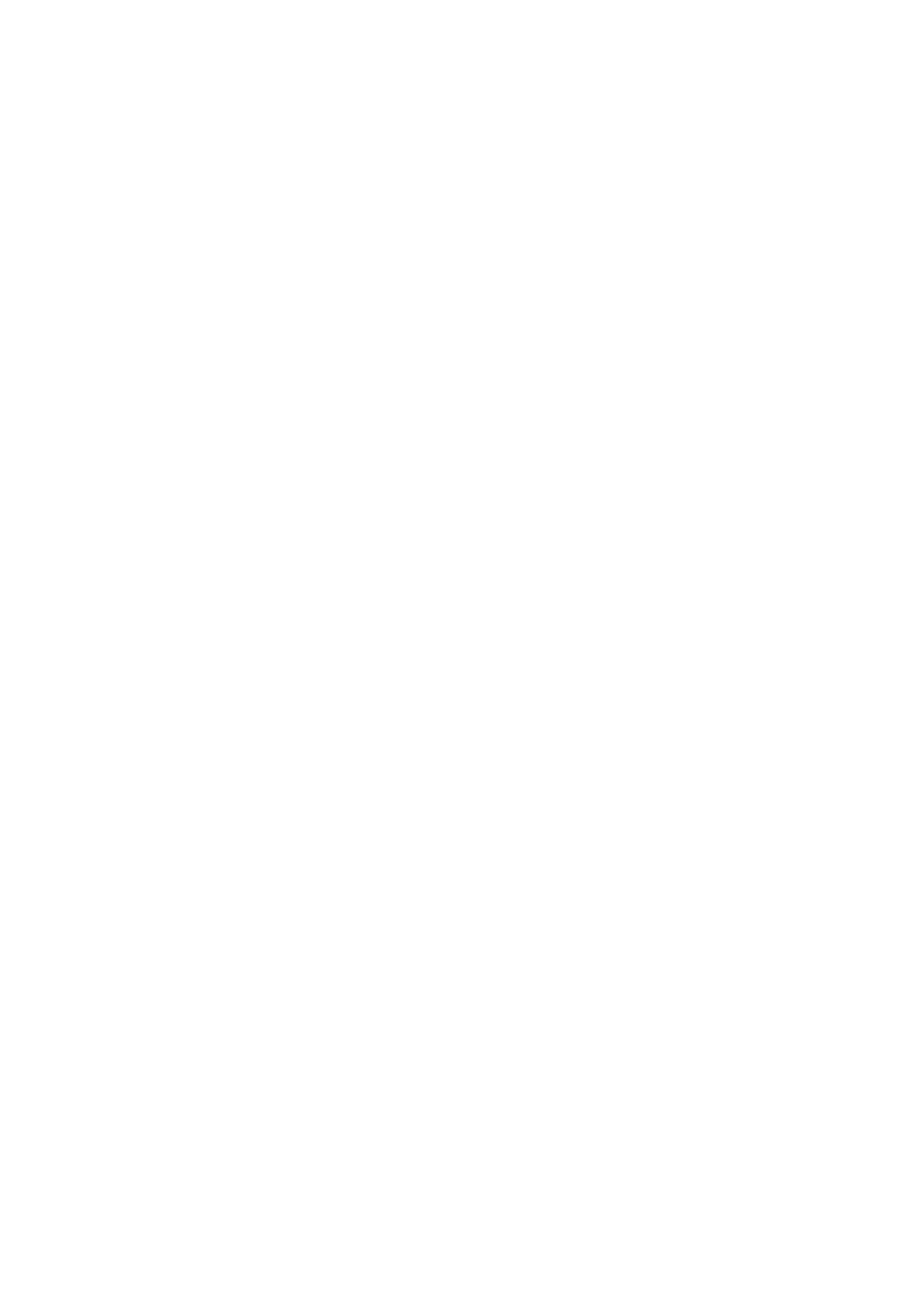# **State: Northern Territory**

| <b>Name</b>                                                                                       | <b>Fund name</b>                                                                  |
|---------------------------------------------------------------------------------------------------|-----------------------------------------------------------------------------------|
| 24HR ART - Northern Territory Centre for                                                          | 24HR Art Trust Account                                                            |
| Contemporary Art Inc                                                                              |                                                                                   |
| Alice Springs Beanie Festival Incorporated                                                        | Alice Springs Beanie Festival Development Fund                                    |
| Artback NT: Arts Development and Touring Incorporated                                             | Artback NT ROCO Fund                                                              |
| Association of Northern, Kimberley and Arnhem Aboriginal<br><b>Artists Aboriginal Corporation</b> | ANKAAA Gift Fund                                                                  |
| <b>Barkly Regional Arts Incorporated</b>                                                          | Barkly Regional Arts Development Fund                                             |
| <b>Brown's Mart Arts Limited</b>                                                                  | <b>Brown's Mart Arts Ltd Donations Account</b>                                    |
| Buku-Larrnggay Mulka Incorporated                                                                 | Mulka Project Gift Fund, The                                                      |
| Central Australian Art Society Inc Fund                                                           | Central Australian Art Society Inc Donation                                       |
| Central Australian Territory Craft Incorporated                                                   | Central Australian Territory Craft Inc Development Fund                           |
| Corrugated Iron Youth Arts Inc                                                                    | Corrugated Iron Youth Arts Inc Donations Account                                  |
| Crafts Council of the Northern Territory Inc T/A Territory<br>Craft                               | <b>Territory Craft Donations Fund</b>                                             |
| Darwin Aboriginal Art Fair Foundation Limited                                                     | Darwin Aboriginal Art Fair Foundation Fund                                        |
| Darwin Chorale Incorporated                                                                       | Darwin Chorale Gift Fund                                                          |
| Darwin Christian Broadcasters Association Inc                                                     | <b>DCBA Development Fund</b>                                                      |
| Darwin Community Arts Incorporated                                                                | Darwin Community Arts Inc Donations Fund                                          |
| Darwin Festival Association Inc                                                                   | Bougainvillea Festival Fund, The                                                  |
| Darwin Performing Arts Centre (trading as Darwin<br><b>Entertainment Centre)</b>                  | Darwin Entertainment Centre Fund                                                  |
| Darwin Symphony Orchestra Inc                                                                     | Darwin Symphony Orchestra Inc Public Fund                                         |
| Darwin Theatre Company Inc                                                                        | Darwin Theatre Company Inc Public Fund Account                                    |
| Desart Incorporated                                                                               | Desart Inc Public Fund                                                            |
| Djilpin Arts Aboriginal Corporation                                                               | Djilpin Arts Donations Fund                                                       |
| Friends of the Darwin Symphony Orchestra Inc                                                      | Friends of the Darwin Symphony Orchestra Inc                                      |
| Gary Lang NT Dance Company                                                                        | Gary Lang NT Dance Fund                                                           |
| Government House Foundation of the Northern Territory<br>Incorporated                             | Government House Foundation Cultural Fund                                         |
| InCite Arts Incorporated                                                                          | <b>InCite Arts Donations Fund</b>                                                 |
| Katherine Regional Arts Inc                                                                       | Arts Katherine Donation Fund                                                      |
| Katherine Regional Cultural Precinct Limited                                                      | Katherine Regional Cultural Precinct Ltd Public Gift Fund                         |
| Keringke Arts Aboriginal Corporation                                                              | Keringke Arts Benefit Fund                                                        |
| Mimi Arts and Crafts Aboriginal Corporation                                                       | <b>Mimi Donation Fund</b>                                                         |
| Music NT Incorporated                                                                             | Music NT Incorporated Public Fund                                                 |
| Northern Territory Anglican Foundation for the promotion                                          | Northern Territory Anglican Foundation for the promotion of                       |
| of Aboriginal Art and Literature Ltd<br>NT Writers' Centre Inc                                    | Aboriginal Art & Literature Ltd Gift Fund<br>NT Writers' Centre Inc Donation Fund |
| Red Hot Arts Central Australia Inc.                                                               | Red Hot Arts Central Australia Gift Fund                                          |
| <b>Tracks Incorporated</b>                                                                        | Tracks Inc - Public Fund                                                          |
|                                                                                                   |                                                                                   |
| Trustees of Brown's Mart (Reserve No. 1774)                                                       | Trustees of Brown's Mart Public Fund Donations Account                            |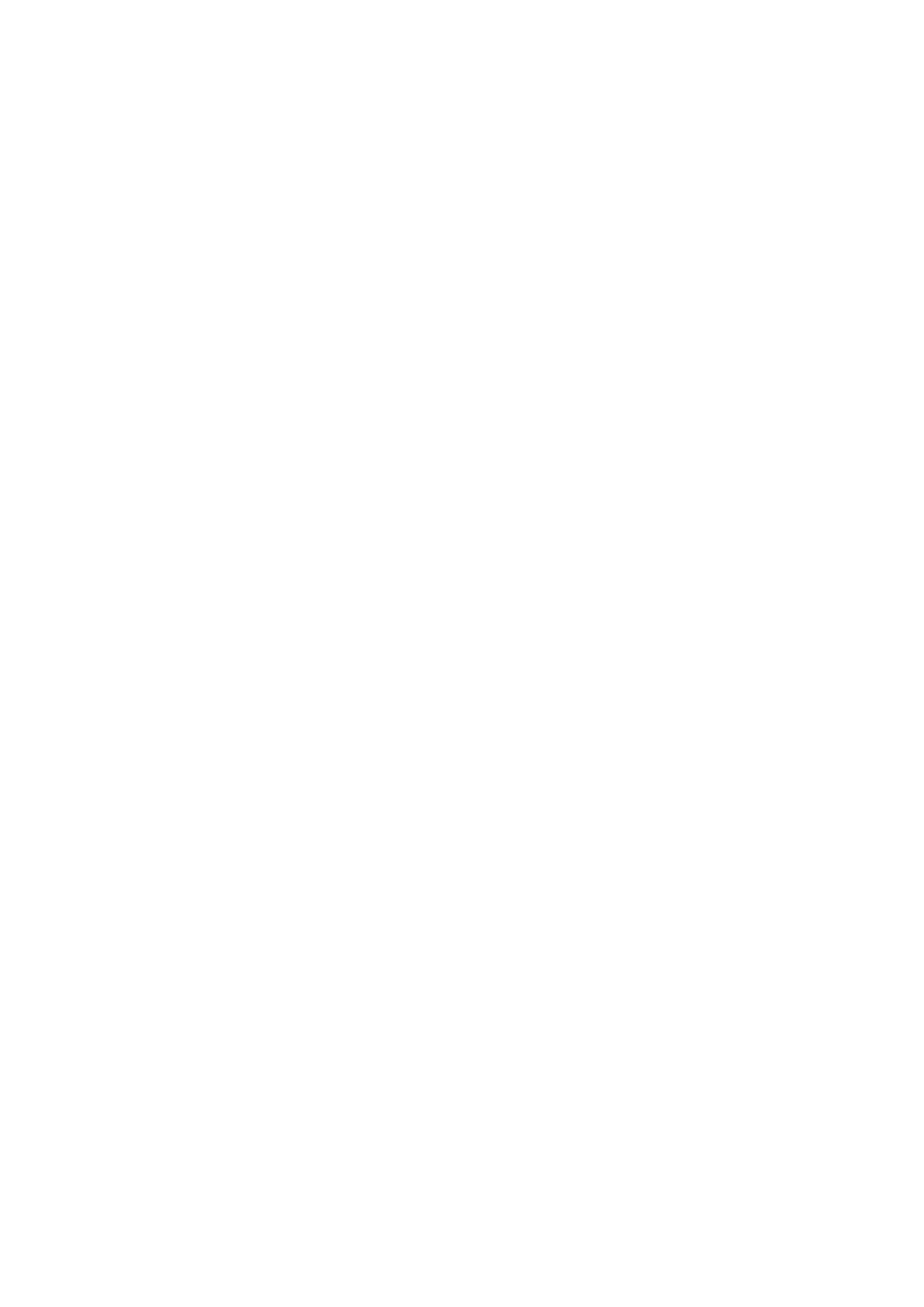| Name                                         | <b>Fund name</b>                   |
|----------------------------------------------|------------------------------------|
| Warlukurlangu Artists Aboriginal Corporation | Warlukurlangu Public Fund Account  |
| Watch This Space Inc                         | Watch This Space Donations Account |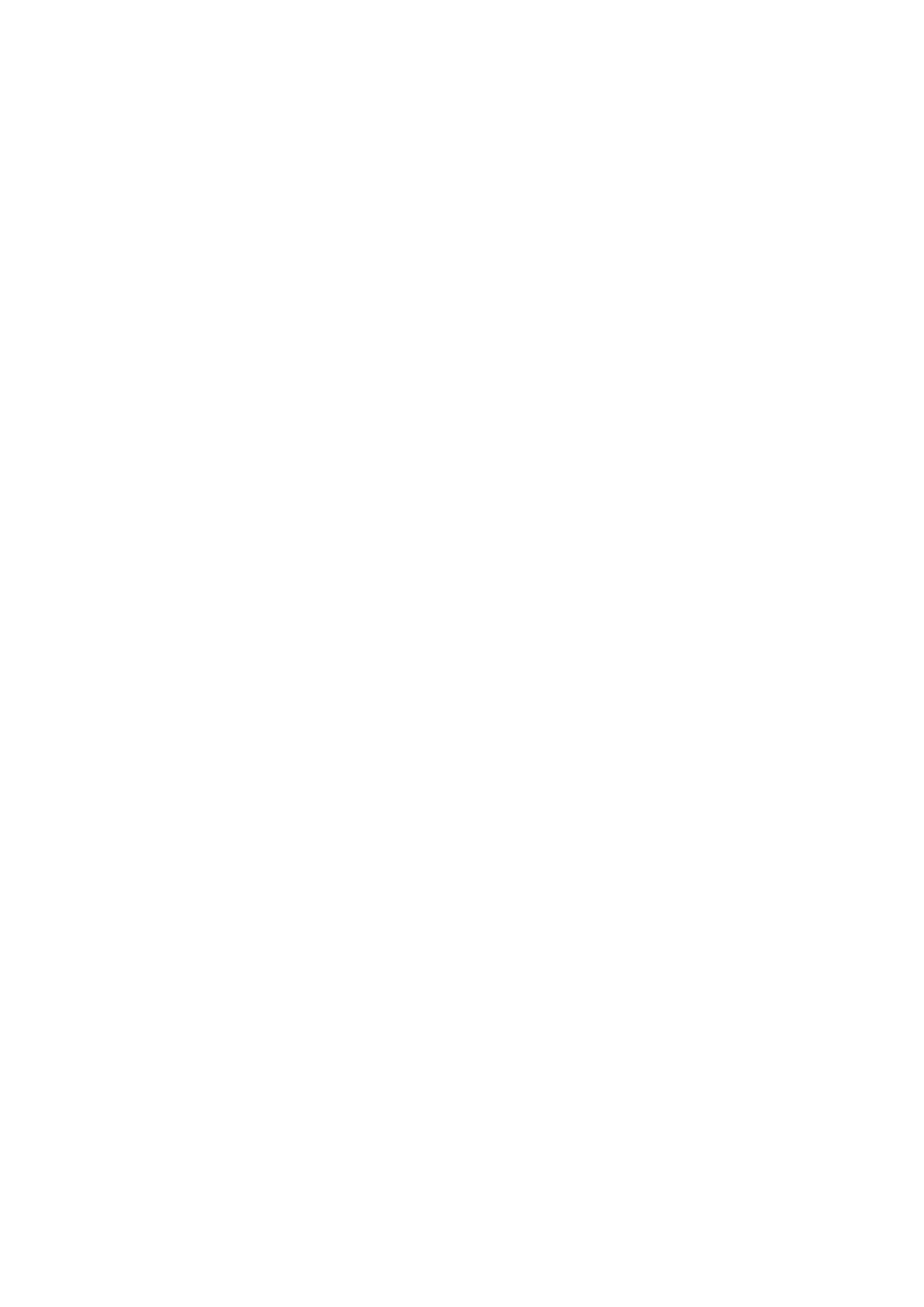# **State: Queensland**

| <b>Name</b>                                                          | <b>Fund name</b>                                                                            |
|----------------------------------------------------------------------|---------------------------------------------------------------------------------------------|
| Aboriginal Centre for the Performing Arts Pty Ltd                    | Aboriginal Centre for the Performing Arts Public Donations Fund                             |
| Anywhere Theatre Festival Limited                                    | Anywhere Festival Fund                                                                      |
| Arts Central Queensland Inc.                                         | Arts Central Queensland Inc Donations Account                                               |
| Arts Council Toowoomba Inc.                                          | Arts Council Toowoomba Donation Fund                                                        |
| Arts Nexus Inc                                                       | Arts Nexus Gift Fund                                                                        |
| Australian Concerto & Vocal Competition Inc                          | Australian Concerto & Vocal Competition Inc - Donations Account                             |
| Australian Dance Council, Ausdance (Queensland Branch)<br><b>Inc</b> | Ausdance (Qld) Public Donations Fund                                                        |
| Australian Festival of Chamber Music - North Queensland<br>Ltd       | Australian Festival of Chamber Music Donations Fund                                         |
| Australian Voices Ensemble Limited, The                              | Australian Voices Ensemble Limited, The                                                     |
| Australian-Italian Festival Association Inc                          | Australian-Italian Festival Association Inc - Cultural Fund                                 |
| Backbone Youth Arts Association Inc                                  | Backbone Youth Arts Inc Fund Account                                                        |
| <b>Ballet Theatre of Queensland</b>                                  | <b>Ballet Theatre of Queensland Public Fund Account</b>                                     |
| <b>Black Pearl Theatre Pty Ltd</b>                                   | <b>Black Pearl Theatre Public Fund</b>                                                      |
| <b>Blackall Cultural Association Inc.</b>                            | <b>Blackall Cultural Association Trust Account</b>                                          |
| <b>BlakDance Australia Limited</b>                                   | BlakDance Australia Fund, The                                                               |
| <b>Bleached Arts Ltd</b>                                             | <b>Bleached Arts Public Fund</b>                                                            |
| Book Links (QLD) Inc                                                 | Book Links (QLD) Inc Public Fund                                                            |
| Boonah and District Performing Arts Centre Trust                     | Boonah and District Performing Arts Centre Trust Gift Fund                                  |
| <b>Brisbane Arts Theatre</b>                                         | <b>Brisbane Arts Theatre Fund</b>                                                           |
| <b>Brisbane Arts Trust</b>                                           | <b>Brisbane Arts Public Fund</b>                                                            |
| Brisbane Chamber Choir Inc                                           | Brisbane Chamber Choir Inc Gift Fund                                                        |
| <b>Brisbane Chorale Inc</b>                                          | <b>Brisbane Chorale Inc Donations Account</b>                                               |
| Brisbane Community Arts Centre Ltd                                   | Metro Arts Fund                                                                             |
| Brisbane Eisteddfod Inc                                              | <b>Brisbane Eisteddfod Donations Fund</b>                                                   |
| <b>Brisbane Festival Ltd</b>                                         | <b>Brisbane Festival Ltd Donation Fund</b>                                                  |
| Brisbane Indigenous Media Association Incorporated                   | Brisbane Indigenous Media Association Public Fund                                           |
| Brisbane Institute of Art Inc                                        | Brisbane Institute of Art Fund                                                              |
| Brisbane Jazz Club Inc                                               | Brisbane Jazz Club Public Fund                                                              |
| <b>Brisbane Multicultural Arts Centre Inc.</b>                       | Friends of BEMAC Foundation                                                                 |
| Brisbane Municipal Theatre Company Ltd                               | Brisbane Municipal Theatre Association Ltd Public Fund                                      |
| <b>Brisbane Philharmonic Association Inc</b>                         | Brisbane Philharmonic Association Inc Orchestra Donations Fund                              |
| <b>Brisbane Powerhouse Foundation</b>                                | <b>Brisbane Powerhouse Foundation</b>                                                       |
| Brisbane Regional Youth Orchestra Inc                                | Brisbane Regional Youth Orchestra - Gifts & Donations Fund                                  |
| Brisbane Sinfonia Assoc Inc                                          | Brisbane Sinfonia Assoc Inc T/A Brisbane Symphony Orchestra<br><b>Public Donations Fund</b> |
| <b>Brisbane Writers Festival Association Inc</b>                     | <b>BWF Donations Fund</b>                                                                   |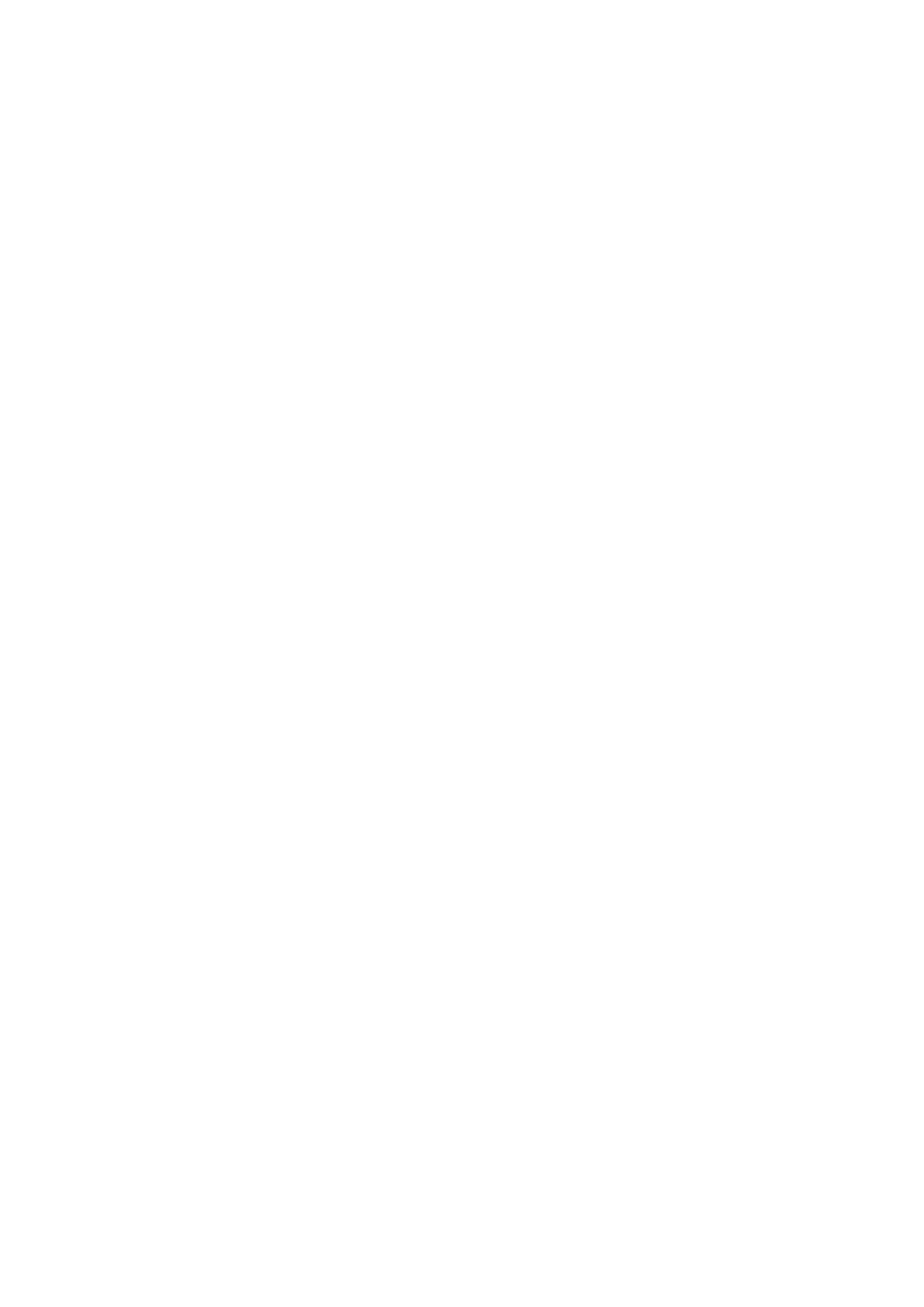| <b>Name</b>                                                      | <b>Fund name</b>                                                |
|------------------------------------------------------------------|-----------------------------------------------------------------|
| Brisbane's Living Heritage Network Ltd                           | Brisbane's Living Heritage Network Gift Fund                    |
| <b>Buderim Concert Band Inc</b>                                  | <b>Buderim Concert Band Inc Public Funds Account</b>            |
| <b>Buderim Historical Society Incorporated</b>                   | Buderim Historical Society Public Gift Fund                     |
| <b>Buderim Male Choir Inc</b>                                    | <b>Buderim Male Choir Inc Donations Fund</b>                    |
| Buderim-Palmwoods Heritage Tramway Inc                           | Buderim-Palmwoods Heritage Tramway Inc. - Gift Fund             |
| Burdekin Singers & Theatre Company Inc                           | Burdekin Singers Theatre Company Inc Building Fund              |
| Cairns and District Chinese Association Inc                      | Far North Queensland Chinese Cultural and Heritage Fund         |
| Cairns Indigenous Art Fair Limited                               | Cairns Indigenous Art Fair Limited Public Fund                  |
| Caloundra Chorale and Theatre Company Inc                        | Caloundra Chorale and Theatre Co Inc Public Fund                |
| Camerata of St John's Inc                                        | Camerata of St John's Inc Donation Fund                         |
| Canticum Chamber Choir Inc                                       | Canticum Chamber Choir Inc Gift Fund                            |
| Capricorn Community Radio 4 You Inc                              | 4You Studio and Office Building Fund                            |
| Capricornia Silver Band Inc                                      | Capricornia Silver Band Inc Donation Account                    |
| Catalyst Youth Arts Organisation Inc                             | Catalyst Youth Arts Organisations Inc Donations Fund            |
| Central Queensland Performing Arts Foundation                    | Central Queensland Performing Arts Foundation                   |
| Centre for Australasian Theatre Inc                              | Centre for Australasian Theatre Inc Gift Fund                   |
| Children's Activity Groups Association Inc                       | Circus Arts North Fund                                          |
| Circa Contemporary Circus Ltd                                    | <b>Circa Contemporary Circus</b>                                |
| Contact Inc                                                      | <b>Contact Inc Donations Fund</b>                               |
| Cooloola Christian Radio Association Incorporated                | Cooloola Christian Radio Association Incorporated Donation Fund |
| <b>Craft Queensland</b>                                          | Artisan Foundation Fund                                         |
| Creative Broadcasters Ltd (Trading as 4ZZZ FM)                   | 4ZZZ Trust Fund Account                                         |
| <b>Creative Regions Limited</b>                                  | Creative Regions Gift Fund                                      |
| Crossroad Arts Inc                                               | Crossroad Arts Inc Public Fund                                  |
| Culture & Arts Banana Shire Inc                                  | Culture & Arts Banana Shire Public Fund                         |
| Darling Downs Historical Rail Society Ltd                        | Darling Downs Historical Rail Society Donations Fund            |
| de base Productions Association Incorporated                     | de base Productions Association Inc Donations Fund              |
| Douglas Theatre Arts Group Inc                                   | Douglas Theatre Arts Group Theatre Fund                         |
| <b>Empire Theatres Foundation</b>                                | <b>Empire Theatres Foundation - Donations Fund</b>              |
| Ethnic Broadcasting Association of Queensland Ltd (Radio<br>4EB) | Public Fund of Radio 4EB                                        |
| Expressions - The Queensland Dance Theatre Ltd                   | <b>Expressions Dance Company Donation Fund</b>                  |
| Eyeline Publishing Ltd                                           | Eyeline Publishing Ltd Fund                                     |
| Family Radio Ltd                                                 | Family Radio Cultural Development Fund, The                     |
| Feral Arts Corp Ltd                                              | Feral Arts Corp Ltd The Gift Fund Account                       |
| <b>Flipside Circus Association Inc</b>                           | <b>Flipside Circus Donations Fund</b>                           |
| Flying Arts Inc                                                  | Flying Arts Inc                                                 |
| Foundation for Australian Literary Studies Limited               | Foundation for Australian Literary Studies Public Fund          |
| Foundation for Contemporary Music & Culture Inc                  | Foundation for Contemporary Music & Culture Public Fund         |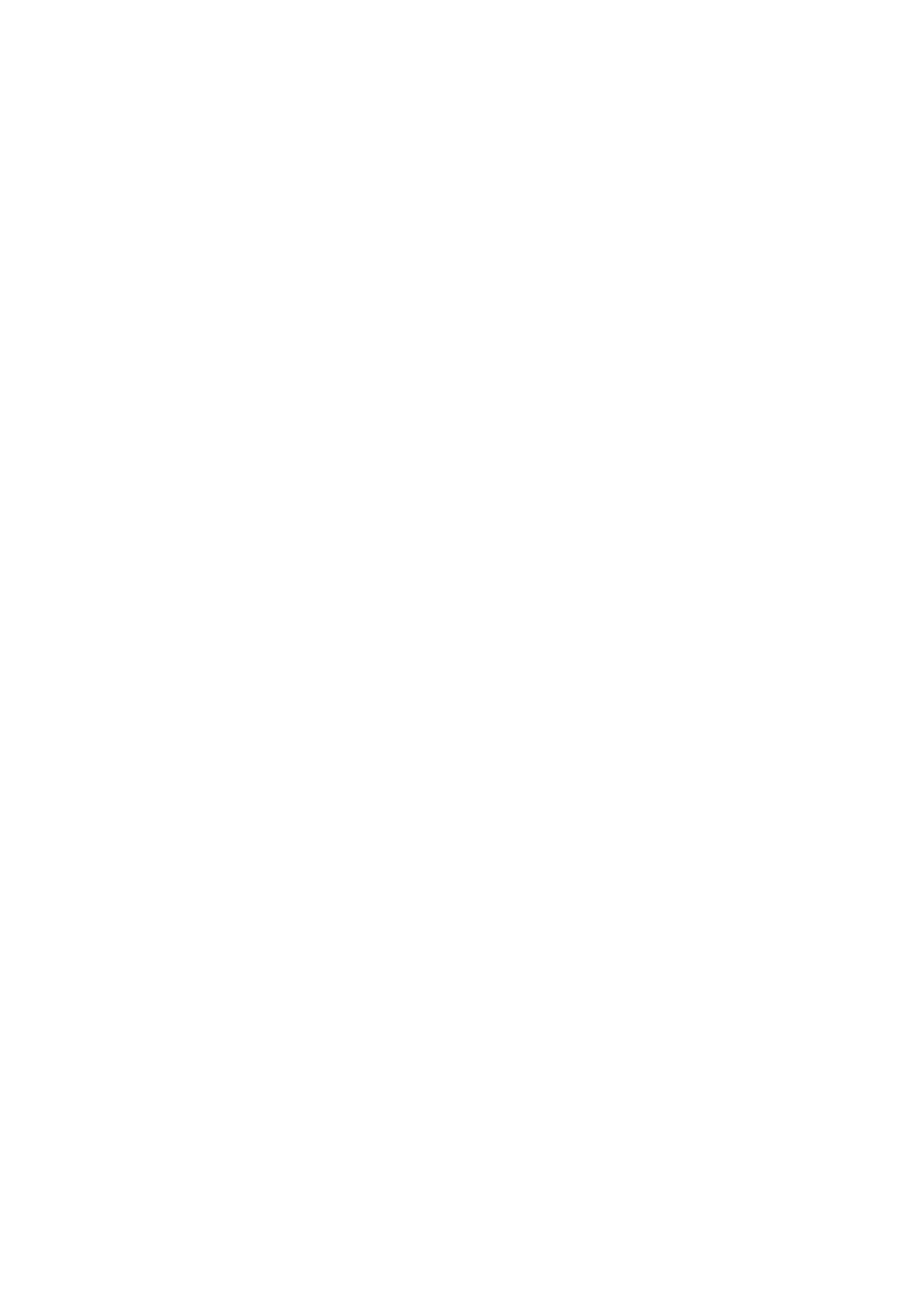| <b>Name</b>                                                       | <b>Fund name</b>                                                |
|-------------------------------------------------------------------|-----------------------------------------------------------------|
| Friends of the Arts Centre Gold Coast                             | Friends of the Arts Centre Gold Coast Gift Fund Inc Public Fund |
| Friends of the Queensland Conservatorium Inc                      | Friends of the Queensland Conservatorium                        |
| Full Throttle (Theatre) Inc                                       | Full Throttle (Theatre) Inc Arts Fund                           |
| Garden City Cultural Trust                                        | Garden City Cultural Trust                                      |
| Gladstone and District Christian Broadcasting Association         | Gladstone and District Christian Broadcasting Association Inc   |
| Inc                                                               | <b>Donations Fund</b>                                           |
| Gold Coast Arts Centre Pty Ltd                                    | <b>Gold Coast Arts Centre Fund</b>                              |
| Gold Coast Barbershop Harmony Club Inc                            | Gold Coast Barbershop Harmony Fund                              |
| Gold Coast Comedy Players Theatre Association Inc                 | Comedy Players Theatre Group Inc - Trust Account, The           |
| Gold Coast Philharmonic Society Inc                               | <b>GCPO Donations Fund</b>                                      |
| Gold Coast Symphony Orchestra                                     | <b>GCSO Public Fund</b>                                         |
| Gold Coast Youth Orchestra Inc                                    | Gold Coast Youth Orchestra Inc Donations Account                |
| Grand Square Australia Inc                                        | Grand Square Australia Inc                                      |
| Hands On Art Inc                                                  | Hands on Art Public Benefit Fund                                |
| Harvest Rain Ltd                                                  | Harvest Rain Theatre Donations Fund                             |
| Imogen Children's Chorale Trust                                   | Imogen Children's Chorale Trust                                 |
| Impress Printmakers Studio Brisbane Inc                           | Impress Printmakers Studio Brisbane Inc Public Gift Fund        |
| Indigenous Art Centre Alliance Incorporated                       | Indigenous Art Centre Alliance Gift Fund                        |
| Interactive Community Planning Australia Inc                      | Interactive Community Planning Australia Incorporation          |
| Iona Passion Play Inc                                             | Iona Passion Play Donation Account, The                         |
| Ipswich Junior Eisteddfod Society Inc, The                        | Ipswich Junior Eisteddfod Society Inc Donations Account, The    |
| Iranian Society of Queensland Cultural Foundation                 | Iranian Society of Queensland Cultural Trust Fund               |
| Jazz Radio Ltd                                                    | Jazz Radio Cultural Development Fund                            |
| Josephine Ulrick and Win Schubert Foundation for the Arts,<br>The | Josephine Ulrick and Win Schubert Foundation. The               |
| Joshua Trust                                                      | Joshua Trust Fund, The                                          |
| Jugglers Art Space Inc                                            | Jugglers Art Space Inc Donations Fund                           |
| Juice Media Ltd                                                   | Juice Media Ltd (Development Fund)                              |
| Just Us Theatre Ensemble                                          | <b>JUTE Donations Fund</b>                                      |
| Karnak Playhouse Ltd                                              | Karnak Playhouse Ltd Theatre Fund                               |
| Keppel Coast Arts Council Inc                                     | Keppel Coast Arts Public Fund                                   |
| KickArts Contemporary Arts Ltd                                    | KickArts contemporary Arts Donations Fund                       |
| Kooemba Jdarra Aboriginal Corporation                             | Kooemba Jdarra Cultural Account                                 |
| Kupidabin Cultural Association Incorporated                       | Kupidabin Development and Scholarship Fund                      |
| Kuranda Amphitheatre Society Inc                                  | Kuranda Amphitheatre Society Incorporated Cultural Fund         |
| La Boite Theatre Inc                                              | La Boite Theatre Fund                                           |
| La Luna Youth Arts Association Inc                                | Friends of La Luna                                              |
| Lev Vlassenko Piano Competition, The                              | Lev Vlassenko Piano Competition Donation Account, The           |
| Lines in the Sand, North Stradbroke Island Limited                | Lines in the Sand, North Stradbroke Island                      |
| Logan Artists Assoc Inc                                           | Logan Artists Assoc Inc Gift Fund                               |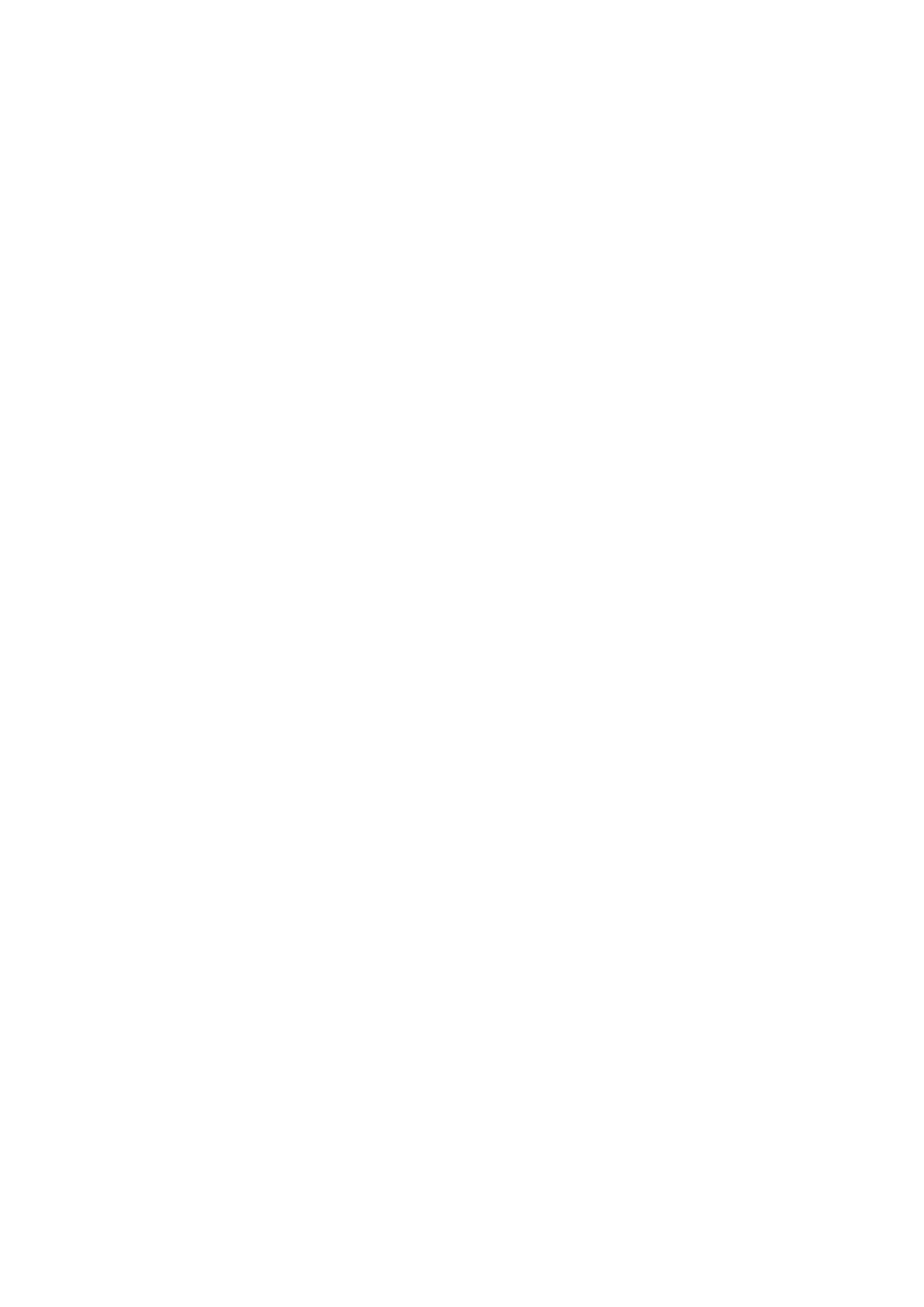| <b>Name</b>                                                           | <b>Fund name</b>                                                              |
|-----------------------------------------------------------------------|-------------------------------------------------------------------------------|
| Logan City Brass Band Inc                                             | Logan City Brass Band Advancement Fund                                        |
| Logan West Community ArtShare Alliance Inc                            | Logan West Community ArtShare Alliance Inc Gift Fund                          |
| MAAP - Multimedia Art Asia Pacific Inc.                               | MAAP - Multimedia Art Asia Pacific Inc.                                       |
| Machaneh International Creative Arts Inc                              | Machaneh International Creative Arts Inc Trust Fund                           |
| Mackay Choral Society Inc                                             | Mackay Choral Society Inc Development Fund                                    |
| Mackay Heritage Railway Inc                                           | Mackay Heritage Railway Steam Locomotive Restoration Fund                     |
| Major Brisbane Festivals Pty Ltd                                      | Friends of Brisbane Festival Funds                                            |
| Maleny Community Centre Inc                                           | Maleny Community and Cultural Centre Gift Fund                                |
| Mirndiyan Gununa Aboriginal Corporation                               | Mirndiyan Gununa Aboriginal Corporation Public Fund                           |
| Moogerah Passion Play Association Inc                                 | Living Waters Park Fund                                                       |
| Moreton Media Group Inc                                               | Moreton Media Group Inc Development Fund                                      |
| Mount Isa Christian Broadcasters Association Inc                      | Mt Isa Christian Broadcasters Assn trading as Radio Rhema<br>Development Fund |
| Mousetrap Theatre Company Inc                                         | Mousetrap Theatre Company Inc Donation Account                                |
| Mt Perry District Broadcasters Inc                                    | Mt Perry District Broadcasters Public Fund                                    |
| Museum and Gallery Services Queensland Limited                        | Museum and Gallery Services Queensland Donation Account                       |
| Music Broadcasting Society of Queensland Ltd                          | 4MBS Fine Music Fund                                                          |
| Music Industry Community Services Limited                             | MICS Cultural Fund                                                            |
| Nambour Lind Lane Theatre Inc                                         | Lind Lane Theatre Fund                                                        |
| National Young Writers' Festival Incorporated                         | National Young Writers' Festival Fund                                         |
| National Youth Choir of Australia Ltd                                 | <b>NYCA Fund Account</b>                                                      |
| New Flames Inc                                                        | New Flames Inc - Public Fund                                                  |
| Nintiringanyi Cultural Training Centre Incorporated                   | Nintiringanyi Cultural Training Fund                                          |
| Noosa Arts Theatre Inc                                                | Noosa Arts Theatre Public Fund, The                                           |
| Noosa Federation of the Arts Inc                                      | Noosa Federation of the Arts Inc No.2 Fund                                    |
| Noosa Long Weekend Inc, The                                           | Noosa Long Weekend Donations Fund, The                                        |
| North Queensland Ballet and Dance Company Limited T/AS<br>Dance North | Dance North Fund, The                                                         |
| North Queensland Ensembles Inc                                        | North Queensland Ensembles Inc Grants and Donations Account                   |
| Northern Australian Regional Performing Arts Centres                  | <b>NARPACA Public Fund</b>                                                    |
| <b>Association Inc</b><br>Opera Queensland Ltd                        | Opera Queensland Donations Fund                                               |
| Oriana Arts Inc                                                       | <b>Oriana Arts Inc Donations Fund</b>                                         |
| Playlab Inc                                                           | Playlab Inc Playwrights Fund                                                  |
| Pomona Progress Art Tourism Inc                                       | Majestic Theatre Public Fund                                                  |
| <b>Queensland Arts Council</b>                                        | Queensland Arts Council Cultural Support Fund                                 |
| Queensland Artworkers Alliance Inc                                    | Queensland Artworkers Alliance Inc Donation Fund                              |
| Queensland Ballet                                                     | Queensland Ballet Fund, The                                                   |
| Queensland Centre for Photography Association Inc                     | Queensland Centre for Photography Association Inc                             |
|                                                                       |                                                                               |
| Queensland Choir, The                                                 | Queensland State and Municipal Choir Inc Public Fund                          |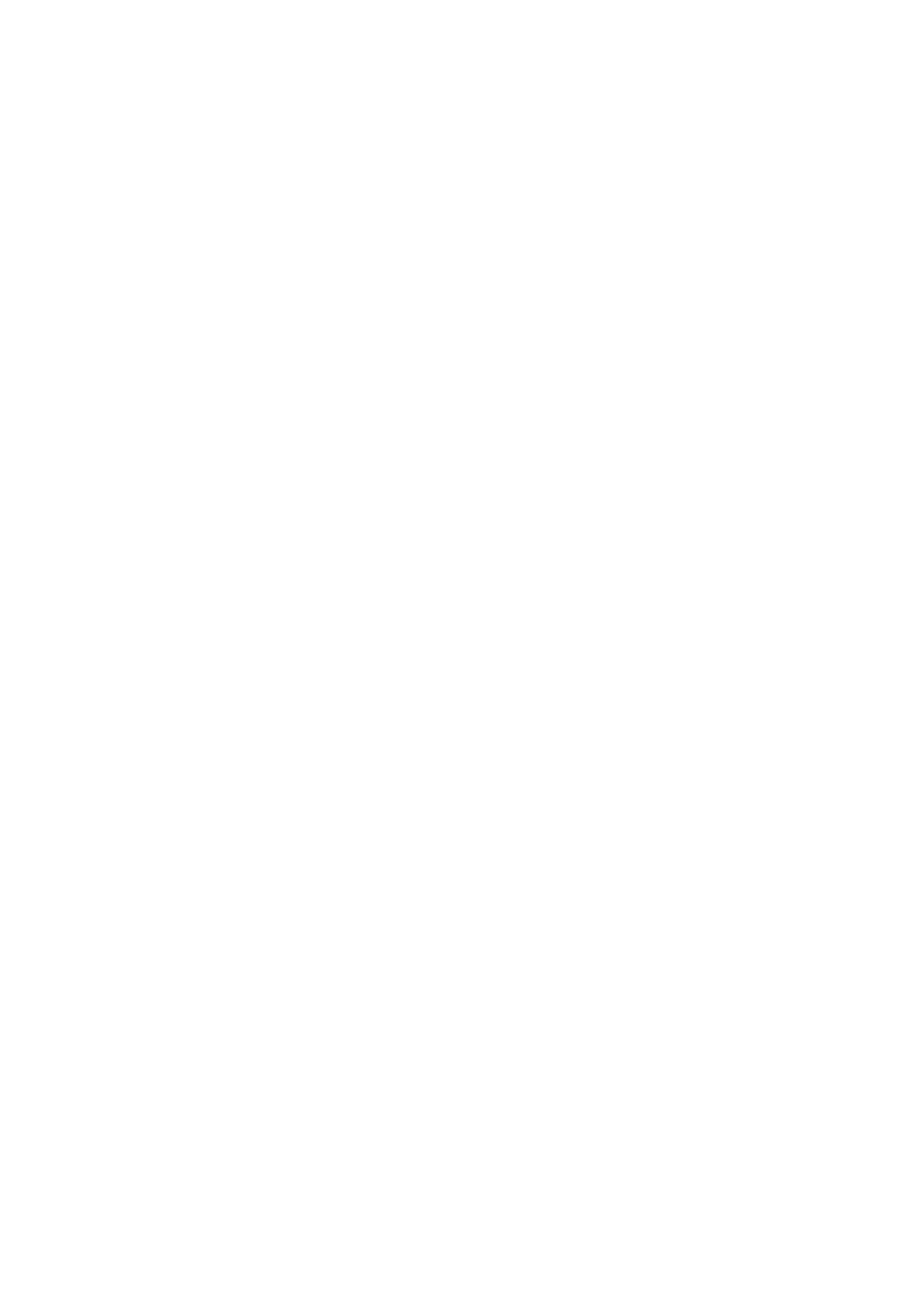| <b>Name</b>                                                        | <b>Fund name</b>                                                      |
|--------------------------------------------------------------------|-----------------------------------------------------------------------|
| Queensland Folk Federation Incorporated                            | Woodford Art Fund                                                     |
| Queensland Irish Heritage Trust Fund                               | Queensland Irish Heritage Trust Fund                                  |
| Queensland Music Festival Pty Ltd                                  | Queensland Music Festival Fund                                        |
| Queensland Music Network Inc                                       | Queensland Music Network Inc Public Fund                              |
| Queensland Musical Theatre & Arts Inc                              | Queensland Music Theatre & Arts Inc Public Fund                       |
| Queensland Omnibus and Coach Society Inc.                          | Friends of the Queensland Bus Museum                                  |
| Queensland Orchestra Development & Innovation Fund<br>Incorporated | Queensland Orchestra Development and Innovation Foundation,<br>The    |
| Queensland Performing Arts Trust                                   | Queensland Performing Arts Trust Donations Fund                       |
| Queensland Services Heritage Band Association                      | Queensland Services Heritage Band Association Inc Public Account      |
| Queensland Shakespeare Ensemble Inc                                | Queensland Shakespeare Ensemble Fund                                  |
| Queensland Symphony Orchestra Pty Ltd                              | Queensland Symphony Orchestra Fund                                    |
| Queensland Theatre Company                                         | Queensland Theatre Company Donations Fund                             |
| Queensland Theatre of Puppetry Inc                                 | Queensland Theatre of Puppetry Inc Donations Account                  |
| Queensland Writers' Centre Association Inc                         | Queensland Writers' Centre Association Inc Public Fund                |
| Queensland Youth Choir Inc                                         | Queensland Youth Choir Inc Development Fund                           |
| Queensland Youth Orchestra Council (T/A                            | Queensland Youth Orchestras Development Fund                          |
| Queensland Youth Orchestras)                                       |                                                                       |
| Red Ridge (Interior Queensland) Limited                            | Red Ridge Foundation Public Fund                                      |
| Redland Sinfonia Incorporated                                      | <b>Redland Sinfonia Inc Public Donations Account</b>                  |
| Redlands Eisteddfod Inc                                            | Redlands Eisteddfod Donations Fund                                    |
| Regional Galleries Association of Queensland Inc                   | <b>RGAQ Fund</b>                                                      |
| RHUM Events & Media Inc                                            | <b>RHUM Fund</b>                                                      |
| Rockhampton Eisteddfod Association Incorporated                    | Rockhampton Eisteddfod Association Inc Public Fund                    |
| Rockhampton Musical Union Choir Incorporated                       | RMU Choir Public Fund                                                 |
| Rockhampton Youth Orchestra Inc                                    | The Rockhampton Youth Orchestra Inc Donations Account                 |
| Rosella Jam Inc                                                    | Rosella Jam Inc's Supporters Fund                                     |
| Salt Water Murris' Quandamooka Inc                                 | Salt Water Murris' Quandamooka Inc                                    |
| Shakespeare Under the Stars                                        | Shakespeare Under the Stars Fund                                      |
| Society of Australian Fight Directors Inc                          | Society of Australian Fight Directors Inc Development Fund<br>Account |
| South Burnett Community Orchestra Association Inc                  | South Burnett Community Orchestra Association Inc Public Fund         |
| Southern Cross Soloists Music Ltd                                  | Southern Cross Soloists Music Donations Account                       |
| Spotlight Theatrical Company                                       | Spotlight Theatrical Company Donations Fund, The                      |
| St John's Cathedral Choral Music Trust, The                        | St John's Cathedral Choral Music Gift Fund, The                       |
| St Lucia Musicians Fund Limited, The                               | Musicians Fund at St Lucia                                            |
| St Mary's Music Foundation                                         | St Mary's Music Foundation Fund                                       |
| Stitchery Collective, The                                          | Stitchery Community Projects Fund, The                                |
| Stradbroke Chamber Music Festival Inc                              | Stradbroke Chamber Music Festival Inc Public Fund                     |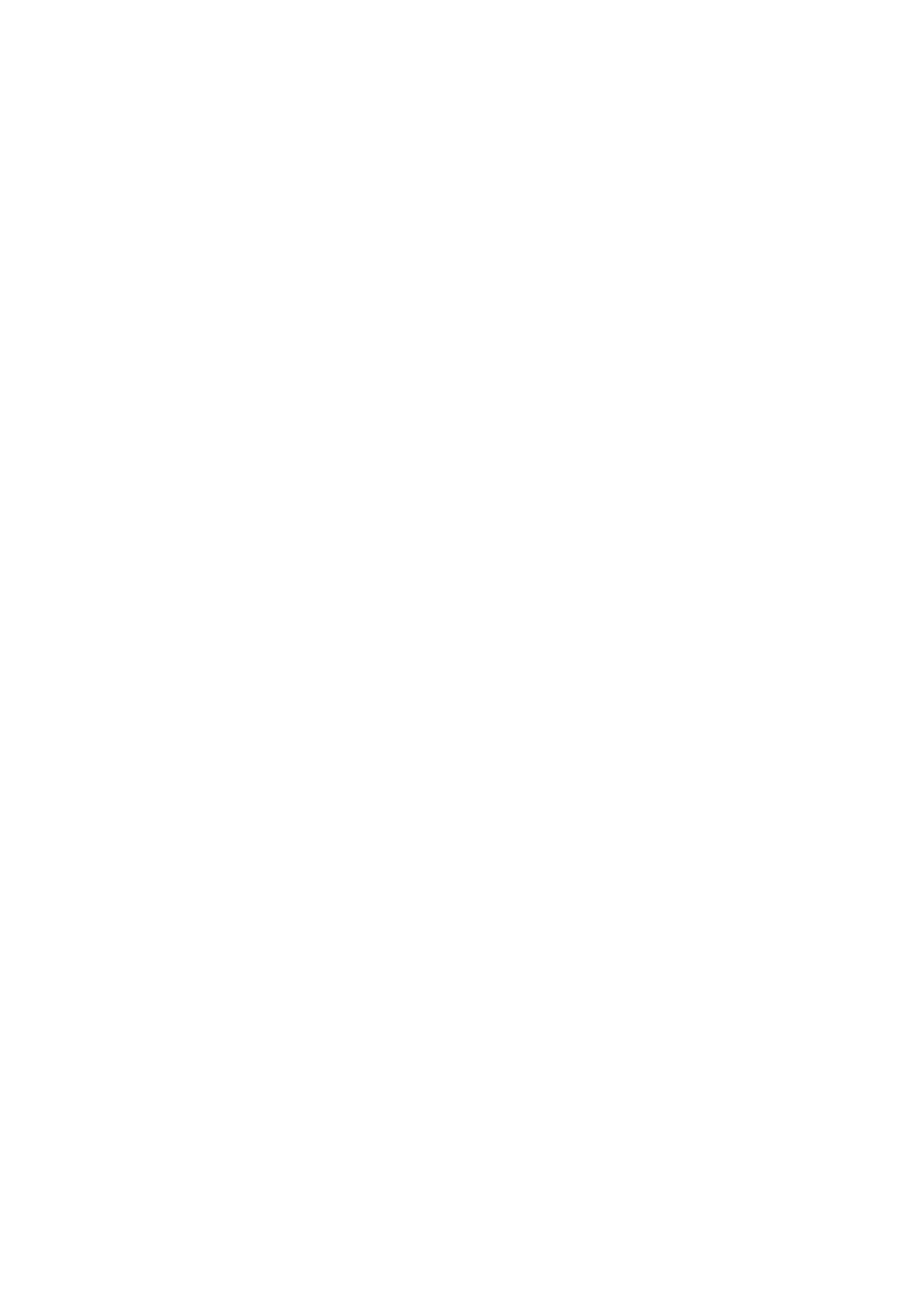| <b>Name</b>                                                        | <b>Fund name</b>                                                             |
|--------------------------------------------------------------------|------------------------------------------------------------------------------|
| Sunshine Coast Christian Broadcasters Association Inc              | Sunshine Coast Christian Broadcasters Association Inc Public Fund<br>Account |
| Sunshine Coast Youth Orchestra Incorporated                        | Sunshine Coast Youth Orchestra Inc Public Fund                               |
| Swell Currumbin Sculpture Festival                                 | Swell Currumbin Sculpture Festival Donations Fund                            |
| Thancoupie's Bursary Fund Ltd                                      | Western Cape Aboriginal Youth Art Bursary Fund                               |
| Toowoomba Christian Broadcasters Association Inc                   | <b>TCBA Gift Fund</b>                                                        |
| Toowoomba Repertory Theatre Society, The                           | Toowoomba Repertory Theatre Society Building Fund                            |
| Topology Inc                                                       | Topology Inc Top Friends Fund                                                |
| Towers Players Inc.                                                | <b>Towers Players Inc Donations</b>                                          |
| Townsville Christian Broadcasters Association Inc (T/A Live<br>FM) | Live FM Development Fund                                                     |
| Townsville Citizens Band Association Inc                           | Townsville Citizens Band Association Donations Fund                          |
| Townsville Community Music Centre Inc                              | Townsville Community Music Centre Donations Account                          |
| <b>Townsville Concert Bands Inc.</b>                               | <b>Townsville Concert Bands Inc Donation Account</b>                         |
| Townsville Writers and Publishers Centre Inc                       | Townsville Writers and Publishers Centre Public Fund                         |
| Umbrella Studio Association Inc                                    | Umbrella Studio Association Inc Donations Account                            |
| Umi Arts Ltd                                                       | Umi Arts Ltd Public Account                                                  |
| United Christian Broadcasters Australia Ltd                        | UCB Australia Development Fund                                               |
| Valley Theatrical Players Inc                                      | Valley Theatrical Players Building Fund                                      |
| Vast Arts Inc                                                      | Vast Arts Fund                                                               |
| <b>Voices of Birralee Inc</b>                                      | Voices of Birralee Inc Public Fund                                           |
| Vulcana Women's Circus Inc                                         | Vulcana Women's Circus Fund                                                  |
| Wagner Society in Queensland Inc, The                              | Wagner Society in Queensland Inc Public Donations Fund, The                  |
| Wahine Maori Queensland Inc                                        | Wahine Maori of Queensland Fund                                              |
| Wide Bay Christian Broadcasters Association Inc                    | Wide Bay Rhema Development Fund                                              |
| Wondai and District Band Association Inc                           | Wondai & District Band Association Donations Account                         |
| Wynnum Manly Arts Council Inc                                      | Wynnum Manly Arts Council Inc Public Fund                                    |
| Zen Zen Zo Physical Theatre Ltd                                    | Zen Zen Zo Physical Theatre Donations Fund                                   |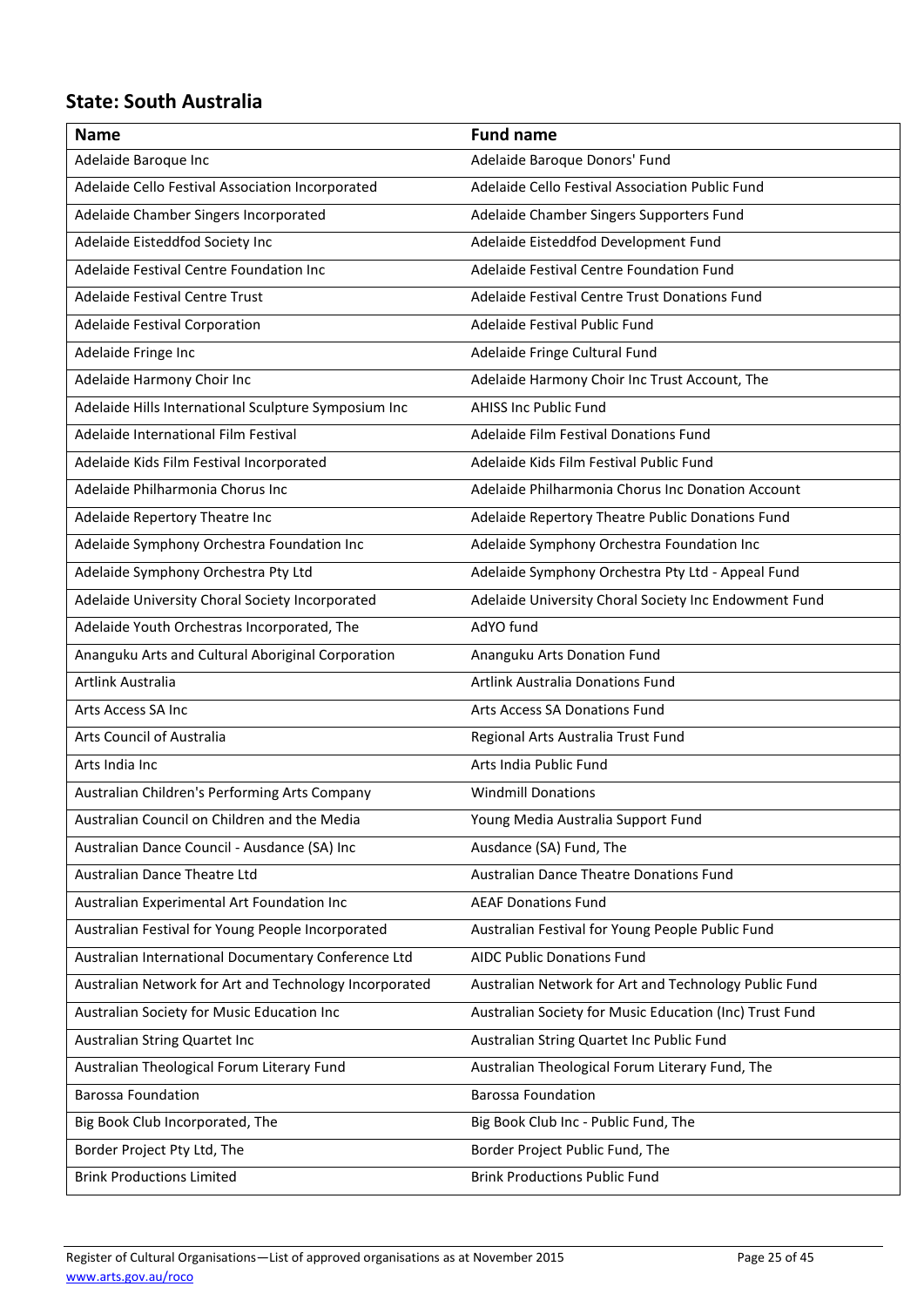#### **State: South Australia**

| <b>Name</b>                                            | <b>Fund name</b>                                        |
|--------------------------------------------------------|---------------------------------------------------------|
| Adelaide Baroque Inc                                   | Adelaide Baroque Donors' Fund                           |
| Adelaide Cello Festival Association Incorporated       | Adelaide Cello Festival Association Public Fund         |
| Adelaide Chamber Singers Incorporated                  | Adelaide Chamber Singers Supporters Fund                |
| Adelaide Eisteddfod Society Inc                        | Adelaide Eisteddfod Development Fund                    |
| Adelaide Festival Centre Foundation Inc                | Adelaide Festival Centre Foundation Fund                |
| <b>Adelaide Festival Centre Trust</b>                  | Adelaide Festival Centre Trust Donations Fund           |
| Adelaide Festival Corporation                          | Adelaide Festival Public Fund                           |
| Adelaide Fringe Inc                                    | Adelaide Fringe Cultural Fund                           |
| Adelaide Harmony Choir Inc                             | Adelaide Harmony Choir Inc Trust Account, The           |
| Adelaide Hills International Sculpture Symposium Inc   | <b>AHISS Inc Public Fund</b>                            |
| Adelaide International Film Festival                   | Adelaide Film Festival Donations Fund                   |
| Adelaide Kids Film Festival Incorporated               | Adelaide Kids Film Festival Public Fund                 |
| Adelaide Philharmonia Chorus Inc                       | Adelaide Philharmonia Chorus Inc Donation Account       |
| Adelaide Repertory Theatre Inc                         | Adelaide Repertory Theatre Public Donations Fund        |
| Adelaide Symphony Orchestra Foundation Inc             | Adelaide Symphony Orchestra Foundation Inc              |
| Adelaide Symphony Orchestra Pty Ltd                    | Adelaide Symphony Orchestra Pty Ltd - Appeal Fund       |
| Adelaide University Choral Society Incorporated        | Adelaide University Choral Society Inc Endowment Fund   |
| Adelaide Youth Orchestras Incorporated, The            | AdYO fund                                               |
| Ananguku Arts and Cultural Aboriginal Corporation      | Ananguku Arts Donation Fund                             |
| Artlink Australia                                      | Artlink Australia Donations Fund                        |
| Arts Access SA Inc                                     | Arts Access SA Donations Fund                           |
| Arts Council of Australia                              | Regional Arts Australia Trust Fund                      |
| Arts India Inc                                         | Arts India Public Fund                                  |
| Australian Children's Performing Arts Company          | <b>Windmill Donations</b>                               |
| Australian Council on Children and the Media           | Young Media Australia Support Fund                      |
| Australian Dance Council - Ausdance (SA) Inc           | Ausdance (SA) Fund, The                                 |
| Australian Dance Theatre Ltd                           | <b>Australian Dance Theatre Donations Fund</b>          |
| Australian Experimental Art Foundation Inc             | <b>AEAF Donations Fund</b>                              |
| Australian Festival for Young People Incorporated      | Australian Festival for Young People Public Fund        |
| Australian International Documentary Conference Ltd    | <b>AIDC Public Donations Fund</b>                       |
| Australian Network for Art and Technology Incorporated | Australian Network for Art and Technology Public Fund   |
| Australian Society for Music Education Inc             | Australian Society for Music Education (Inc) Trust Fund |
| Australian String Quartet Inc                          | Australian String Quartet Inc Public Fund               |
| Australian Theological Forum Literary Fund             | Australian Theological Forum Literary Fund, The         |
| <b>Barossa Foundation</b>                              | <b>Barossa Foundation</b>                               |
| Big Book Club Incorporated, The                        | Big Book Club Inc - Public Fund, The                    |
| Border Project Pty Ltd, The                            | Border Project Public Fund, The                         |
| <b>Brink Productions Limited</b>                       | <b>Brink Productions Public Fund</b>                    |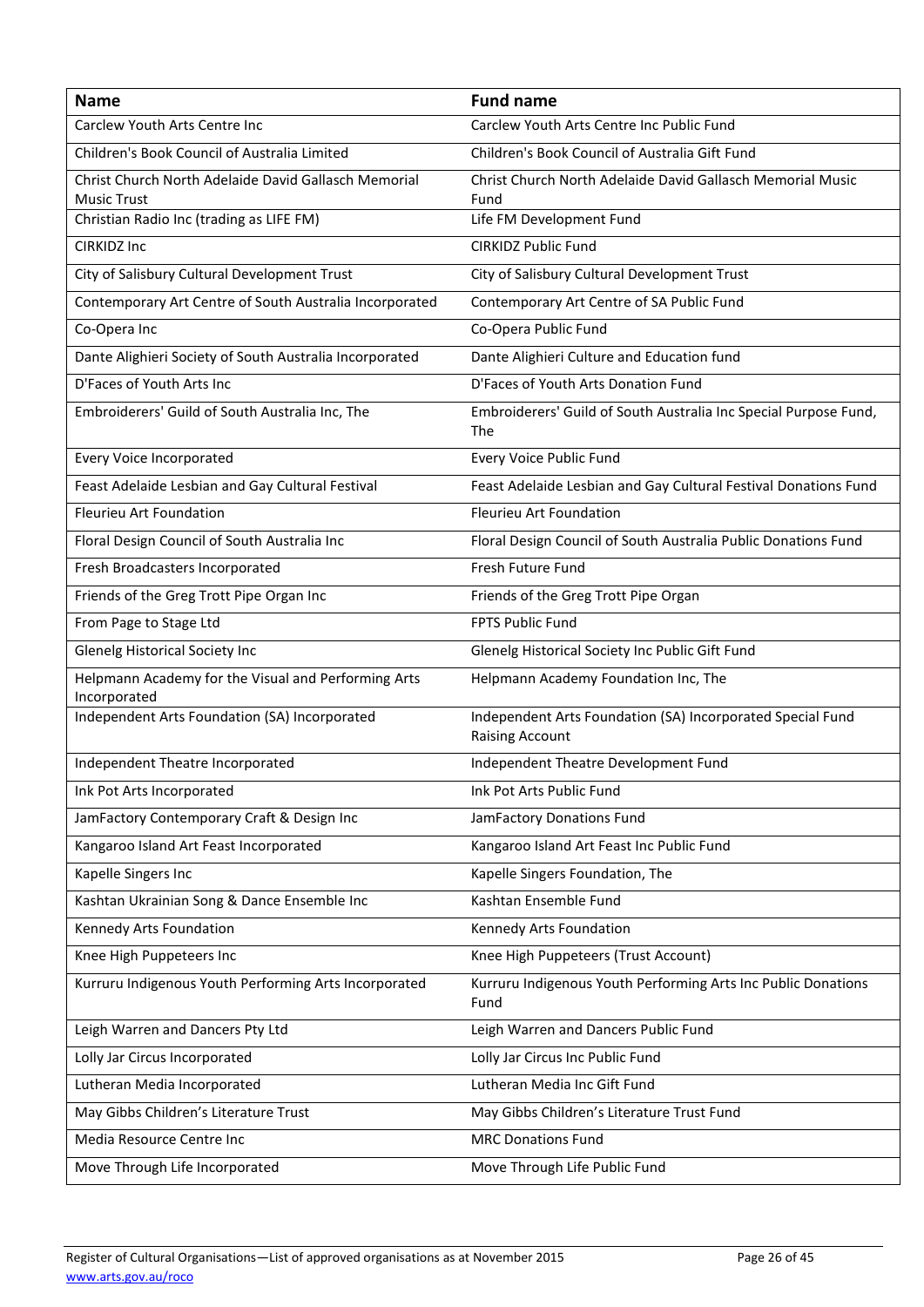| <b>Name</b>                                                                | <b>Fund name</b>                                                                     |
|----------------------------------------------------------------------------|--------------------------------------------------------------------------------------|
| Carclew Youth Arts Centre Inc                                              | Carclew Youth Arts Centre Inc Public Fund                                            |
| Children's Book Council of Australia Limited                               | Children's Book Council of Australia Gift Fund                                       |
| Christ Church North Adelaide David Gallasch Memorial<br><b>Music Trust</b> | Christ Church North Adelaide David Gallasch Memorial Music<br>Fund                   |
| Christian Radio Inc (trading as LIFE FM)                                   | Life FM Development Fund                                                             |
| CIRKIDZ Inc                                                                | <b>CIRKIDZ Public Fund</b>                                                           |
| City of Salisbury Cultural Development Trust                               | City of Salisbury Cultural Development Trust                                         |
| Contemporary Art Centre of South Australia Incorporated                    | Contemporary Art Centre of SA Public Fund                                            |
| Co-Opera Inc                                                               | Co-Opera Public Fund                                                                 |
| Dante Alighieri Society of South Australia Incorporated                    | Dante Alighieri Culture and Education fund                                           |
| D'Faces of Youth Arts Inc                                                  | D'Faces of Youth Arts Donation Fund                                                  |
| Embroiderers' Guild of South Australia Inc, The                            | Embroiderers' Guild of South Australia Inc Special Purpose Fund,<br>The              |
| Every Voice Incorporated                                                   | Every Voice Public Fund                                                              |
| Feast Adelaide Lesbian and Gay Cultural Festival                           | Feast Adelaide Lesbian and Gay Cultural Festival Donations Fund                      |
| <b>Fleurieu Art Foundation</b>                                             | <b>Fleurieu Art Foundation</b>                                                       |
| Floral Design Council of South Australia Inc                               | Floral Design Council of South Australia Public Donations Fund                       |
| Fresh Broadcasters Incorporated                                            | Fresh Future Fund                                                                    |
| Friends of the Greg Trott Pipe Organ Inc                                   | Friends of the Greg Trott Pipe Organ                                                 |
| From Page to Stage Ltd                                                     | FPTS Public Fund                                                                     |
| <b>Glenelg Historical Society Inc</b>                                      | Glenelg Historical Society Inc Public Gift Fund                                      |
| Helpmann Academy for the Visual and Performing Arts<br>Incorporated        | Helpmann Academy Foundation Inc, The                                                 |
| Independent Arts Foundation (SA) Incorporated                              | Independent Arts Foundation (SA) Incorporated Special Fund<br><b>Raising Account</b> |
| Independent Theatre Incorporated                                           | Independent Theatre Development Fund                                                 |
| Ink Pot Arts Incorporated                                                  | Ink Pot Arts Public Fund                                                             |
| JamFactory Contemporary Craft & Design Inc                                 | JamFactory Donations Fund                                                            |
| Kangaroo Island Art Feast Incorporated                                     | Kangaroo Island Art Feast Inc Public Fund                                            |
| Kapelle Singers Inc                                                        | Kapelle Singers Foundation, The                                                      |
| Kashtan Ukrainian Song & Dance Ensemble Inc                                | Kashtan Ensemble Fund                                                                |
| Kennedy Arts Foundation                                                    | Kennedy Arts Foundation                                                              |
| Knee High Puppeteers Inc                                                   | Knee High Puppeteers (Trust Account)                                                 |
| Kurruru Indigenous Youth Performing Arts Incorporated                      | Kurruru Indigenous Youth Performing Arts Inc Public Donations<br>Fund                |
| Leigh Warren and Dancers Pty Ltd                                           | Leigh Warren and Dancers Public Fund                                                 |
| Lolly Jar Circus Incorporated                                              | Lolly Jar Circus Inc Public Fund                                                     |
| Lutheran Media Incorporated                                                | Lutheran Media Inc Gift Fund                                                         |
| May Gibbs Children's Literature Trust                                      | May Gibbs Children's Literature Trust Fund                                           |
| Media Resource Centre Inc                                                  | <b>MRC Donations Fund</b>                                                            |
| Move Through Life Incorporated                                             | Move Through Life Public Fund                                                        |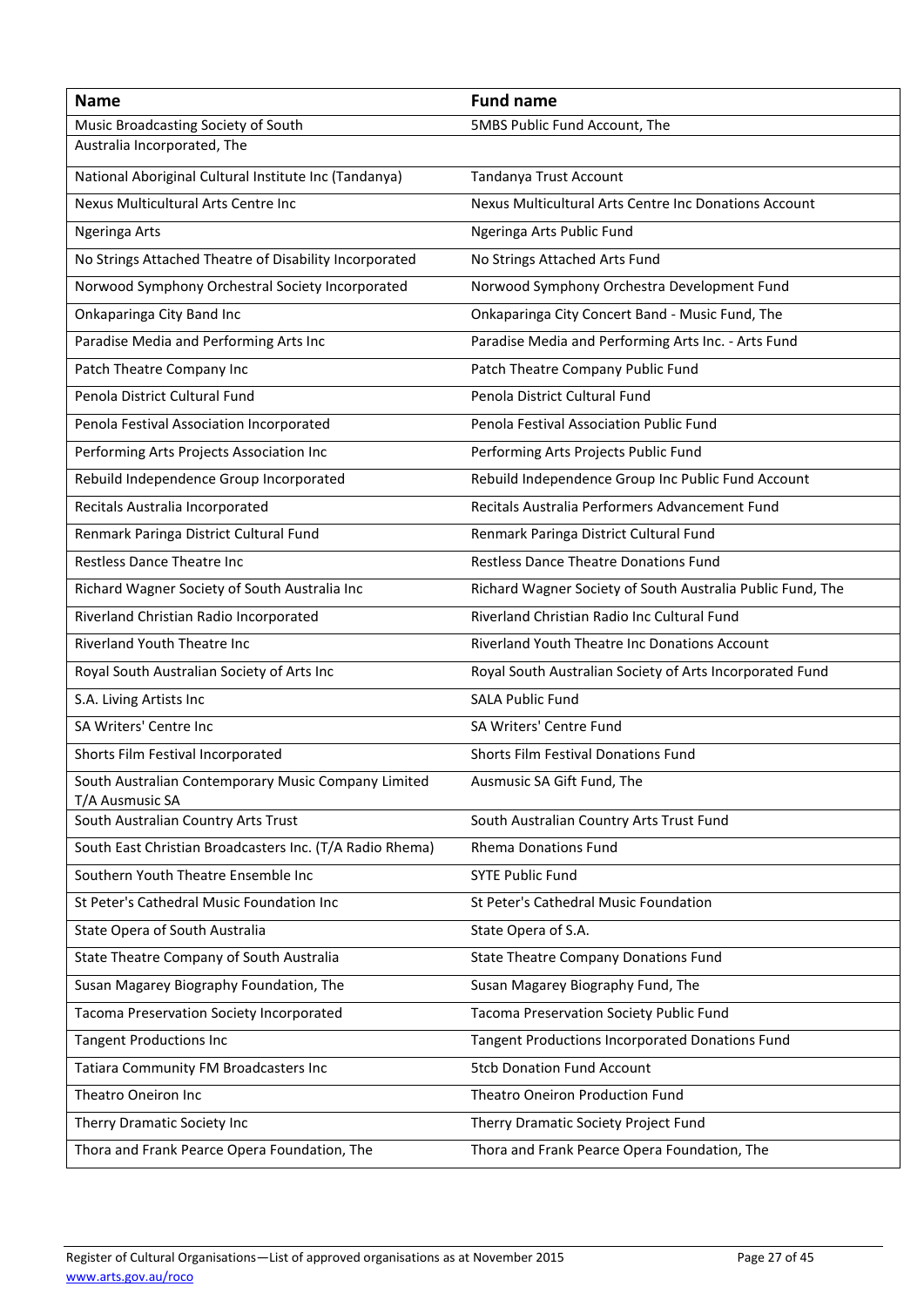| <b>Name</b>                                                            | <b>Fund name</b>                                           |
|------------------------------------------------------------------------|------------------------------------------------------------|
| Music Broadcasting Society of South                                    | 5MBS Public Fund Account, The                              |
| Australia Incorporated, The                                            |                                                            |
| National Aboriginal Cultural Institute Inc (Tandanya)                  | Tandanya Trust Account                                     |
| Nexus Multicultural Arts Centre Inc                                    | Nexus Multicultural Arts Centre Inc Donations Account      |
| Ngeringa Arts                                                          | Ngeringa Arts Public Fund                                  |
| No Strings Attached Theatre of Disability Incorporated                 | No Strings Attached Arts Fund                              |
| Norwood Symphony Orchestral Society Incorporated                       | Norwood Symphony Orchestra Development Fund                |
| Onkaparinga City Band Inc                                              | Onkaparinga City Concert Band - Music Fund, The            |
| Paradise Media and Performing Arts Inc                                 | Paradise Media and Performing Arts Inc. - Arts Fund        |
| Patch Theatre Company Inc                                              | Patch Theatre Company Public Fund                          |
| Penola District Cultural Fund                                          | Penola District Cultural Fund                              |
| Penola Festival Association Incorporated                               | Penola Festival Association Public Fund                    |
| Performing Arts Projects Association Inc                               | Performing Arts Projects Public Fund                       |
| Rebuild Independence Group Incorporated                                | Rebuild Independence Group Inc Public Fund Account         |
| Recitals Australia Incorporated                                        | Recitals Australia Performers Advancement Fund             |
| Renmark Paringa District Cultural Fund                                 | Renmark Paringa District Cultural Fund                     |
| <b>Restless Dance Theatre Inc.</b>                                     | <b>Restless Dance Theatre Donations Fund</b>               |
| Richard Wagner Society of South Australia Inc                          | Richard Wagner Society of South Australia Public Fund, The |
| Riverland Christian Radio Incorporated                                 | Riverland Christian Radio Inc Cultural Fund                |
| Riverland Youth Theatre Inc                                            | Riverland Youth Theatre Inc Donations Account              |
| Royal South Australian Society of Arts Inc                             | Royal South Australian Society of Arts Incorporated Fund   |
| S.A. Living Artists Inc                                                | <b>SALA Public Fund</b>                                    |
| SA Writers' Centre Inc                                                 | SA Writers' Centre Fund                                    |
| Shorts Film Festival Incorporated                                      | Shorts Film Festival Donations Fund                        |
| South Australian Contemporary Music Company Limited<br>T/A Ausmusic SA | Ausmusic SA Gift Fund, The                                 |
| South Australian Country Arts Trust                                    | South Australian Country Arts Trust Fund                   |
| South East Christian Broadcasters Inc. (T/A Radio Rhema)               | <b>Rhema Donations Fund</b>                                |
| Southern Youth Theatre Ensemble Inc                                    | <b>SYTE Public Fund</b>                                    |
| St Peter's Cathedral Music Foundation Inc                              | St Peter's Cathedral Music Foundation                      |
| State Opera of South Australia                                         | State Opera of S.A.                                        |
| State Theatre Company of South Australia                               | <b>State Theatre Company Donations Fund</b>                |
| Susan Magarey Biography Foundation, The                                | Susan Magarey Biography Fund, The                          |
| Tacoma Preservation Society Incorporated                               | Tacoma Preservation Society Public Fund                    |
| <b>Tangent Productions Inc</b>                                         | Tangent Productions Incorporated Donations Fund            |
| Tatiara Community FM Broadcasters Inc                                  | <b>5tcb Donation Fund Account</b>                          |
| Theatro Oneiron Inc                                                    | Theatro Oneiron Production Fund                            |
| Therry Dramatic Society Inc                                            | Therry Dramatic Society Project Fund                       |
| Thora and Frank Pearce Opera Foundation, The                           | Thora and Frank Pearce Opera Foundation, The               |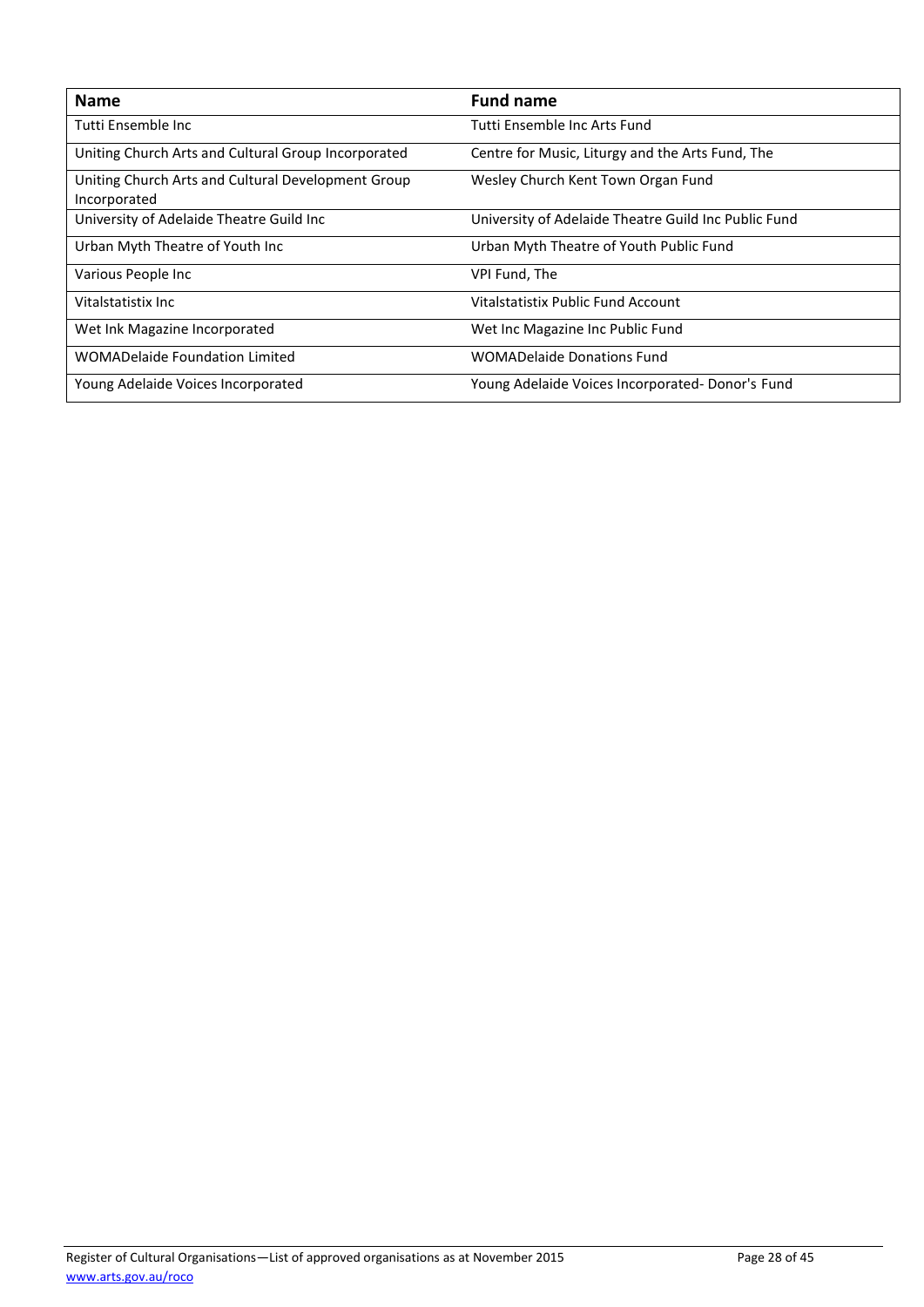| <b>Name</b>                                                        | <b>Fund name</b>                                     |
|--------------------------------------------------------------------|------------------------------------------------------|
| Tutti Ensemble Inc                                                 | Tutti Ensemble Inc Arts Fund                         |
| Uniting Church Arts and Cultural Group Incorporated                | Centre for Music, Liturgy and the Arts Fund, The     |
| Uniting Church Arts and Cultural Development Group<br>Incorporated | Wesley Church Kent Town Organ Fund                   |
| University of Adelaide Theatre Guild Inc                           | University of Adelaide Theatre Guild Inc Public Fund |
| Urban Myth Theatre of Youth Inc                                    | Urban Myth Theatre of Youth Public Fund              |
| Various People Inc                                                 | VPI Fund, The                                        |
| Vitalstatistix Inc                                                 | Vitalstatistix Public Fund Account                   |
| Wet Ink Magazine Incorporated                                      | Wet Inc Magazine Inc Public Fund                     |
| WOMADelaide Foundation Limited                                     | <b>WOMADelaide Donations Fund</b>                    |
| Young Adelaide Voices Incorporated                                 | Young Adelaide Voices Incorporated-Donor's Fund      |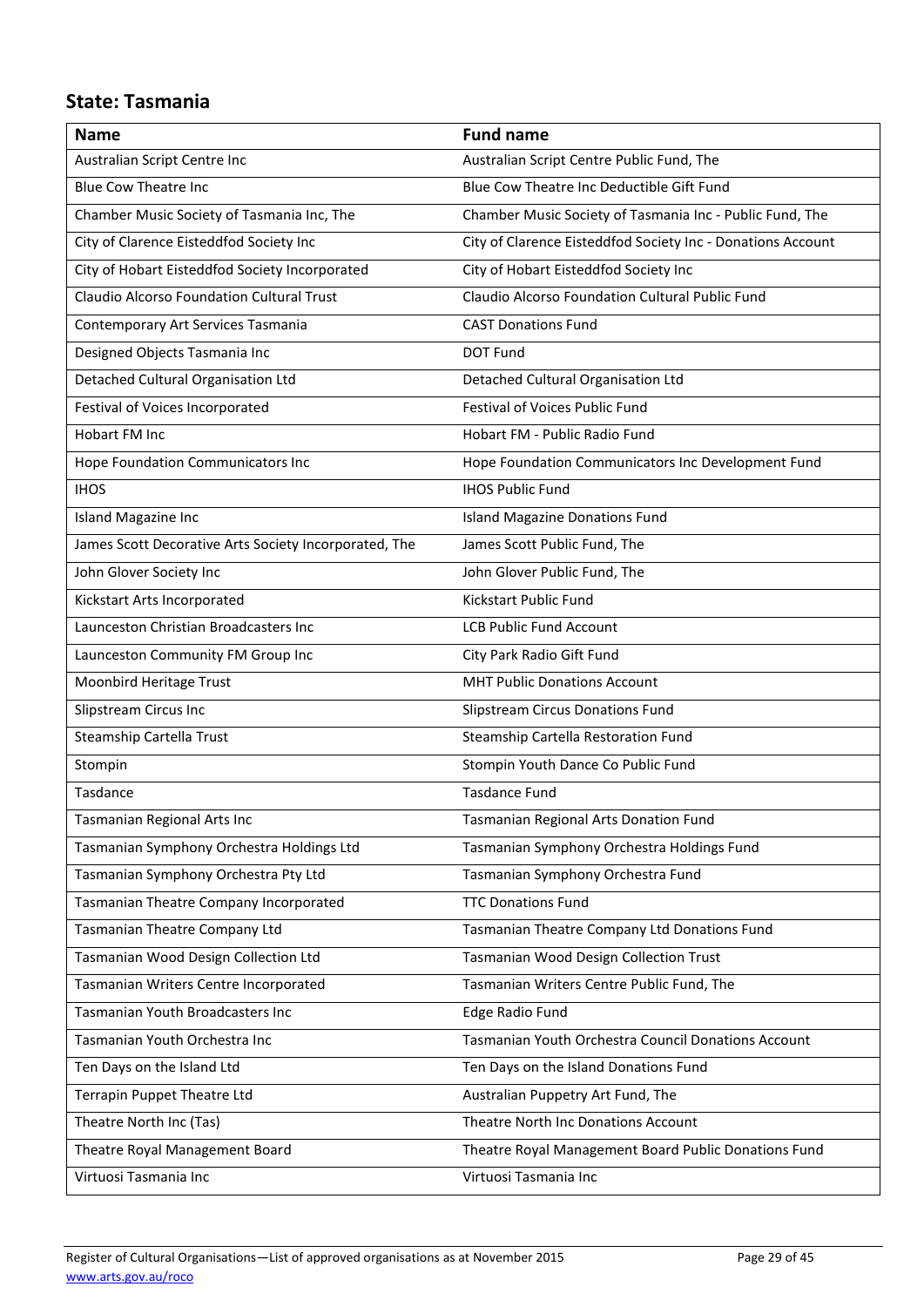## **State: Tasmania**

| <b>Name</b>                                           | <b>Fund name</b>                                            |
|-------------------------------------------------------|-------------------------------------------------------------|
| Australian Script Centre Inc                          | Australian Script Centre Public Fund, The                   |
| <b>Blue Cow Theatre Inc</b>                           | Blue Cow Theatre Inc Deductible Gift Fund                   |
| Chamber Music Society of Tasmania Inc, The            | Chamber Music Society of Tasmania Inc - Public Fund, The    |
| City of Clarence Eisteddfod Society Inc               | City of Clarence Eisteddfod Society Inc - Donations Account |
| City of Hobart Eisteddfod Society Incorporated        | City of Hobart Eisteddfod Society Inc                       |
| <b>Claudio Alcorso Foundation Cultural Trust</b>      | Claudio Alcorso Foundation Cultural Public Fund             |
| Contemporary Art Services Tasmania                    | <b>CAST Donations Fund</b>                                  |
| Designed Objects Tasmania Inc                         | DOT Fund                                                    |
| Detached Cultural Organisation Ltd                    | Detached Cultural Organisation Ltd                          |
| Festival of Voices Incorporated                       | <b>Festival of Voices Public Fund</b>                       |
| Hobart FM Inc                                         | Hobart FM - Public Radio Fund                               |
| Hope Foundation Communicators Inc                     | Hope Foundation Communicators Inc Development Fund          |
| <b>IHOS</b>                                           | <b>IHOS Public Fund</b>                                     |
| Island Magazine Inc                                   | <b>Island Magazine Donations Fund</b>                       |
| James Scott Decorative Arts Society Incorporated, The | James Scott Public Fund, The                                |
| John Glover Society Inc                               | John Glover Public Fund, The                                |
| Kickstart Arts Incorporated                           | Kickstart Public Fund                                       |
| Launceston Christian Broadcasters Inc                 | <b>LCB Public Fund Account</b>                              |
| Launceston Community FM Group Inc                     | City Park Radio Gift Fund                                   |
| Moonbird Heritage Trust                               | <b>MHT Public Donations Account</b>                         |
| Slipstream Circus Inc                                 | <b>Slipstream Circus Donations Fund</b>                     |
| Steamship Cartella Trust                              | Steamship Cartella Restoration Fund                         |
| Stompin                                               | Stompin Youth Dance Co Public Fund                          |
| Tasdance                                              | <b>Tasdance Fund</b>                                        |
| Tasmanian Regional Arts Inc                           | Tasmanian Regional Arts Donation Fund                       |
| Tasmanian Symphony Orchestra Holdings Ltd             | Tasmanian Symphony Orchestra Holdings Fund                  |
| Tasmanian Symphony Orchestra Pty Ltd                  | Tasmanian Symphony Orchestra Fund                           |
| Tasmanian Theatre Company Incorporated                | <b>TTC Donations Fund</b>                                   |
| Tasmanian Theatre Company Ltd                         | Tasmanian Theatre Company Ltd Donations Fund                |
| Tasmanian Wood Design Collection Ltd                  | Tasmanian Wood Design Collection Trust                      |
| Tasmanian Writers Centre Incorporated                 | Tasmanian Writers Centre Public Fund, The                   |
| Tasmanian Youth Broadcasters Inc                      | Edge Radio Fund                                             |
| Tasmanian Youth Orchestra Inc                         | Tasmanian Youth Orchestra Council Donations Account         |
| Ten Days on the Island Ltd                            | Ten Days on the Island Donations Fund                       |
| Terrapin Puppet Theatre Ltd                           | Australian Puppetry Art Fund, The                           |
| Theatre North Inc (Tas)                               | Theatre North Inc Donations Account                         |
| Theatre Royal Management Board                        | Theatre Royal Management Board Public Donations Fund        |
| Virtuosi Tasmania Inc                                 | Virtuosi Tasmania Inc                                       |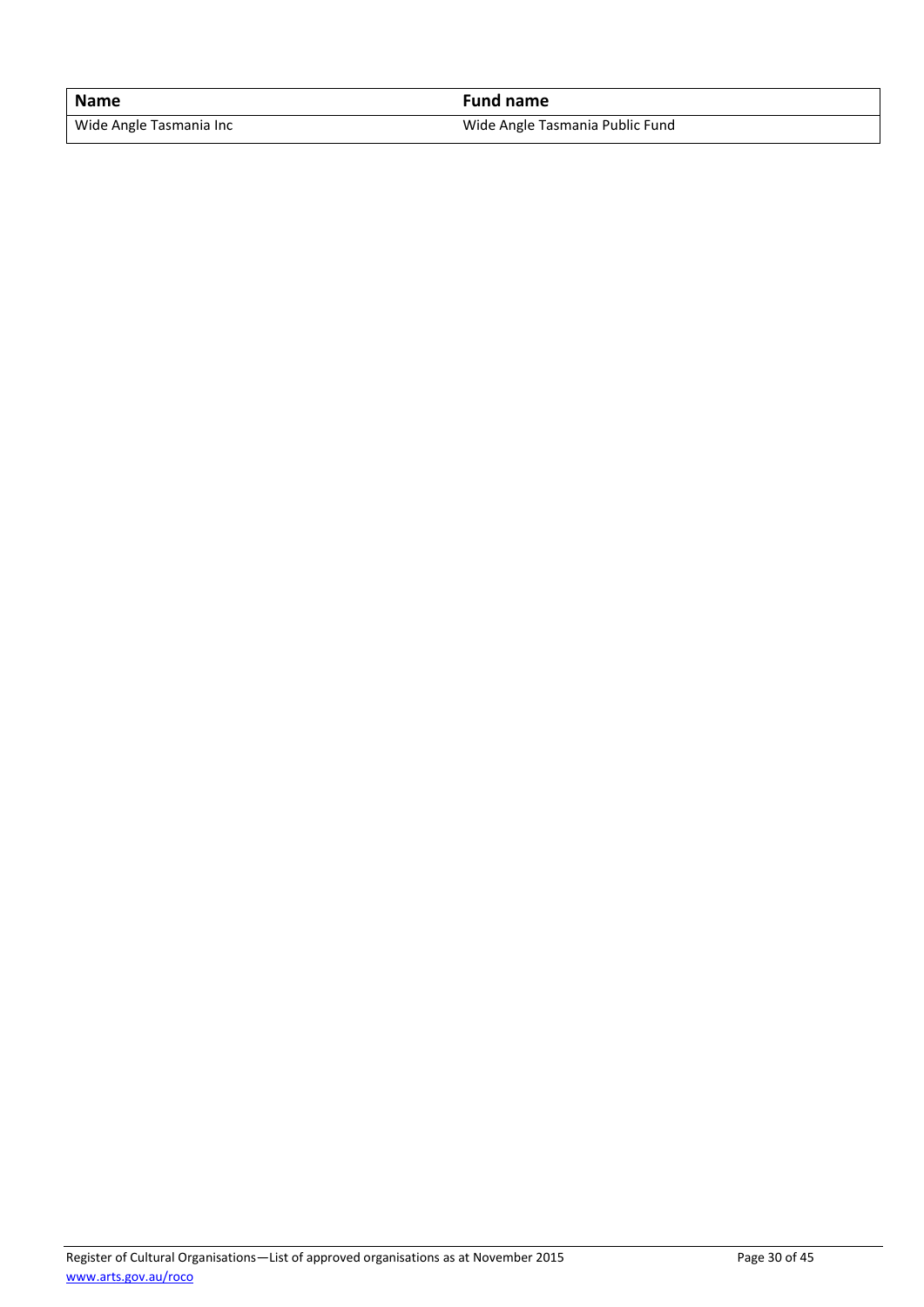| <b>Name</b>             | <b>Fund name</b>                |
|-------------------------|---------------------------------|
| Wide Angle Tasmania Inc | Wide Angle Tasmania Public Fund |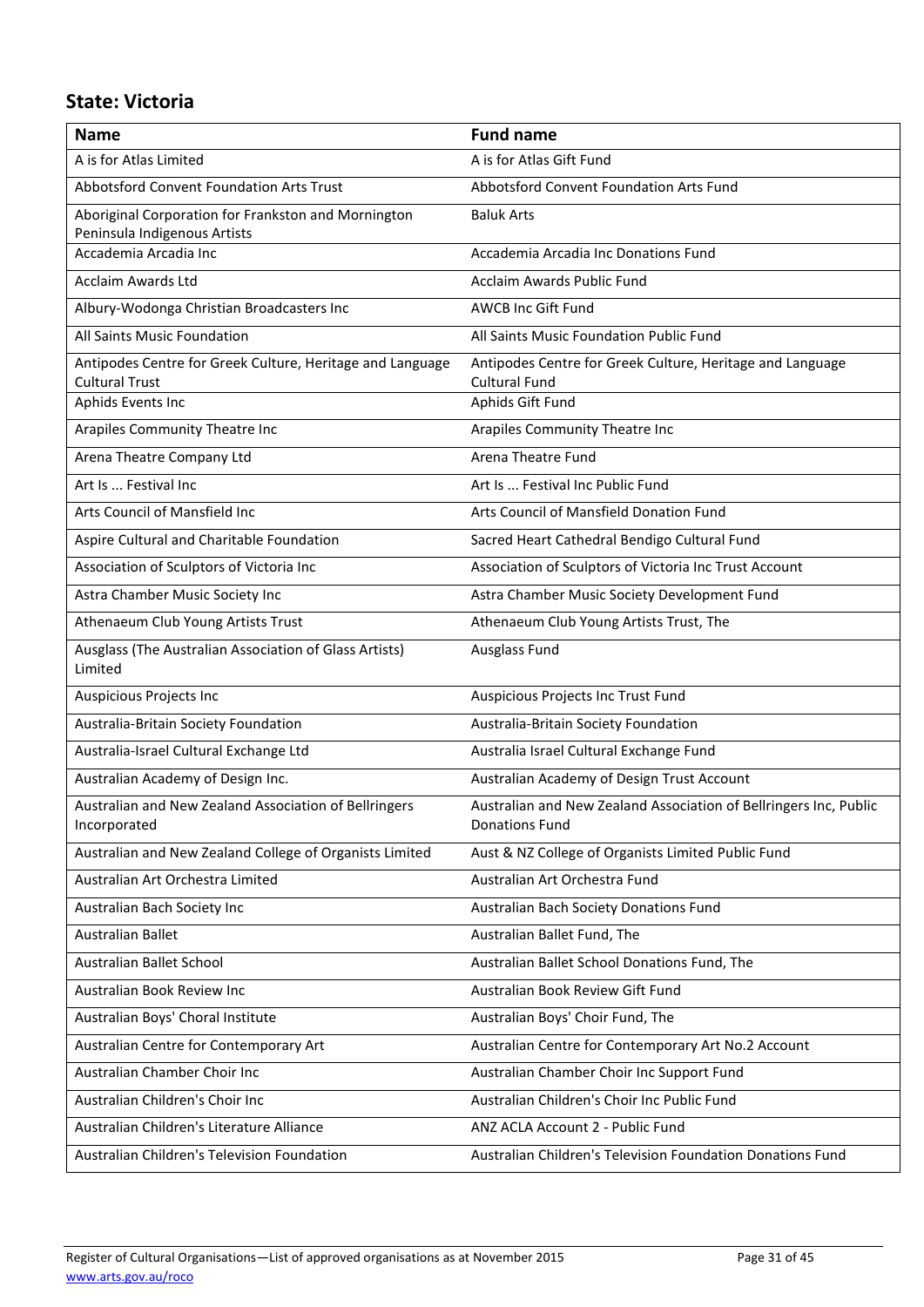## **State: Victoria**

| <b>Name</b>                                                                         | <b>Fund name</b>                                                                           |
|-------------------------------------------------------------------------------------|--------------------------------------------------------------------------------------------|
| A is for Atlas Limited                                                              | A is for Atlas Gift Fund                                                                   |
| <b>Abbotsford Convent Foundation Arts Trust</b>                                     | Abbotsford Convent Foundation Arts Fund                                                    |
| Aboriginal Corporation for Frankston and Mornington<br>Peninsula Indigenous Artists | <b>Baluk Arts</b>                                                                          |
| Accademia Arcadia Inc                                                               | Accademia Arcadia Inc Donations Fund                                                       |
| <b>Acclaim Awards Ltd</b>                                                           | <b>Acclaim Awards Public Fund</b>                                                          |
| Albury-Wodonga Christian Broadcasters Inc                                           | <b>AWCB Inc Gift Fund</b>                                                                  |
| All Saints Music Foundation                                                         | All Saints Music Foundation Public Fund                                                    |
| Antipodes Centre for Greek Culture, Heritage and Language<br><b>Cultural Trust</b>  | Antipodes Centre for Greek Culture, Heritage and Language<br><b>Cultural Fund</b>          |
| Aphids Events Inc                                                                   | Aphids Gift Fund                                                                           |
| Arapiles Community Theatre Inc                                                      | Arapiles Community Theatre Inc                                                             |
| Arena Theatre Company Ltd                                                           | Arena Theatre Fund                                                                         |
| Art Is  Festival Inc                                                                | Art Is  Festival Inc Public Fund                                                           |
| Arts Council of Mansfield Inc                                                       | Arts Council of Mansfield Donation Fund                                                    |
| Aspire Cultural and Charitable Foundation                                           | Sacred Heart Cathedral Bendigo Cultural Fund                                               |
| Association of Sculptors of Victoria Inc                                            | Association of Sculptors of Victoria Inc Trust Account                                     |
| Astra Chamber Music Society Inc                                                     | Astra Chamber Music Society Development Fund                                               |
| Athenaeum Club Young Artists Trust                                                  | Athenaeum Club Young Artists Trust, The                                                    |
| Ausglass (The Australian Association of Glass Artists)<br>Limited                   | Ausglass Fund                                                                              |
| Auspicious Projects Inc                                                             | Auspicious Projects Inc Trust Fund                                                         |
| Australia-Britain Society Foundation                                                | Australia-Britain Society Foundation                                                       |
| Australia-Israel Cultural Exchange Ltd                                              | Australia Israel Cultural Exchange Fund                                                    |
| Australian Academy of Design Inc.                                                   | Australian Academy of Design Trust Account                                                 |
| Australian and New Zealand Association of Bellringers<br>Incorporated               | Australian and New Zealand Association of Bellringers Inc, Public<br><b>Donations Fund</b> |
| Australian and New Zealand College of Organists Limited                             | Aust & NZ College of Organists Limited Public Fund                                         |
| Australian Art Orchestra Limited                                                    | Australian Art Orchestra Fund                                                              |
| Australian Bach Society Inc                                                         | Australian Bach Society Donations Fund                                                     |
| Australian Ballet                                                                   | Australian Ballet Fund, The                                                                |
| Australian Ballet School                                                            | Australian Ballet School Donations Fund, The                                               |
| Australian Book Review Inc                                                          | Australian Book Review Gift Fund                                                           |
| Australian Boys' Choral Institute                                                   | Australian Boys' Choir Fund, The                                                           |
| Australian Centre for Contemporary Art                                              | Australian Centre for Contemporary Art No.2 Account                                        |
| Australian Chamber Choir Inc                                                        | Australian Chamber Choir Inc Support Fund                                                  |
| Australian Children's Choir Inc                                                     | Australian Children's Choir Inc Public Fund                                                |
| Australian Children's Literature Alliance                                           | ANZ ACLA Account 2 - Public Fund                                                           |
| Australian Children's Television Foundation                                         | Australian Children's Television Foundation Donations Fund                                 |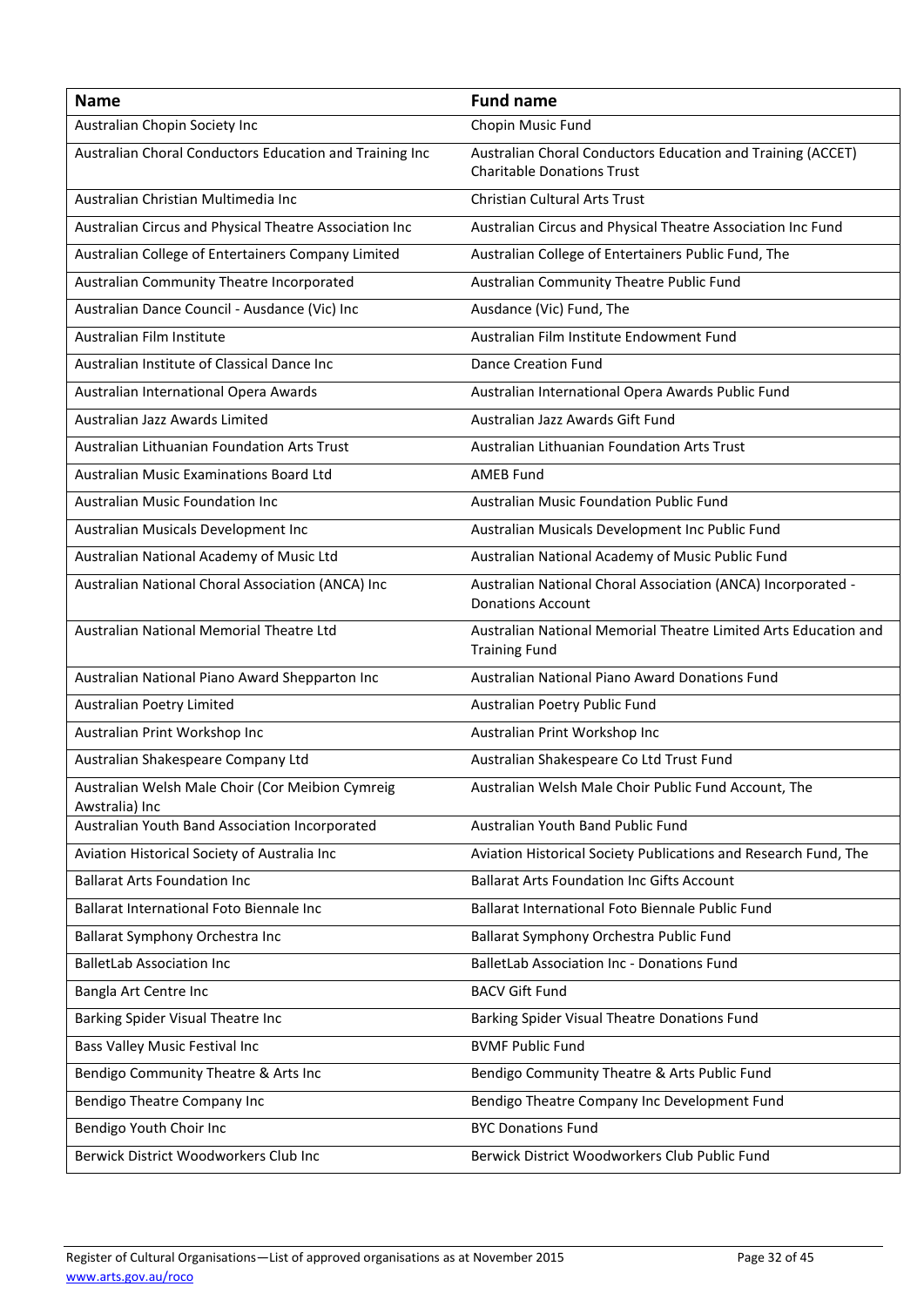| <b>Name</b>                                                        | <b>Fund name</b>                                                                                 |
|--------------------------------------------------------------------|--------------------------------------------------------------------------------------------------|
| Australian Chopin Society Inc                                      | Chopin Music Fund                                                                                |
| Australian Choral Conductors Education and Training Inc            | Australian Choral Conductors Education and Training (ACCET)<br><b>Charitable Donations Trust</b> |
| Australian Christian Multimedia Inc                                | <b>Christian Cultural Arts Trust</b>                                                             |
| Australian Circus and Physical Theatre Association Inc             | Australian Circus and Physical Theatre Association Inc Fund                                      |
| Australian College of Entertainers Company Limited                 | Australian College of Entertainers Public Fund, The                                              |
| Australian Community Theatre Incorporated                          | Australian Community Theatre Public Fund                                                         |
| Australian Dance Council - Ausdance (Vic) Inc                      | Ausdance (Vic) Fund, The                                                                         |
| Australian Film Institute                                          | Australian Film Institute Endowment Fund                                                         |
| Australian Institute of Classical Dance Inc                        | <b>Dance Creation Fund</b>                                                                       |
| Australian International Opera Awards                              | Australian International Opera Awards Public Fund                                                |
| Australian Jazz Awards Limited                                     | Australian Jazz Awards Gift Fund                                                                 |
| Australian Lithuanian Foundation Arts Trust                        | Australian Lithuanian Foundation Arts Trust                                                      |
| Australian Music Examinations Board Ltd                            | <b>AMEB Fund</b>                                                                                 |
| Australian Music Foundation Inc                                    | Australian Music Foundation Public Fund                                                          |
| Australian Musicals Development Inc                                | Australian Musicals Development Inc Public Fund                                                  |
| Australian National Academy of Music Ltd                           | Australian National Academy of Music Public Fund                                                 |
| Australian National Choral Association (ANCA) Inc                  | Australian National Choral Association (ANCA) Incorporated -<br><b>Donations Account</b>         |
| Australian National Memorial Theatre Ltd                           | Australian National Memorial Theatre Limited Arts Education and<br><b>Training Fund</b>          |
| Australian National Piano Award Shepparton Inc                     | Australian National Piano Award Donations Fund                                                   |
| Australian Poetry Limited                                          | Australian Poetry Public Fund                                                                    |
| Australian Print Workshop Inc                                      | Australian Print Workshop Inc                                                                    |
| Australian Shakespeare Company Ltd                                 | Australian Shakespeare Co Ltd Trust Fund                                                         |
| Australian Welsh Male Choir (Cor Meibion Cymreig<br>Awstralia) Inc | Australian Welsh Male Choir Public Fund Account, The                                             |
| Australian Youth Band Association Incorporated                     | Australian Youth Band Public Fund                                                                |
| Aviation Historical Society of Australia Inc                       | Aviation Historical Society Publications and Research Fund, The                                  |
| <b>Ballarat Arts Foundation Inc</b>                                | <b>Ballarat Arts Foundation Inc Gifts Account</b>                                                |
| Ballarat International Foto Biennale Inc                           | Ballarat International Foto Biennale Public Fund                                                 |
| Ballarat Symphony Orchestra Inc                                    | Ballarat Symphony Orchestra Public Fund                                                          |
| <b>BalletLab Association Inc</b>                                   | <b>BalletLab Association Inc - Donations Fund</b>                                                |
| Bangla Art Centre Inc                                              | <b>BACV Gift Fund</b>                                                                            |
| Barking Spider Visual Theatre Inc                                  | Barking Spider Visual Theatre Donations Fund                                                     |
| Bass Valley Music Festival Inc                                     | <b>BVMF Public Fund</b>                                                                          |
| Bendigo Community Theatre & Arts Inc                               | Bendigo Community Theatre & Arts Public Fund                                                     |
| Bendigo Theatre Company Inc                                        | Bendigo Theatre Company Inc Development Fund                                                     |
| Bendigo Youth Choir Inc                                            | <b>BYC Donations Fund</b>                                                                        |
| Berwick District Woodworkers Club Inc                              | Berwick District Woodworkers Club Public Fund                                                    |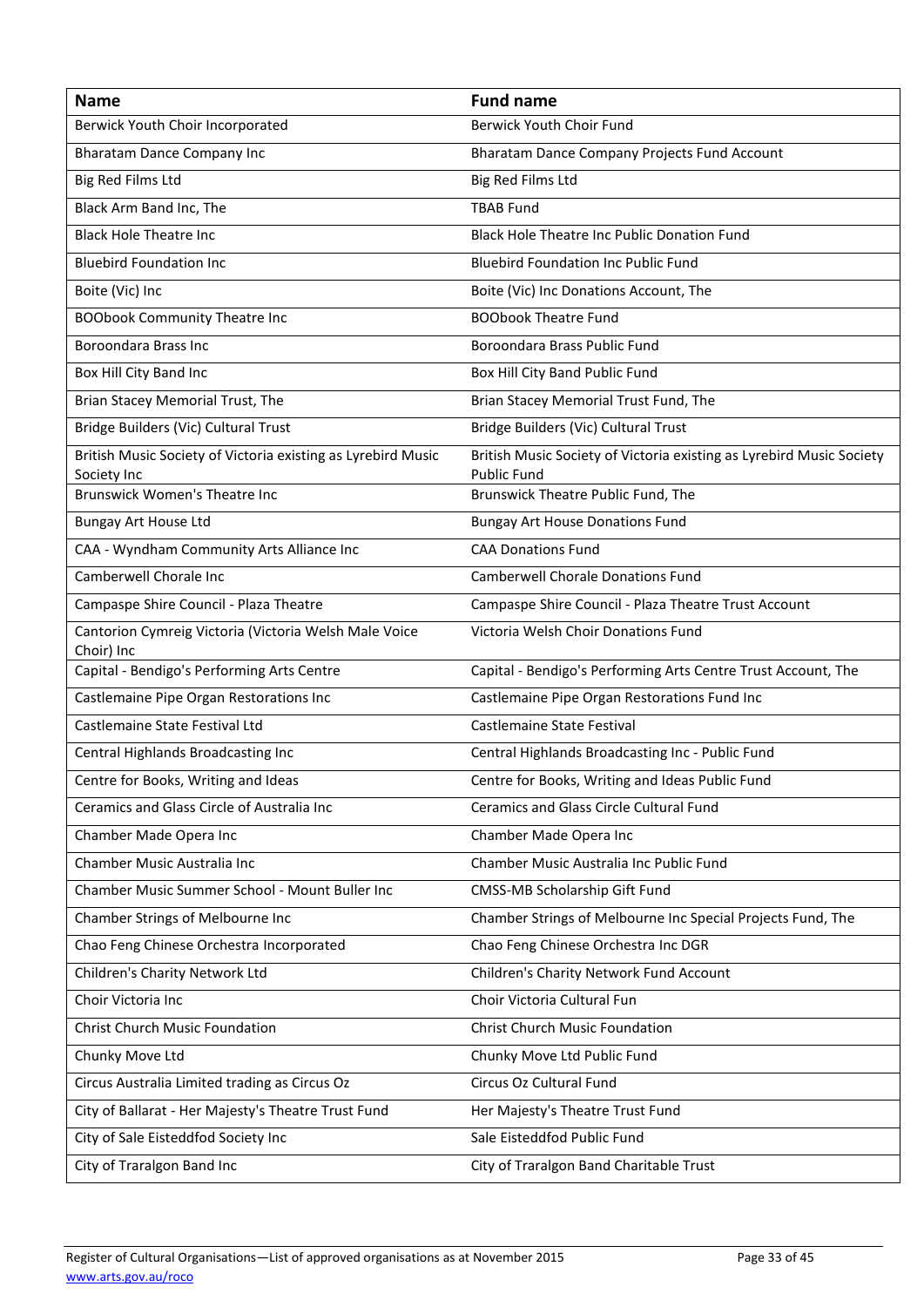| <b>Name</b>                                                                 | <b>Fund name</b>                                                                           |
|-----------------------------------------------------------------------------|--------------------------------------------------------------------------------------------|
| Berwick Youth Choir Incorporated                                            | <b>Berwick Youth Choir Fund</b>                                                            |
| Bharatam Dance Company Inc                                                  | Bharatam Dance Company Projects Fund Account                                               |
| Big Red Films Ltd                                                           | <b>Big Red Films Ltd</b>                                                                   |
| Black Arm Band Inc, The                                                     | <b>TBAB Fund</b>                                                                           |
| <b>Black Hole Theatre Inc</b>                                               | <b>Black Hole Theatre Inc Public Donation Fund</b>                                         |
| <b>Bluebird Foundation Inc.</b>                                             | <b>Bluebird Foundation Inc Public Fund</b>                                                 |
| Boite (Vic) Inc                                                             | Boite (Vic) Inc Donations Account, The                                                     |
| <b>BOObook Community Theatre Inc</b>                                        | <b>BOObook Theatre Fund</b>                                                                |
| <b>Boroondara Brass Inc</b>                                                 | Boroondara Brass Public Fund                                                               |
| Box Hill City Band Inc                                                      | Box Hill City Band Public Fund                                                             |
| Brian Stacey Memorial Trust, The                                            | Brian Stacey Memorial Trust Fund, The                                                      |
| Bridge Builders (Vic) Cultural Trust                                        | Bridge Builders (Vic) Cultural Trust                                                       |
| British Music Society of Victoria existing as Lyrebird Music<br>Society Inc | British Music Society of Victoria existing as Lyrebird Music Society<br><b>Public Fund</b> |
| <b>Brunswick Women's Theatre Inc</b>                                        | Brunswick Theatre Public Fund, The                                                         |
| Bungay Art House Ltd                                                        | <b>Bungay Art House Donations Fund</b>                                                     |
| CAA - Wyndham Community Arts Alliance Inc                                   | <b>CAA Donations Fund</b>                                                                  |
| Camberwell Chorale Inc                                                      | <b>Camberwell Chorale Donations Fund</b>                                                   |
| Campaspe Shire Council - Plaza Theatre                                      | Campaspe Shire Council - Plaza Theatre Trust Account                                       |
| Cantorion Cymreig Victoria (Victoria Welsh Male Voice<br>Choir) Inc         | Victoria Welsh Choir Donations Fund                                                        |
| Capital - Bendigo's Performing Arts Centre                                  | Capital - Bendigo's Performing Arts Centre Trust Account, The                              |
| Castlemaine Pipe Organ Restorations Inc                                     | Castlemaine Pipe Organ Restorations Fund Inc                                               |
| Castlemaine State Festival Ltd                                              | <b>Castlemaine State Festival</b>                                                          |
| Central Highlands Broadcasting Inc                                          | Central Highlands Broadcasting Inc - Public Fund                                           |
| Centre for Books, Writing and Ideas                                         | Centre for Books, Writing and Ideas Public Fund                                            |
| Ceramics and Glass Circle of Australia Inc                                  | <b>Ceramics and Glass Circle Cultural Fund</b>                                             |
| Chamber Made Opera Inc                                                      | Chamber Made Opera Inc                                                                     |
| Chamber Music Australia Inc                                                 | Chamber Music Australia Inc Public Fund                                                    |
| Chamber Music Summer School - Mount Buller Inc                              | CMSS-MB Scholarship Gift Fund                                                              |
| Chamber Strings of Melbourne Inc                                            | Chamber Strings of Melbourne Inc Special Projects Fund, The                                |
| Chao Feng Chinese Orchestra Incorporated                                    | Chao Feng Chinese Orchestra Inc DGR                                                        |
| Children's Charity Network Ltd                                              | Children's Charity Network Fund Account                                                    |
| Choir Victoria Inc                                                          | Choir Victoria Cultural Fun                                                                |
| <b>Christ Church Music Foundation</b>                                       | <b>Christ Church Music Foundation</b>                                                      |
| Chunky Move Ltd                                                             | Chunky Move Ltd Public Fund                                                                |
| Circus Australia Limited trading as Circus Oz                               | Circus Oz Cultural Fund                                                                    |
| City of Ballarat - Her Majesty's Theatre Trust Fund                         | Her Majesty's Theatre Trust Fund                                                           |
| City of Sale Eisteddfod Society Inc                                         | Sale Eisteddfod Public Fund                                                                |
| City of Traralgon Band Inc                                                  | City of Traralgon Band Charitable Trust                                                    |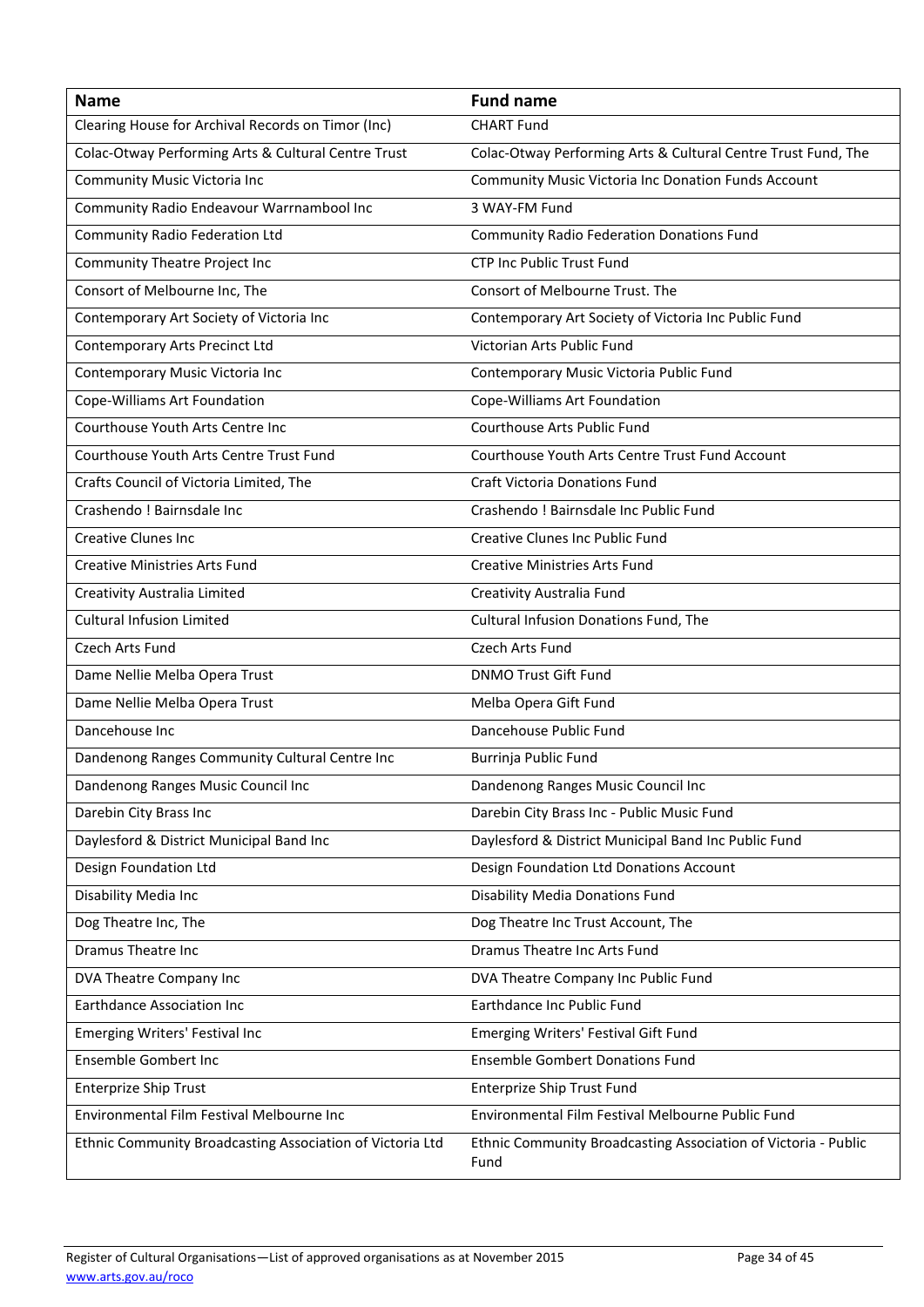| <b>Name</b>                                               | <b>Fund name</b>                                                       |
|-----------------------------------------------------------|------------------------------------------------------------------------|
| Clearing House for Archival Records on Timor (Inc)        | <b>CHART Fund</b>                                                      |
| Colac-Otway Performing Arts & Cultural Centre Trust       | Colac-Otway Performing Arts & Cultural Centre Trust Fund, The          |
| Community Music Victoria Inc                              | <b>Community Music Victoria Inc Donation Funds Account</b>             |
| Community Radio Endeavour Warrnambool Inc                 | 3 WAY-FM Fund                                                          |
| <b>Community Radio Federation Ltd</b>                     | <b>Community Radio Federation Donations Fund</b>                       |
| <b>Community Theatre Project Inc</b>                      | <b>CTP Inc Public Trust Fund</b>                                       |
| Consort of Melbourne Inc, The                             | Consort of Melbourne Trust. The                                        |
| Contemporary Art Society of Victoria Inc                  | Contemporary Art Society of Victoria Inc Public Fund                   |
| Contemporary Arts Precinct Ltd                            | Victorian Arts Public Fund                                             |
| Contemporary Music Victoria Inc                           | Contemporary Music Victoria Public Fund                                |
| Cope-Williams Art Foundation                              | Cope-Williams Art Foundation                                           |
| Courthouse Youth Arts Centre Inc                          | Courthouse Arts Public Fund                                            |
| Courthouse Youth Arts Centre Trust Fund                   | Courthouse Youth Arts Centre Trust Fund Account                        |
| Crafts Council of Victoria Limited, The                   | <b>Craft Victoria Donations Fund</b>                                   |
| Crashendo ! Bairnsdale Inc                                | Crashendo ! Bairnsdale Inc Public Fund                                 |
| <b>Creative Clunes Inc</b>                                | Creative Clunes Inc Public Fund                                        |
| <b>Creative Ministries Arts Fund</b>                      | <b>Creative Ministries Arts Fund</b>                                   |
| Creativity Australia Limited                              | Creativity Australia Fund                                              |
| <b>Cultural Infusion Limited</b>                          | Cultural Infusion Donations Fund, The                                  |
| Czech Arts Fund                                           | Czech Arts Fund                                                        |
| Dame Nellie Melba Opera Trust                             | <b>DNMO Trust Gift Fund</b>                                            |
| Dame Nellie Melba Opera Trust                             | Melba Opera Gift Fund                                                  |
| Dancehouse Inc                                            | Dancehouse Public Fund                                                 |
| Dandenong Ranges Community Cultural Centre Inc            | Burrinja Public Fund                                                   |
| Dandenong Ranges Music Council Inc                        | Dandenong Ranges Music Council Inc                                     |
| Darebin City Brass Inc                                    | Darebin City Brass Inc - Public Music Fund                             |
| Daylesford & District Municipal Band Inc                  | Daylesford & District Municipal Band Inc Public Fund                   |
| Design Foundation Ltd                                     | Design Foundation Ltd Donations Account                                |
| Disability Media Inc                                      | Disability Media Donations Fund                                        |
| Dog Theatre Inc, The                                      | Dog Theatre Inc Trust Account, The                                     |
| Dramus Theatre Inc                                        | Dramus Theatre Inc Arts Fund                                           |
| DVA Theatre Company Inc                                   | DVA Theatre Company Inc Public Fund                                    |
| <b>Earthdance Association Inc</b>                         | Earthdance Inc Public Fund                                             |
| Emerging Writers' Festival Inc                            | Emerging Writers' Festival Gift Fund                                   |
| Ensemble Gombert Inc                                      | <b>Ensemble Gombert Donations Fund</b>                                 |
| <b>Enterprize Ship Trust</b>                              | <b>Enterprize Ship Trust Fund</b>                                      |
| Environmental Film Festival Melbourne Inc                 | Environmental Film Festival Melbourne Public Fund                      |
| Ethnic Community Broadcasting Association of Victoria Ltd | Ethnic Community Broadcasting Association of Victoria - Public<br>Fund |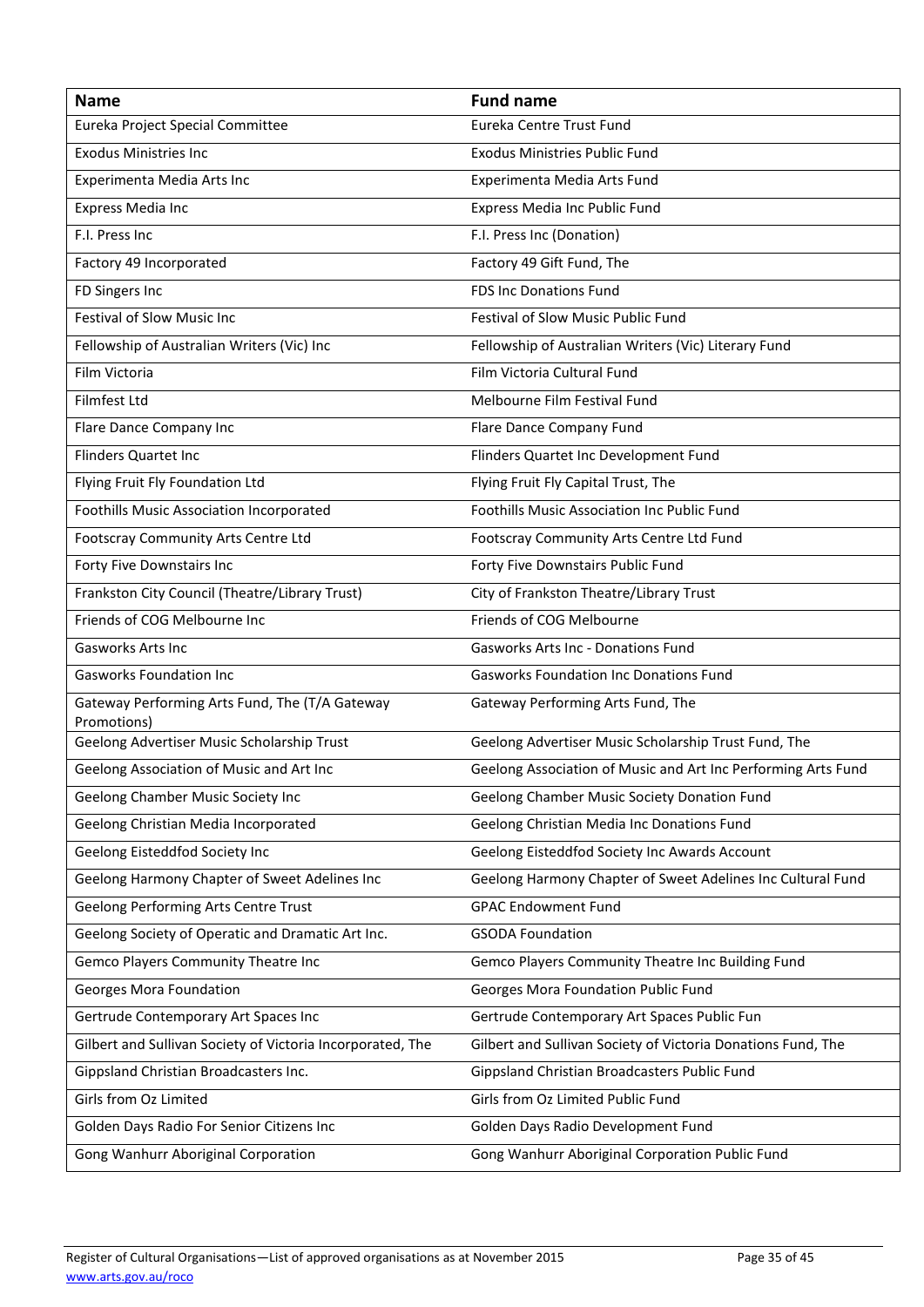| <b>Name</b>                                                   | <b>Fund name</b>                                              |
|---------------------------------------------------------------|---------------------------------------------------------------|
| Eureka Project Special Committee                              | Eureka Centre Trust Fund                                      |
| <b>Exodus Ministries Inc</b>                                  | Exodus Ministries Public Fund                                 |
| Experimenta Media Arts Inc                                    | Experimenta Media Arts Fund                                   |
| <b>Express Media Inc</b>                                      | Express Media Inc Public Fund                                 |
| F.I. Press Inc                                                | F.I. Press Inc (Donation)                                     |
| Factory 49 Incorporated                                       | Factory 49 Gift Fund, The                                     |
| FD Singers Inc                                                | <b>FDS Inc Donations Fund</b>                                 |
| <b>Festival of Slow Music Inc</b>                             | Festival of Slow Music Public Fund                            |
| Fellowship of Australian Writers (Vic) Inc                    | Fellowship of Australian Writers (Vic) Literary Fund          |
| Film Victoria                                                 | Film Victoria Cultural Fund                                   |
| Filmfest Ltd                                                  | Melbourne Film Festival Fund                                  |
| Flare Dance Company Inc                                       | Flare Dance Company Fund                                      |
| Flinders Quartet Inc                                          | Flinders Quartet Inc Development Fund                         |
| Flying Fruit Fly Foundation Ltd                               | Flying Fruit Fly Capital Trust, The                           |
| <b>Foothills Music Association Incorporated</b>               | Foothills Music Association Inc Public Fund                   |
| Footscray Community Arts Centre Ltd                           | Footscray Community Arts Centre Ltd Fund                      |
| Forty Five Downstairs Inc                                     | Forty Five Downstairs Public Fund                             |
| Frankston City Council (Theatre/Library Trust)                | City of Frankston Theatre/Library Trust                       |
| Friends of COG Melbourne Inc                                  | Friends of COG Melbourne                                      |
| Gasworks Arts Inc                                             | Gasworks Arts Inc - Donations Fund                            |
| <b>Gasworks Foundation Inc</b>                                | <b>Gasworks Foundation Inc Donations Fund</b>                 |
| Gateway Performing Arts Fund, The (T/A Gateway<br>Promotions) | Gateway Performing Arts Fund, The                             |
| Geelong Advertiser Music Scholarship Trust                    | Geelong Advertiser Music Scholarship Trust Fund, The          |
| Geelong Association of Music and Art Inc                      | Geelong Association of Music and Art Inc Performing Arts Fund |
| Geelong Chamber Music Society Inc                             | Geelong Chamber Music Society Donation Fund                   |
| Geelong Christian Media Incorporated                          | Geelong Christian Media Inc Donations Fund                    |
| Geelong Eisteddfod Society Inc                                | Geelong Eisteddfod Society Inc Awards Account                 |
| Geelong Harmony Chapter of Sweet Adelines Inc                 | Geelong Harmony Chapter of Sweet Adelines Inc Cultural Fund   |
| Geelong Performing Arts Centre Trust                          | <b>GPAC Endowment Fund</b>                                    |
| Geelong Society of Operatic and Dramatic Art Inc.             | <b>GSODA Foundation</b>                                       |
| Gemco Players Community Theatre Inc                           | Gemco Players Community Theatre Inc Building Fund             |
| Georges Mora Foundation                                       | Georges Mora Foundation Public Fund                           |
| Gertrude Contemporary Art Spaces Inc                          | Gertrude Contemporary Art Spaces Public Fun                   |
| Gilbert and Sullivan Society of Victoria Incorporated, The    | Gilbert and Sullivan Society of Victoria Donations Fund, The  |
| Gippsland Christian Broadcasters Inc.                         | Gippsland Christian Broadcasters Public Fund                  |
| Girls from Oz Limited                                         | Girls from Oz Limited Public Fund                             |
| Golden Days Radio For Senior Citizens Inc                     | Golden Days Radio Development Fund                            |
| Gong Wanhurr Aboriginal Corporation                           | Gong Wanhurr Aboriginal Corporation Public Fund               |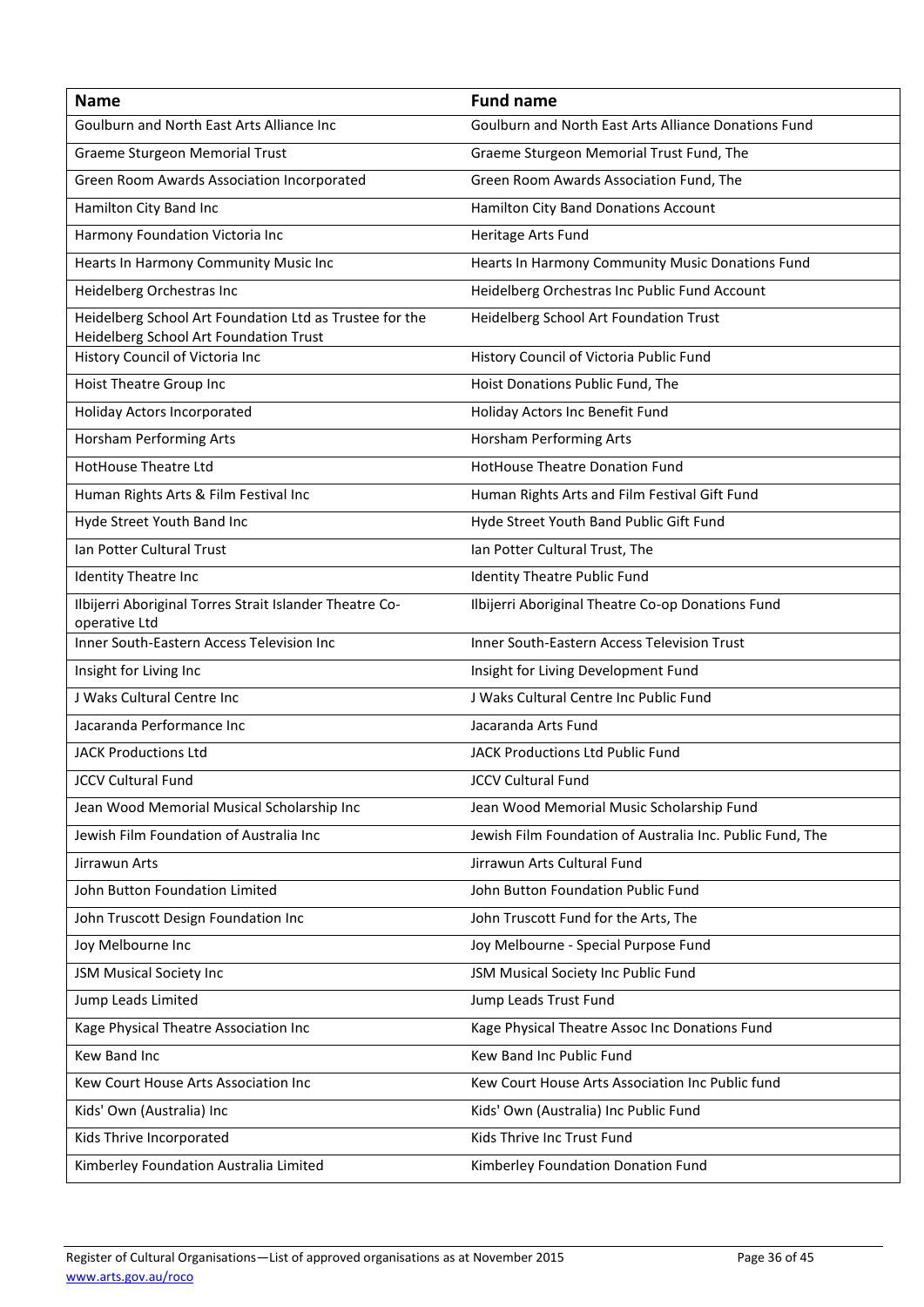| <b>Name</b>                                                                                       | <b>Fund name</b>                                          |
|---------------------------------------------------------------------------------------------------|-----------------------------------------------------------|
| Goulburn and North East Arts Alliance Inc                                                         | Goulburn and North East Arts Alliance Donations Fund      |
| Graeme Sturgeon Memorial Trust                                                                    | Graeme Sturgeon Memorial Trust Fund, The                  |
| Green Room Awards Association Incorporated                                                        | Green Room Awards Association Fund, The                   |
| Hamilton City Band Inc                                                                            | Hamilton City Band Donations Account                      |
| Harmony Foundation Victoria Inc                                                                   | Heritage Arts Fund                                        |
| Hearts In Harmony Community Music Inc                                                             | Hearts In Harmony Community Music Donations Fund          |
| Heidelberg Orchestras Inc                                                                         | Heidelberg Orchestras Inc Public Fund Account             |
| Heidelberg School Art Foundation Ltd as Trustee for the<br>Heidelberg School Art Foundation Trust | Heidelberg School Art Foundation Trust                    |
| History Council of Victoria Inc                                                                   | History Council of Victoria Public Fund                   |
| Hoist Theatre Group Inc                                                                           | Hoist Donations Public Fund, The                          |
| Holiday Actors Incorporated                                                                       | Holiday Actors Inc Benefit Fund                           |
| Horsham Performing Arts                                                                           | Horsham Performing Arts                                   |
| <b>HotHouse Theatre Ltd</b>                                                                       | <b>HotHouse Theatre Donation Fund</b>                     |
| Human Rights Arts & Film Festival Inc                                                             | Human Rights Arts and Film Festival Gift Fund             |
| Hyde Street Youth Band Inc                                                                        | Hyde Street Youth Band Public Gift Fund                   |
| Ian Potter Cultural Trust                                                                         | Ian Potter Cultural Trust, The                            |
| Identity Theatre Inc                                                                              | <b>Identity Theatre Public Fund</b>                       |
| Ilbijerri Aboriginal Torres Strait Islander Theatre Co-<br>operative Ltd                          | Ilbijerri Aboriginal Theatre Co-op Donations Fund         |
| Inner South-Eastern Access Television Inc                                                         | Inner South-Eastern Access Television Trust               |
| Insight for Living Inc                                                                            | Insight for Living Development Fund                       |
| J Waks Cultural Centre Inc                                                                        | J Waks Cultural Centre Inc Public Fund                    |
| Jacaranda Performance Inc                                                                         | Jacaranda Arts Fund                                       |
| <b>JACK Productions Ltd</b>                                                                       | JACK Productions Ltd Public Fund                          |
| JCCV Cultural Fund                                                                                | JCCV Cultural Fund                                        |
| Jean Wood Memorial Musical Scholarship Inc                                                        | Jean Wood Memorial Music Scholarship Fund                 |
| Jewish Film Foundation of Australia Inc                                                           | Jewish Film Foundation of Australia Inc. Public Fund, The |
| Jirrawun Arts                                                                                     | Jirrawun Arts Cultural Fund                               |
| John Button Foundation Limited                                                                    | John Button Foundation Public Fund                        |
| John Truscott Design Foundation Inc                                                               | John Truscott Fund for the Arts, The                      |
| Joy Melbourne Inc                                                                                 | Joy Melbourne - Special Purpose Fund                      |
| JSM Musical Society Inc                                                                           | JSM Musical Society Inc Public Fund                       |
| Jump Leads Limited                                                                                | Jump Leads Trust Fund                                     |
| Kage Physical Theatre Association Inc                                                             | Kage Physical Theatre Assoc Inc Donations Fund            |
| Kew Band Inc                                                                                      | Kew Band Inc Public Fund                                  |
| Kew Court House Arts Association Inc                                                              | Kew Court House Arts Association Inc Public fund          |
| Kids' Own (Australia) Inc                                                                         | Kids' Own (Australia) Inc Public Fund                     |
| Kids Thrive Incorporated                                                                          | Kids Thrive Inc Trust Fund                                |
| Kimberley Foundation Australia Limited                                                            | Kimberley Foundation Donation Fund                        |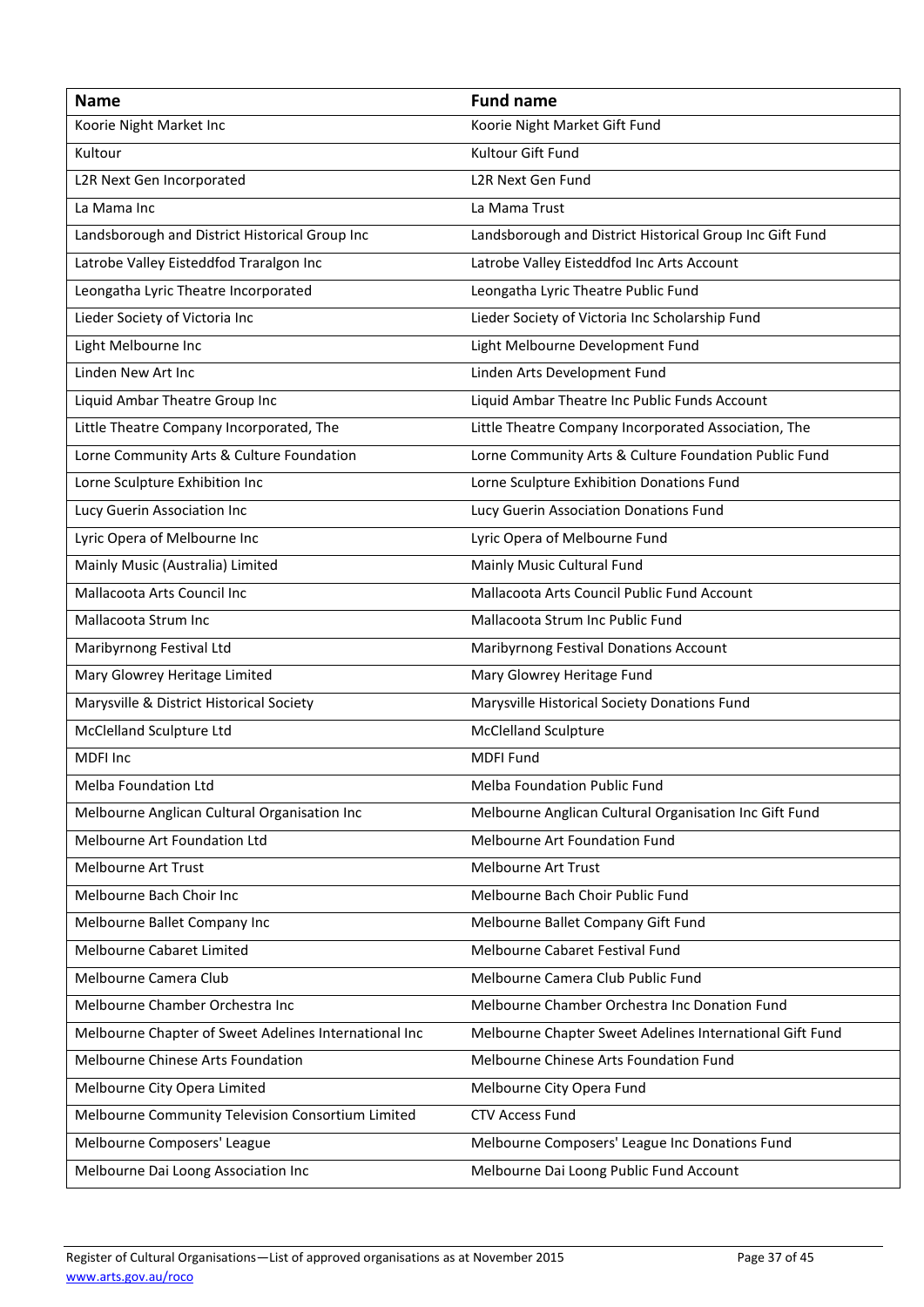| <b>Name</b>                                           | <b>Fund name</b>                                         |
|-------------------------------------------------------|----------------------------------------------------------|
| Koorie Night Market Inc                               | Koorie Night Market Gift Fund                            |
| Kultour                                               | Kultour Gift Fund                                        |
| L2R Next Gen Incorporated                             | L2R Next Gen Fund                                        |
| La Mama Inc                                           | La Mama Trust                                            |
| Landsborough and District Historical Group Inc        | Landsborough and District Historical Group Inc Gift Fund |
| Latrobe Valley Eisteddfod Traralgon Inc               | Latrobe Valley Eisteddfod Inc Arts Account               |
| Leongatha Lyric Theatre Incorporated                  | Leongatha Lyric Theatre Public Fund                      |
| Lieder Society of Victoria Inc                        | Lieder Society of Victoria Inc Scholarship Fund          |
| Light Melbourne Inc                                   | Light Melbourne Development Fund                         |
| Linden New Art Inc                                    | Linden Arts Development Fund                             |
| Liquid Ambar Theatre Group Inc                        | Liquid Ambar Theatre Inc Public Funds Account            |
| Little Theatre Company Incorporated, The              | Little Theatre Company Incorporated Association, The     |
| Lorne Community Arts & Culture Foundation             | Lorne Community Arts & Culture Foundation Public Fund    |
| Lorne Sculpture Exhibition Inc                        | Lorne Sculpture Exhibition Donations Fund                |
| Lucy Guerin Association Inc                           | Lucy Guerin Association Donations Fund                   |
| Lyric Opera of Melbourne Inc                          | Lyric Opera of Melbourne Fund                            |
| Mainly Music (Australia) Limited                      | Mainly Music Cultural Fund                               |
| Mallacoota Arts Council Inc                           | Mallacoota Arts Council Public Fund Account              |
| Mallacoota Strum Inc                                  | <b>Mallacoota Strum Inc Public Fund</b>                  |
| Maribyrnong Festival Ltd                              | Maribyrnong Festival Donations Account                   |
| Mary Glowrey Heritage Limited                         | Mary Glowrey Heritage Fund                               |
| Marysville & District Historical Society              | Marysville Historical Society Donations Fund             |
| McClelland Sculpture Ltd                              | <b>McClelland Sculpture</b>                              |
| MDFI Inc                                              | <b>MDFI Fund</b>                                         |
| Melba Foundation Ltd                                  | Melba Foundation Public Fund                             |
| Melbourne Anglican Cultural Organisation Inc          | Melbourne Anglican Cultural Organisation Inc Gift Fund   |
| Melbourne Art Foundation Ltd                          | Melbourne Art Foundation Fund                            |
| Melbourne Art Trust                                   | <b>Melbourne Art Trust</b>                               |
| Melbourne Bach Choir Inc                              | Melbourne Bach Choir Public Fund                         |
| Melbourne Ballet Company Inc                          | Melbourne Ballet Company Gift Fund                       |
| Melbourne Cabaret Limited                             | Melbourne Cabaret Festival Fund                          |
| Melbourne Camera Club                                 | Melbourne Camera Club Public Fund                        |
| Melbourne Chamber Orchestra Inc                       | Melbourne Chamber Orchestra Inc Donation Fund            |
| Melbourne Chapter of Sweet Adelines International Inc | Melbourne Chapter Sweet Adelines International Gift Fund |
| Melbourne Chinese Arts Foundation                     | Melbourne Chinese Arts Foundation Fund                   |
| Melbourne City Opera Limited                          | Melbourne City Opera Fund                                |
| Melbourne Community Television Consortium Limited     | <b>CTV Access Fund</b>                                   |
| Melbourne Composers' League                           | Melbourne Composers' League Inc Donations Fund           |
| Melbourne Dai Loong Association Inc                   | Melbourne Dai Loong Public Fund Account                  |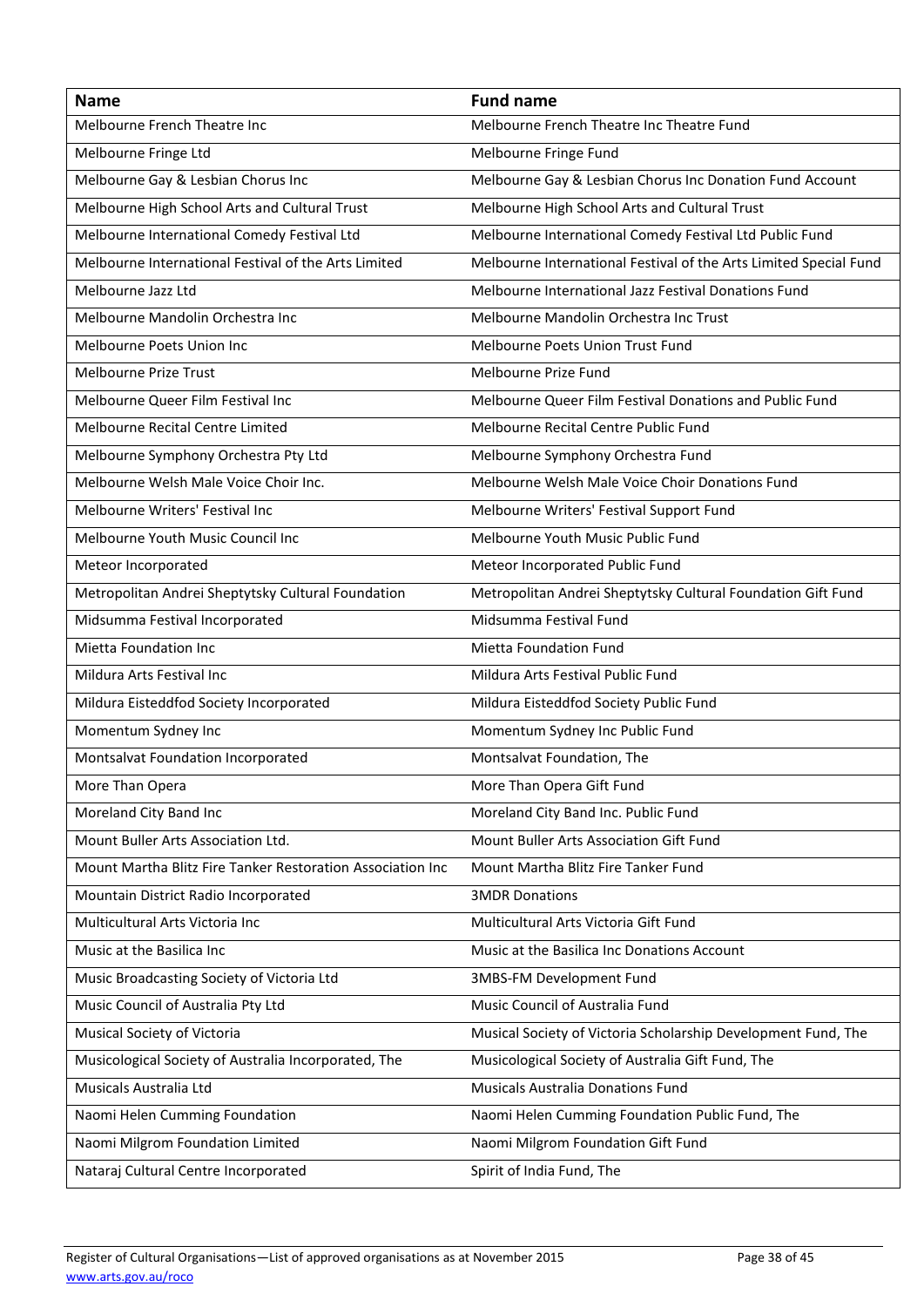| <b>Name</b>                                                | <b>Fund name</b>                                                  |
|------------------------------------------------------------|-------------------------------------------------------------------|
| Melbourne French Theatre Inc                               | Melbourne French Theatre Inc Theatre Fund                         |
| Melbourne Fringe Ltd                                       | Melbourne Fringe Fund                                             |
| Melbourne Gay & Lesbian Chorus Inc                         | Melbourne Gay & Lesbian Chorus Inc Donation Fund Account          |
| Melbourne High School Arts and Cultural Trust              | Melbourne High School Arts and Cultural Trust                     |
| Melbourne International Comedy Festival Ltd                | Melbourne International Comedy Festival Ltd Public Fund           |
| Melbourne International Festival of the Arts Limited       | Melbourne International Festival of the Arts Limited Special Fund |
| Melbourne Jazz Ltd                                         | Melbourne International Jazz Festival Donations Fund              |
| Melbourne Mandolin Orchestra Inc                           | Melbourne Mandolin Orchestra Inc Trust                            |
| Melbourne Poets Union Inc                                  | Melbourne Poets Union Trust Fund                                  |
| Melbourne Prize Trust                                      | Melbourne Prize Fund                                              |
| Melbourne Queer Film Festival Inc                          | Melbourne Queer Film Festival Donations and Public Fund           |
| Melbourne Recital Centre Limited                           | Melbourne Recital Centre Public Fund                              |
| Melbourne Symphony Orchestra Pty Ltd                       | Melbourne Symphony Orchestra Fund                                 |
| Melbourne Welsh Male Voice Choir Inc.                      | Melbourne Welsh Male Voice Choir Donations Fund                   |
| Melbourne Writers' Festival Inc                            | Melbourne Writers' Festival Support Fund                          |
| Melbourne Youth Music Council Inc                          | Melbourne Youth Music Public Fund                                 |
| Meteor Incorporated                                        | Meteor Incorporated Public Fund                                   |
| Metropolitan Andrei Sheptytsky Cultural Foundation         | Metropolitan Andrei Sheptytsky Cultural Foundation Gift Fund      |
| Midsumma Festival Incorporated                             | Midsumma Festival Fund                                            |
| Mietta Foundation Inc                                      | Mietta Foundation Fund                                            |
| Mildura Arts Festival Inc                                  | Mildura Arts Festival Public Fund                                 |
| Mildura Eisteddfod Society Incorporated                    | Mildura Eisteddfod Society Public Fund                            |
| Momentum Sydney Inc                                        | Momentum Sydney Inc Public Fund                                   |
| Montsalvat Foundation Incorporated                         | Montsalvat Foundation, The                                        |
| More Than Opera                                            | More Than Opera Gift Fund                                         |
| Moreland City Band Inc                                     | Moreland City Band Inc. Public Fund                               |
| Mount Buller Arts Association Ltd.                         | Mount Buller Arts Association Gift Fund                           |
| Mount Martha Blitz Fire Tanker Restoration Association Inc | Mount Martha Blitz Fire Tanker Fund                               |
| Mountain District Radio Incorporated                       | <b>3MDR Donations</b>                                             |
| Multicultural Arts Victoria Inc                            | Multicultural Arts Victoria Gift Fund                             |
| Music at the Basilica Inc                                  | Music at the Basilica Inc Donations Account                       |
| Music Broadcasting Society of Victoria Ltd                 | 3MBS-FM Development Fund                                          |
| Music Council of Australia Pty Ltd                         | Music Council of Australia Fund                                   |
| Musical Society of Victoria                                | Musical Society of Victoria Scholarship Development Fund, The     |
| Musicological Society of Australia Incorporated, The       | Musicological Society of Australia Gift Fund, The                 |
| Musicals Australia Ltd                                     | <b>Musicals Australia Donations Fund</b>                          |
| Naomi Helen Cumming Foundation                             | Naomi Helen Cumming Foundation Public Fund, The                   |
| Naomi Milgrom Foundation Limited                           | Naomi Milgrom Foundation Gift Fund                                |
| Nataraj Cultural Centre Incorporated                       | Spirit of India Fund, The                                         |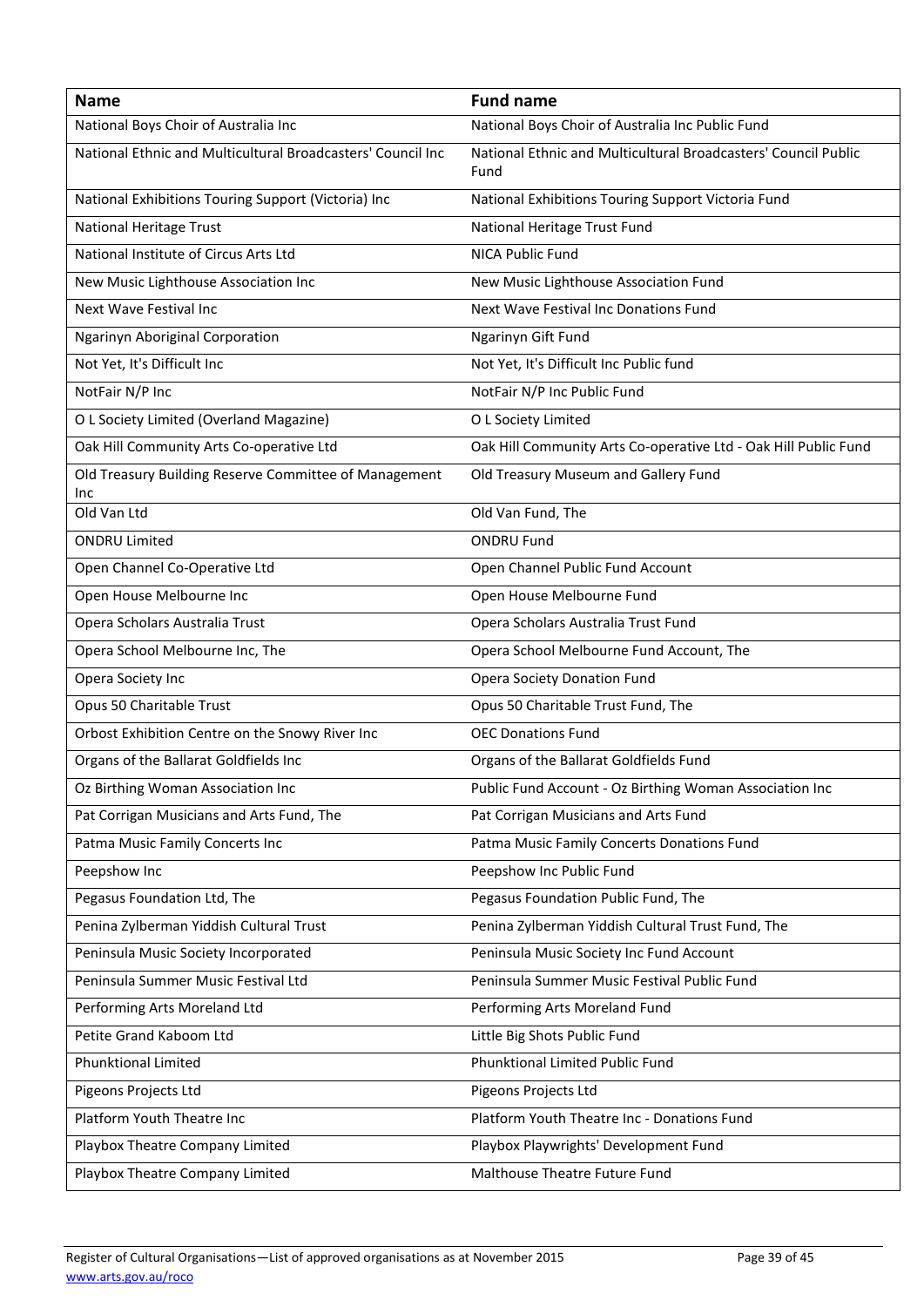| <b>Name</b>                                                  | <b>Fund name</b>                                                       |
|--------------------------------------------------------------|------------------------------------------------------------------------|
| National Boys Choir of Australia Inc                         | National Boys Choir of Australia Inc Public Fund                       |
| National Ethnic and Multicultural Broadcasters' Council Inc  | National Ethnic and Multicultural Broadcasters' Council Public<br>Fund |
| National Exhibitions Touring Support (Victoria) Inc          | National Exhibitions Touring Support Victoria Fund                     |
| National Heritage Trust                                      | National Heritage Trust Fund                                           |
| National Institute of Circus Arts Ltd                        | <b>NICA Public Fund</b>                                                |
| New Music Lighthouse Association Inc                         | New Music Lighthouse Association Fund                                  |
| Next Wave Festival Inc                                       | Next Wave Festival Inc Donations Fund                                  |
| Ngarinyn Aboriginal Corporation                              | Ngarinyn Gift Fund                                                     |
| Not Yet, It's Difficult Inc                                  | Not Yet, It's Difficult Inc Public fund                                |
| NotFair N/P Inc                                              | NotFair N/P Inc Public Fund                                            |
| O L Society Limited (Overland Magazine)                      | O L Society Limited                                                    |
| Oak Hill Community Arts Co-operative Ltd                     | Oak Hill Community Arts Co-operative Ltd - Oak Hill Public Fund        |
| Old Treasury Building Reserve Committee of Management<br>Inc | Old Treasury Museum and Gallery Fund                                   |
| Old Van Ltd                                                  | Old Van Fund, The                                                      |
| <b>ONDRU Limited</b>                                         | <b>ONDRU Fund</b>                                                      |
| Open Channel Co-Operative Ltd                                | Open Channel Public Fund Account                                       |
| Open House Melbourne Inc                                     | Open House Melbourne Fund                                              |
| Opera Scholars Australia Trust                               | Opera Scholars Australia Trust Fund                                    |
| Opera School Melbourne Inc, The                              | Opera School Melbourne Fund Account, The                               |
| Opera Society Inc                                            | Opera Society Donation Fund                                            |
| Opus 50 Charitable Trust                                     | Opus 50 Charitable Trust Fund, The                                     |
| Orbost Exhibition Centre on the Snowy River Inc              | <b>OEC Donations Fund</b>                                              |
| Organs of the Ballarat Goldfields Inc                        | Organs of the Ballarat Goldfields Fund                                 |
| Oz Birthing Woman Association Inc                            | Public Fund Account - Oz Birthing Woman Association Inc                |
| Pat Corrigan Musicians and Arts Fund, The                    | Pat Corrigan Musicians and Arts Fund                                   |
| Patma Music Family Concerts Inc                              | Patma Music Family Concerts Donations Fund                             |
| Peepshow Inc                                                 | Peepshow Inc Public Fund                                               |
| Pegasus Foundation Ltd, The                                  | Pegasus Foundation Public Fund, The                                    |
| Penina Zylberman Yiddish Cultural Trust                      | Penina Zylberman Yiddish Cultural Trust Fund, The                      |
| Peninsula Music Society Incorporated                         | Peninsula Music Society Inc Fund Account                               |
| Peninsula Summer Music Festival Ltd                          | Peninsula Summer Music Festival Public Fund                            |
| Performing Arts Moreland Ltd                                 | Performing Arts Moreland Fund                                          |
| Petite Grand Kaboom Ltd                                      | Little Big Shots Public Fund                                           |
| <b>Phunktional Limited</b>                                   | Phunktional Limited Public Fund                                        |
| Pigeons Projects Ltd                                         | Pigeons Projects Ltd                                                   |
| Platform Youth Theatre Inc                                   | Platform Youth Theatre Inc - Donations Fund                            |
| Playbox Theatre Company Limited                              | Playbox Playwrights' Development Fund                                  |
| Playbox Theatre Company Limited                              | Malthouse Theatre Future Fund                                          |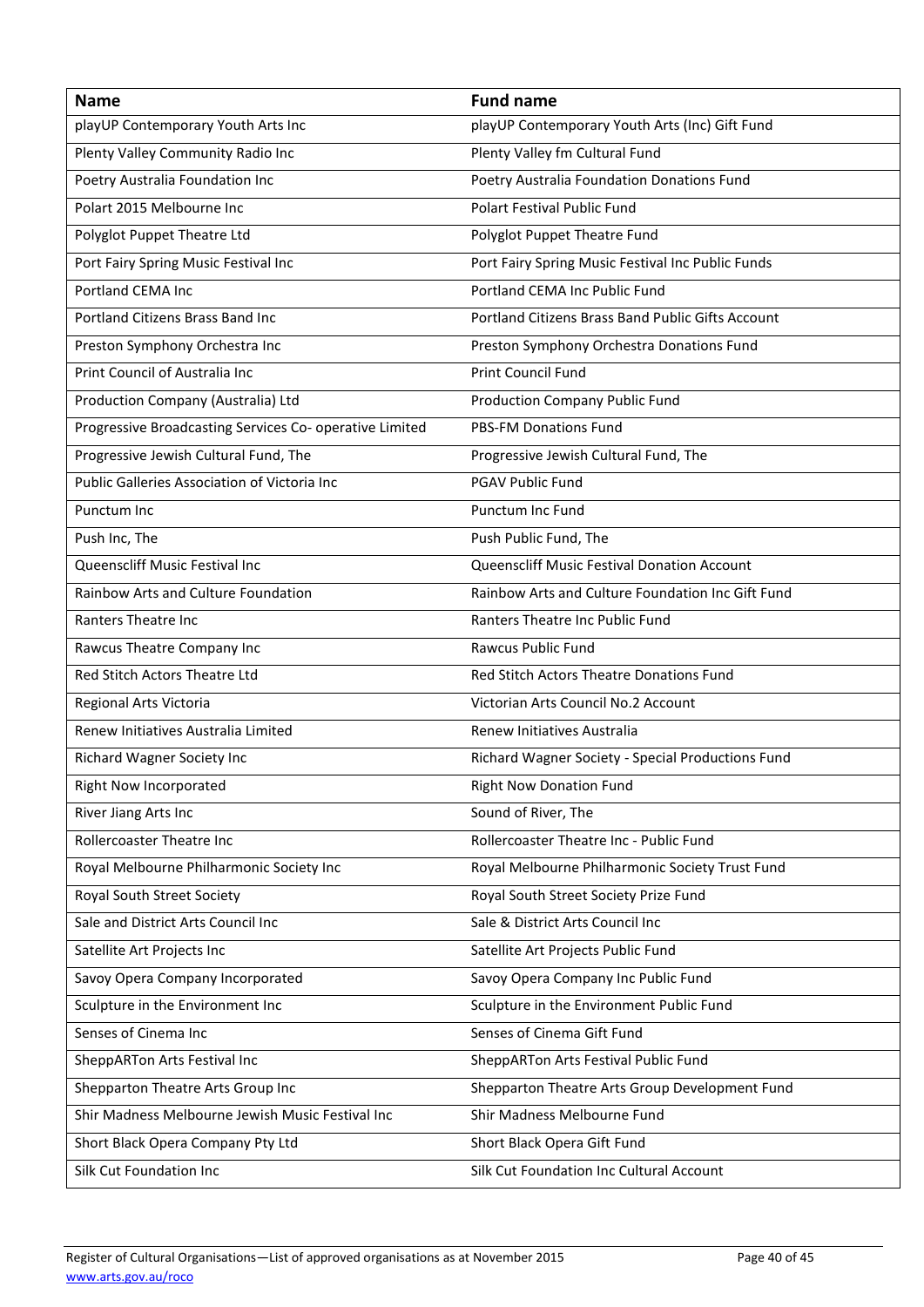| <b>Name</b>                                             | <b>Fund name</b>                                  |
|---------------------------------------------------------|---------------------------------------------------|
| playUP Contemporary Youth Arts Inc                      | playUP Contemporary Youth Arts (Inc) Gift Fund    |
| Plenty Valley Community Radio Inc                       | Plenty Valley fm Cultural Fund                    |
| Poetry Australia Foundation Inc                         | Poetry Australia Foundation Donations Fund        |
| Polart 2015 Melbourne Inc                               | Polart Festival Public Fund                       |
| Polyglot Puppet Theatre Ltd                             | Polyglot Puppet Theatre Fund                      |
| Port Fairy Spring Music Festival Inc                    | Port Fairy Spring Music Festival Inc Public Funds |
| Portland CEMA Inc.                                      | Portland CEMA Inc Public Fund                     |
| Portland Citizens Brass Band Inc                        | Portland Citizens Brass Band Public Gifts Account |
| Preston Symphony Orchestra Inc                          | Preston Symphony Orchestra Donations Fund         |
| Print Council of Australia Inc                          | <b>Print Council Fund</b>                         |
| Production Company (Australia) Ltd                      | Production Company Public Fund                    |
| Progressive Broadcasting Services Co- operative Limited | <b>PBS-FM Donations Fund</b>                      |
| Progressive Jewish Cultural Fund, The                   | Progressive Jewish Cultural Fund, The             |
| Public Galleries Association of Victoria Inc            | <b>PGAV Public Fund</b>                           |
| Punctum Inc                                             | <b>Punctum Inc Fund</b>                           |
| Push Inc, The                                           | Push Public Fund, The                             |
| Queenscliff Music Festival Inc                          | Queenscliff Music Festival Donation Account       |
| Rainbow Arts and Culture Foundation                     | Rainbow Arts and Culture Foundation Inc Gift Fund |
| <b>Ranters Theatre Inc</b>                              | Ranters Theatre Inc Public Fund                   |
| Rawcus Theatre Company Inc                              | Rawcus Public Fund                                |
| <b>Red Stitch Actors Theatre Ltd</b>                    | Red Stitch Actors Theatre Donations Fund          |
| Regional Arts Victoria                                  | Victorian Arts Council No.2 Account               |
| Renew Initiatives Australia Limited                     | Renew Initiatives Australia                       |
| Richard Wagner Society Inc                              | Richard Wagner Society - Special Productions Fund |
| Right Now Incorporated                                  | <b>Right Now Donation Fund</b>                    |
| River Jiang Arts Inc                                    | Sound of River, The                               |
| Rollercoaster Theatre Inc                               | Rollercoaster Theatre Inc - Public Fund           |
| Royal Melbourne Philharmonic Society Inc                | Royal Melbourne Philharmonic Society Trust Fund   |
| Royal South Street Society                              | Royal South Street Society Prize Fund             |
| Sale and District Arts Council Inc                      | Sale & District Arts Council Inc                  |
| Satellite Art Projects Inc                              | Satellite Art Projects Public Fund                |
| Savoy Opera Company Incorporated                        | Savoy Opera Company Inc Public Fund               |
| Sculpture in the Environment Inc                        | Sculpture in the Environment Public Fund          |
| Senses of Cinema Inc                                    | Senses of Cinema Gift Fund                        |
| SheppARTon Arts Festival Inc                            | SheppARTon Arts Festival Public Fund              |
| Shepparton Theatre Arts Group Inc                       | Shepparton Theatre Arts Group Development Fund    |
| Shir Madness Melbourne Jewish Music Festival Inc        | Shir Madness Melbourne Fund                       |
| Short Black Opera Company Pty Ltd                       | Short Black Opera Gift Fund                       |
| Silk Cut Foundation Inc                                 | Silk Cut Foundation Inc Cultural Account          |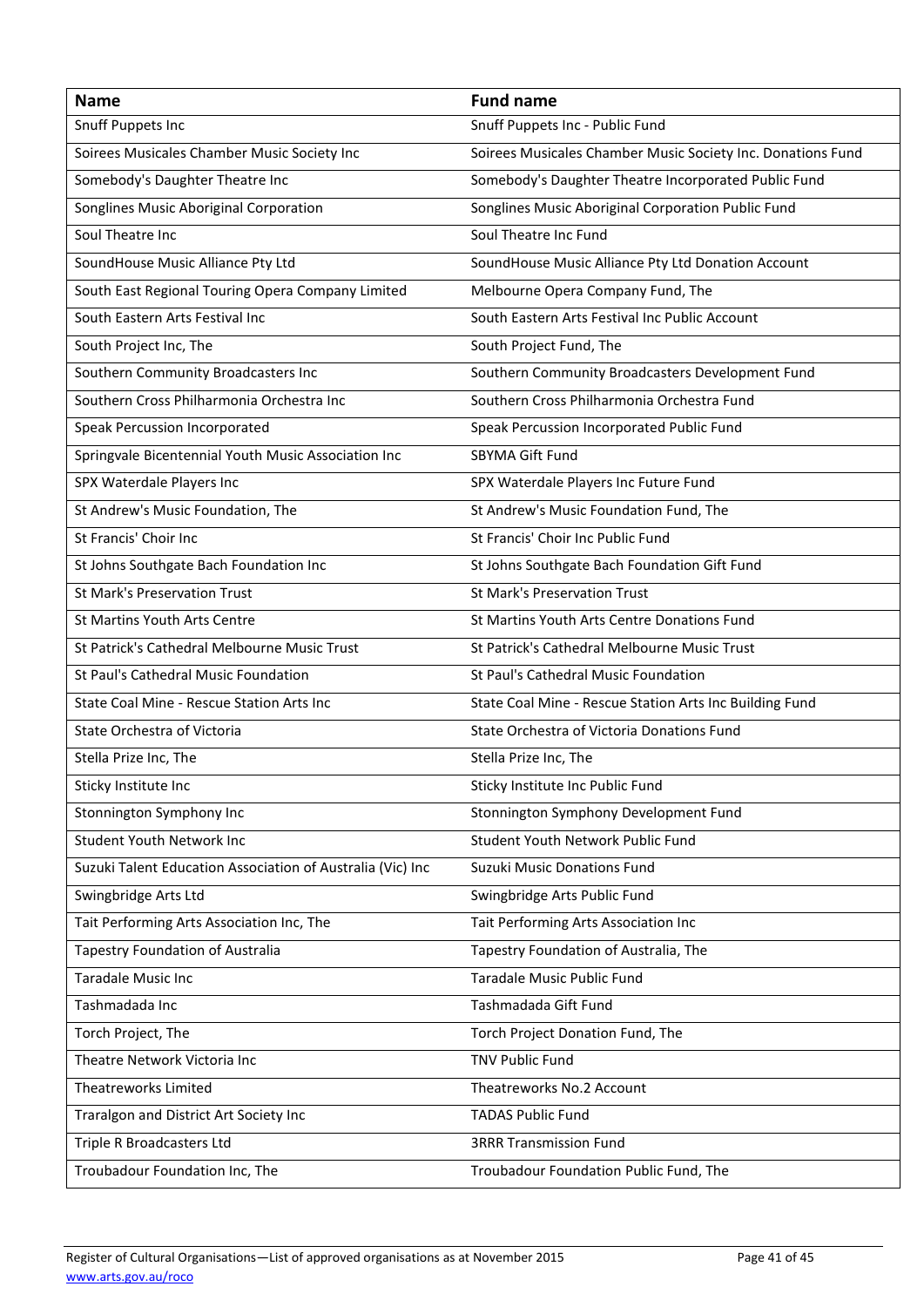| <b>Name</b>                                                | <b>Fund name</b>                                            |
|------------------------------------------------------------|-------------------------------------------------------------|
| Snuff Puppets Inc                                          | Snuff Puppets Inc - Public Fund                             |
| Soirees Musicales Chamber Music Society Inc                | Soirees Musicales Chamber Music Society Inc. Donations Fund |
| Somebody's Daughter Theatre Inc                            | Somebody's Daughter Theatre Incorporated Public Fund        |
| Songlines Music Aboriginal Corporation                     | Songlines Music Aboriginal Corporation Public Fund          |
| Soul Theatre Inc                                           | Soul Theatre Inc Fund                                       |
| SoundHouse Music Alliance Pty Ltd                          | SoundHouse Music Alliance Pty Ltd Donation Account          |
| South East Regional Touring Opera Company Limited          | Melbourne Opera Company Fund, The                           |
| South Eastern Arts Festival Inc                            | South Eastern Arts Festival Inc Public Account              |
| South Project Inc, The                                     | South Project Fund, The                                     |
| Southern Community Broadcasters Inc                        | Southern Community Broadcasters Development Fund            |
| Southern Cross Philharmonia Orchestra Inc                  | Southern Cross Philharmonia Orchestra Fund                  |
| Speak Percussion Incorporated                              | Speak Percussion Incorporated Public Fund                   |
| Springvale Bicentennial Youth Music Association Inc        | <b>SBYMA Gift Fund</b>                                      |
| SPX Waterdale Players Inc                                  | SPX Waterdale Players Inc Future Fund                       |
| St Andrew's Music Foundation, The                          | St Andrew's Music Foundation Fund, The                      |
| St Francis' Choir Inc                                      | St Francis' Choir Inc Public Fund                           |
| St Johns Southgate Bach Foundation Inc                     | St Johns Southgate Bach Foundation Gift Fund                |
| <b>St Mark's Preservation Trust</b>                        | <b>St Mark's Preservation Trust</b>                         |
| <b>St Martins Youth Arts Centre</b>                        | St Martins Youth Arts Centre Donations Fund                 |
| St Patrick's Cathedral Melbourne Music Trust               | St Patrick's Cathedral Melbourne Music Trust                |
| St Paul's Cathedral Music Foundation                       | St Paul's Cathedral Music Foundation                        |
| State Coal Mine - Rescue Station Arts Inc                  | State Coal Mine - Rescue Station Arts Inc Building Fund     |
| State Orchestra of Victoria                                | State Orchestra of Victoria Donations Fund                  |
| Stella Prize Inc, The                                      | Stella Prize Inc, The                                       |
| Sticky Institute Inc                                       | Sticky Institute Inc Public Fund                            |
| Stonnington Symphony Inc                                   | Stonnington Symphony Development Fund                       |
| Student Youth Network Inc                                  | Student Youth Network Public Fund                           |
| Suzuki Talent Education Association of Australia (Vic) Inc | <b>Suzuki Music Donations Fund</b>                          |
| Swingbridge Arts Ltd                                       | Swingbridge Arts Public Fund                                |
| Tait Performing Arts Association Inc, The                  | Tait Performing Arts Association Inc                        |
| <b>Tapestry Foundation of Australia</b>                    | Tapestry Foundation of Australia, The                       |
| Taradale Music Inc                                         | <b>Taradale Music Public Fund</b>                           |
| Tashmadada Inc                                             | Tashmadada Gift Fund                                        |
| Torch Project, The                                         | Torch Project Donation Fund, The                            |
| Theatre Network Victoria Inc                               | <b>TNV Public Fund</b>                                      |
| <b>Theatreworks Limited</b>                                | Theatreworks No.2 Account                                   |
| Traralgon and District Art Society Inc                     | <b>TADAS Public Fund</b>                                    |
| Triple R Broadcasters Ltd                                  | <b>3RRR Transmission Fund</b>                               |
| Troubadour Foundation Inc, The                             | Troubadour Foundation Public Fund, The                      |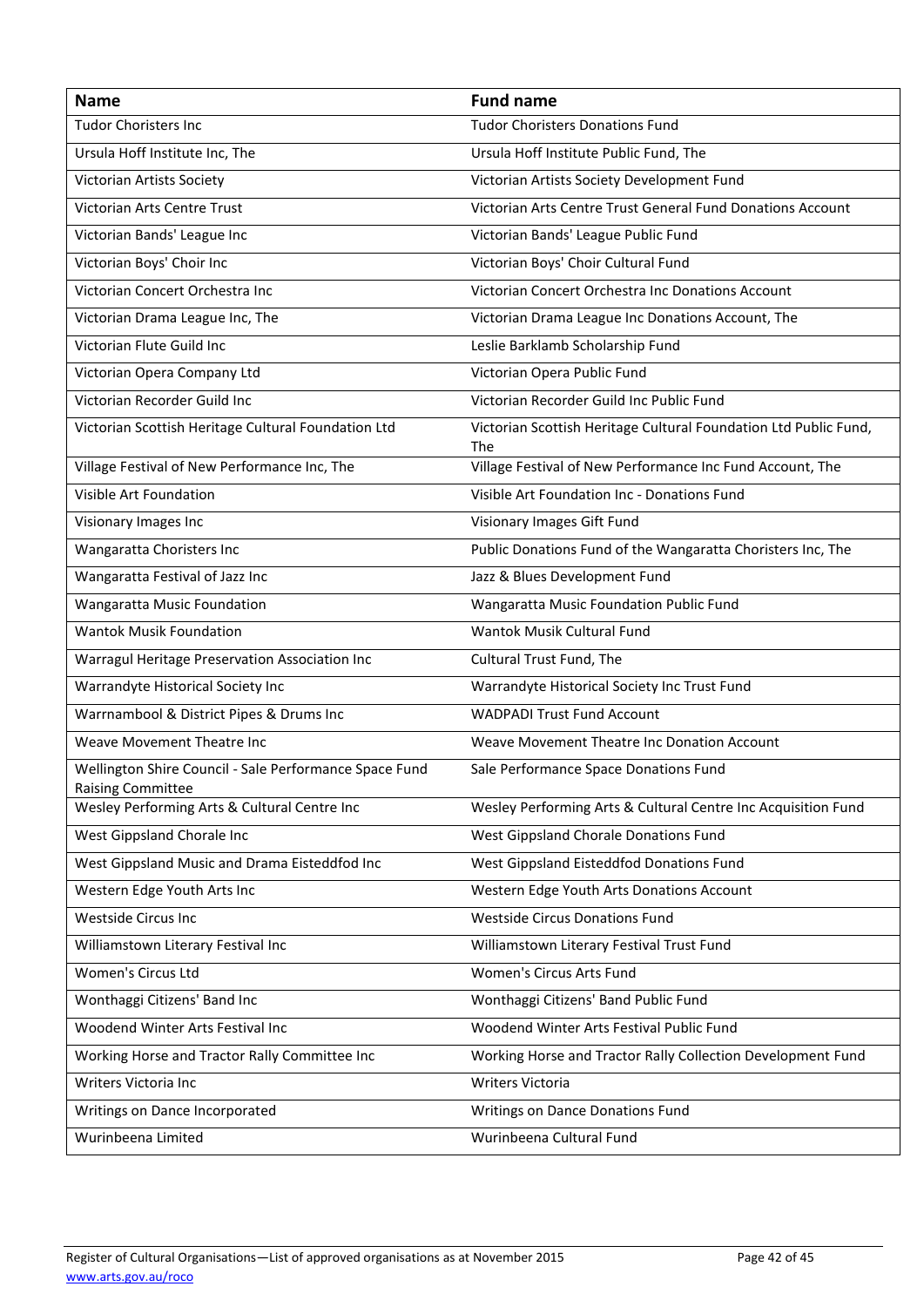| <b>Name</b>                                                                        | <b>Fund name</b>                                                        |
|------------------------------------------------------------------------------------|-------------------------------------------------------------------------|
| <b>Tudor Choristers Inc</b>                                                        | <b>Tudor Choristers Donations Fund</b>                                  |
| Ursula Hoff Institute Inc, The                                                     | Ursula Hoff Institute Public Fund, The                                  |
| Victorian Artists Society                                                          | Victorian Artists Society Development Fund                              |
| <b>Victorian Arts Centre Trust</b>                                                 | Victorian Arts Centre Trust General Fund Donations Account              |
| Victorian Bands' League Inc                                                        | Victorian Bands' League Public Fund                                     |
| Victorian Boys' Choir Inc                                                          | Victorian Boys' Choir Cultural Fund                                     |
| Victorian Concert Orchestra Inc                                                    | Victorian Concert Orchestra Inc Donations Account                       |
| Victorian Drama League Inc, The                                                    | Victorian Drama League Inc Donations Account, The                       |
| Victorian Flute Guild Inc                                                          | Leslie Barklamb Scholarship Fund                                        |
| Victorian Opera Company Ltd                                                        | Victorian Opera Public Fund                                             |
| Victorian Recorder Guild Inc                                                       | Victorian Recorder Guild Inc Public Fund                                |
| Victorian Scottish Heritage Cultural Foundation Ltd                                | Victorian Scottish Heritage Cultural Foundation Ltd Public Fund,<br>The |
| Village Festival of New Performance Inc, The                                       | Village Festival of New Performance Inc Fund Account, The               |
| Visible Art Foundation                                                             | Visible Art Foundation Inc - Donations Fund                             |
| Visionary Images Inc                                                               | Visionary Images Gift Fund                                              |
| Wangaratta Choristers Inc                                                          | Public Donations Fund of the Wangaratta Choristers Inc, The             |
| Wangaratta Festival of Jazz Inc                                                    | Jazz & Blues Development Fund                                           |
| Wangaratta Music Foundation                                                        | Wangaratta Music Foundation Public Fund                                 |
| <b>Wantok Musik Foundation</b>                                                     | Wantok Musik Cultural Fund                                              |
| Warragul Heritage Preservation Association Inc                                     | Cultural Trust Fund, The                                                |
| Warrandyte Historical Society Inc                                                  | Warrandyte Historical Society Inc Trust Fund                            |
| Warrnambool & District Pipes & Drums Inc                                           | <b>WADPADI Trust Fund Account</b>                                       |
| Weave Movement Theatre Inc                                                         | Weave Movement Theatre Inc Donation Account                             |
| Wellington Shire Council - Sale Performance Space Fund<br><b>Raising Committee</b> | Sale Performance Space Donations Fund                                   |
| Wesley Performing Arts & Cultural Centre Inc                                       | Wesley Performing Arts & Cultural Centre Inc Acquisition Fund           |
| West Gippsland Chorale Inc                                                         | West Gippsland Chorale Donations Fund                                   |
| West Gippsland Music and Drama Eisteddfod Inc                                      | West Gippsland Eisteddfod Donations Fund                                |
| Western Edge Youth Arts Inc                                                        | Western Edge Youth Arts Donations Account                               |
| <b>Westside Circus Inc</b>                                                         | <b>Westside Circus Donations Fund</b>                                   |
| Williamstown Literary Festival Inc                                                 | Williamstown Literary Festival Trust Fund                               |
| Women's Circus Ltd                                                                 | Women's Circus Arts Fund                                                |
| Wonthaggi Citizens' Band Inc                                                       | Wonthaggi Citizens' Band Public Fund                                    |
| Woodend Winter Arts Festival Inc                                                   | Woodend Winter Arts Festival Public Fund                                |
| Working Horse and Tractor Rally Committee Inc                                      | Working Horse and Tractor Rally Collection Development Fund             |
| Writers Victoria Inc                                                               | Writers Victoria                                                        |
| Writings on Dance Incorporated                                                     | <b>Writings on Dance Donations Fund</b>                                 |
| Wurinbeena Limited                                                                 | Wurinbeena Cultural Fund                                                |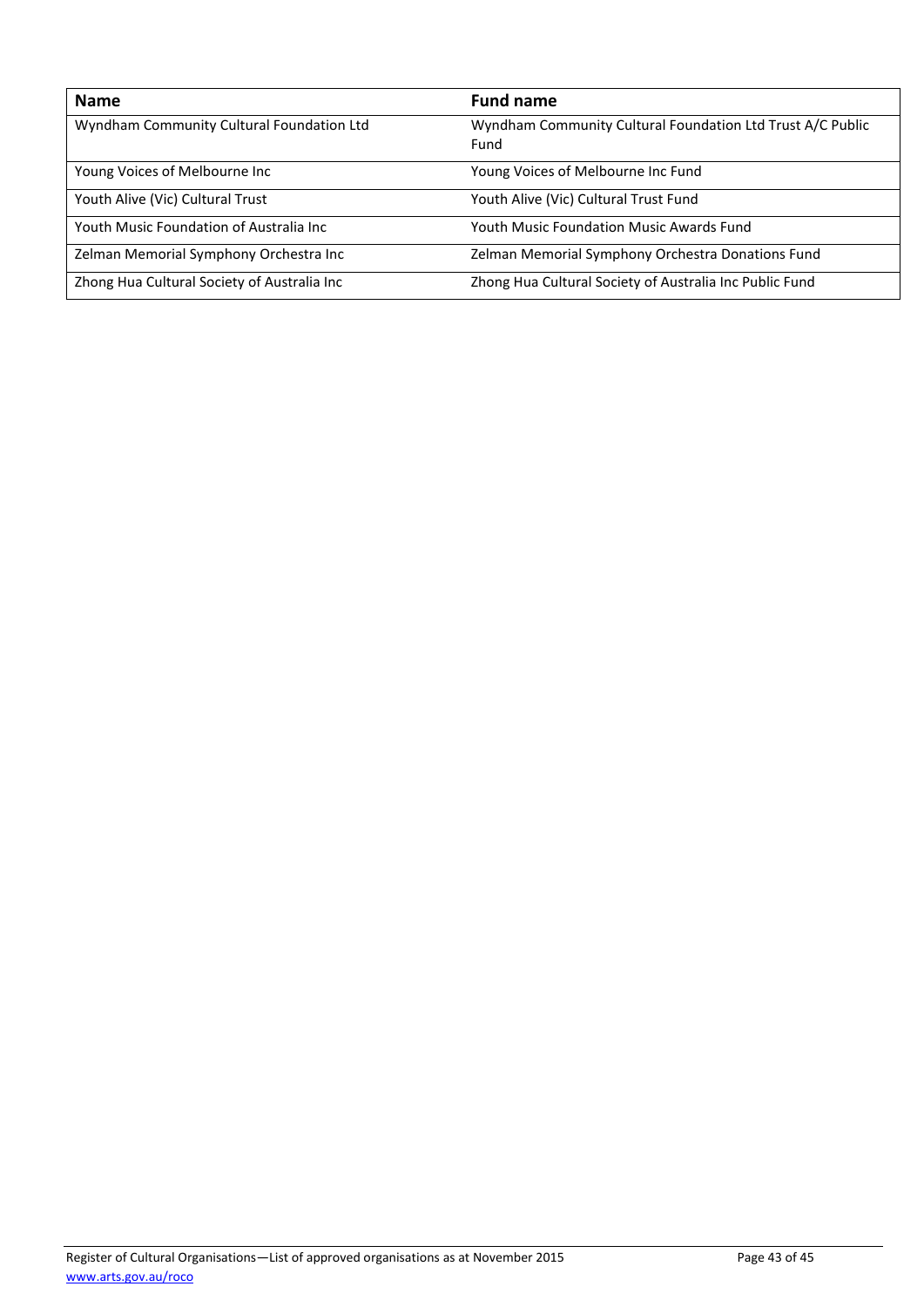| <b>Name</b>                                 | <b>Fund name</b>                                                   |
|---------------------------------------------|--------------------------------------------------------------------|
| Wyndham Community Cultural Foundation Ltd   | Wyndham Community Cultural Foundation Ltd Trust A/C Public<br>Fund |
| Young Voices of Melbourne Inc               | Young Voices of Melbourne Inc Fund                                 |
| Youth Alive (Vic) Cultural Trust            | Youth Alive (Vic) Cultural Trust Fund                              |
| Youth Music Foundation of Australia Inc     | <b>Youth Music Foundation Music Awards Fund</b>                    |
| Zelman Memorial Symphony Orchestra Inc      | Zelman Memorial Symphony Orchestra Donations Fund                  |
| Zhong Hua Cultural Society of Australia Inc | Zhong Hua Cultural Society of Australia Inc Public Fund            |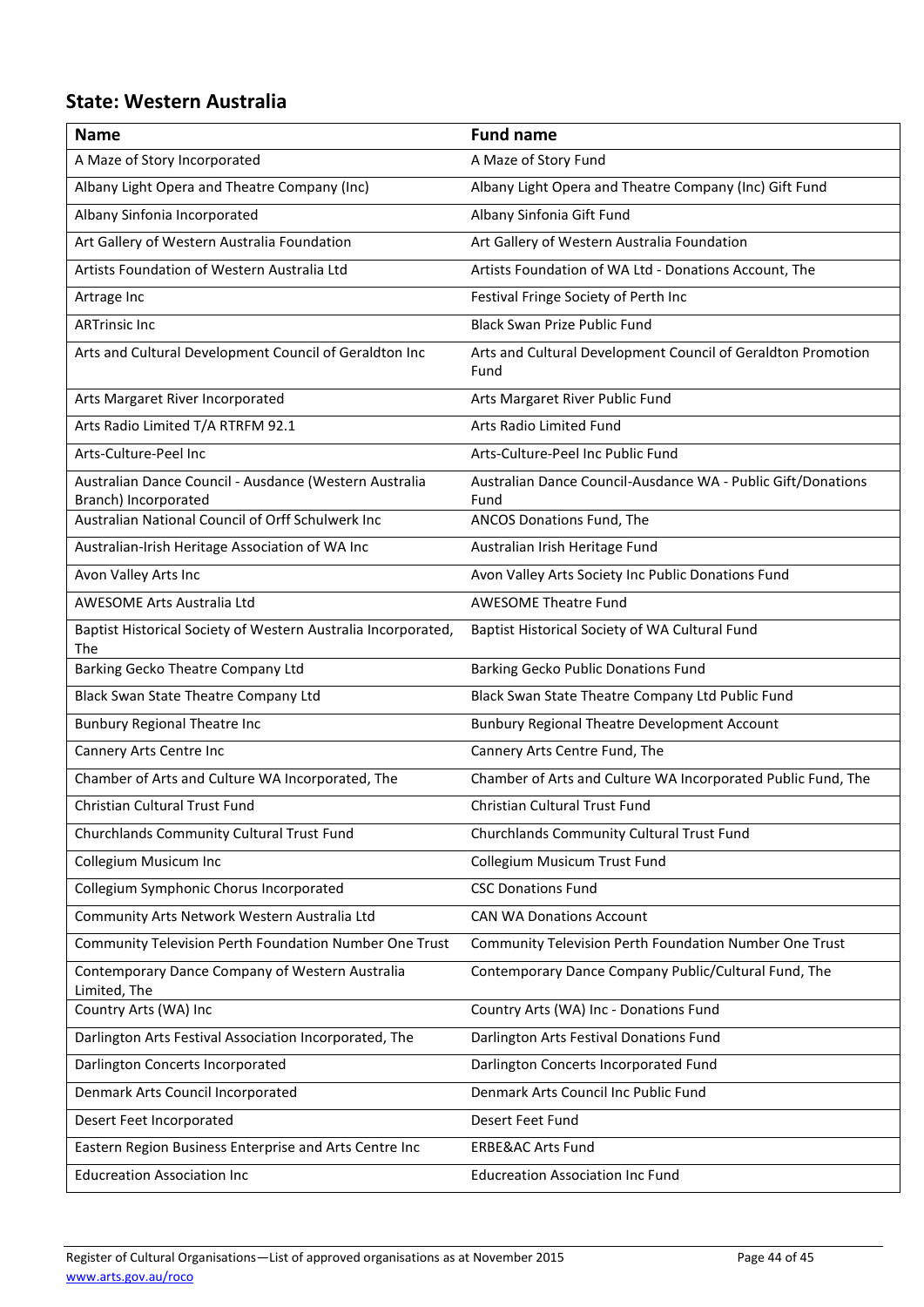#### **State: Western Australia**

| <b>Name</b>                                                                    | <b>Fund name</b>                                                     |
|--------------------------------------------------------------------------------|----------------------------------------------------------------------|
| A Maze of Story Incorporated                                                   | A Maze of Story Fund                                                 |
| Albany Light Opera and Theatre Company (Inc)                                   | Albany Light Opera and Theatre Company (Inc) Gift Fund               |
| Albany Sinfonia Incorporated                                                   | Albany Sinfonia Gift Fund                                            |
| Art Gallery of Western Australia Foundation                                    | Art Gallery of Western Australia Foundation                          |
| Artists Foundation of Western Australia Ltd                                    | Artists Foundation of WA Ltd - Donations Account, The                |
| Artrage Inc                                                                    | Festival Fringe Society of Perth Inc                                 |
| <b>ARTrinsic Inc</b>                                                           | <b>Black Swan Prize Public Fund</b>                                  |
| Arts and Cultural Development Council of Geraldton Inc                         | Arts and Cultural Development Council of Geraldton Promotion<br>Fund |
| Arts Margaret River Incorporated                                               | Arts Margaret River Public Fund                                      |
| Arts Radio Limited T/A RTRFM 92.1                                              | Arts Radio Limited Fund                                              |
| Arts-Culture-Peel Inc                                                          | Arts-Culture-Peel Inc Public Fund                                    |
| Australian Dance Council - Ausdance (Western Australia<br>Branch) Incorporated | Australian Dance Council-Ausdance WA - Public Gift/Donations<br>Fund |
| Australian National Council of Orff Schulwerk Inc                              | ANCOS Donations Fund, The                                            |
| Australian-Irish Heritage Association of WA Inc                                | Australian Irish Heritage Fund                                       |
| Avon Valley Arts Inc                                                           | Avon Valley Arts Society Inc Public Donations Fund                   |
| AWESOME Arts Australia Ltd                                                     | <b>AWESOME Theatre Fund</b>                                          |
| Baptist Historical Society of Western Australia Incorporated,<br>The           | Baptist Historical Society of WA Cultural Fund                       |
| Barking Gecko Theatre Company Ltd                                              | <b>Barking Gecko Public Donations Fund</b>                           |
| Black Swan State Theatre Company Ltd                                           | Black Swan State Theatre Company Ltd Public Fund                     |
| <b>Bunbury Regional Theatre Inc</b>                                            | <b>Bunbury Regional Theatre Development Account</b>                  |
| Cannery Arts Centre Inc                                                        | Cannery Arts Centre Fund, The                                        |
| Chamber of Arts and Culture WA Incorporated, The                               | Chamber of Arts and Culture WA Incorporated Public Fund, The         |
| Christian Cultural Trust Fund                                                  | Christian Cultural Trust Fund                                        |
| Churchlands Community Cultural Trust Fund                                      | Churchlands Community Cultural Trust Fund                            |
| Collegium Musicum Inc                                                          | Collegium Musicum Trust Fund                                         |
| Collegium Symphonic Chorus Incorporated                                        | <b>CSC Donations Fund</b>                                            |
| Community Arts Network Western Australia Ltd                                   | <b>CAN WA Donations Account</b>                                      |
| Community Television Perth Foundation Number One Trust                         | Community Television Perth Foundation Number One Trust               |
| Contemporary Dance Company of Western Australia<br>Limited, The                | Contemporary Dance Company Public/Cultural Fund, The                 |
| Country Arts (WA) Inc                                                          | Country Arts (WA) Inc - Donations Fund                               |
| Darlington Arts Festival Association Incorporated, The                         | Darlington Arts Festival Donations Fund                              |
| Darlington Concerts Incorporated                                               | Darlington Concerts Incorporated Fund                                |
| Denmark Arts Council Incorporated                                              | Denmark Arts Council Inc Public Fund                                 |
| Desert Feet Incorporated                                                       | Desert Feet Fund                                                     |
| Eastern Region Business Enterprise and Arts Centre Inc                         | <b>ERBE&amp;AC Arts Fund</b>                                         |
| <b>Educreation Association Inc</b>                                             | <b>Educreation Association Inc Fund</b>                              |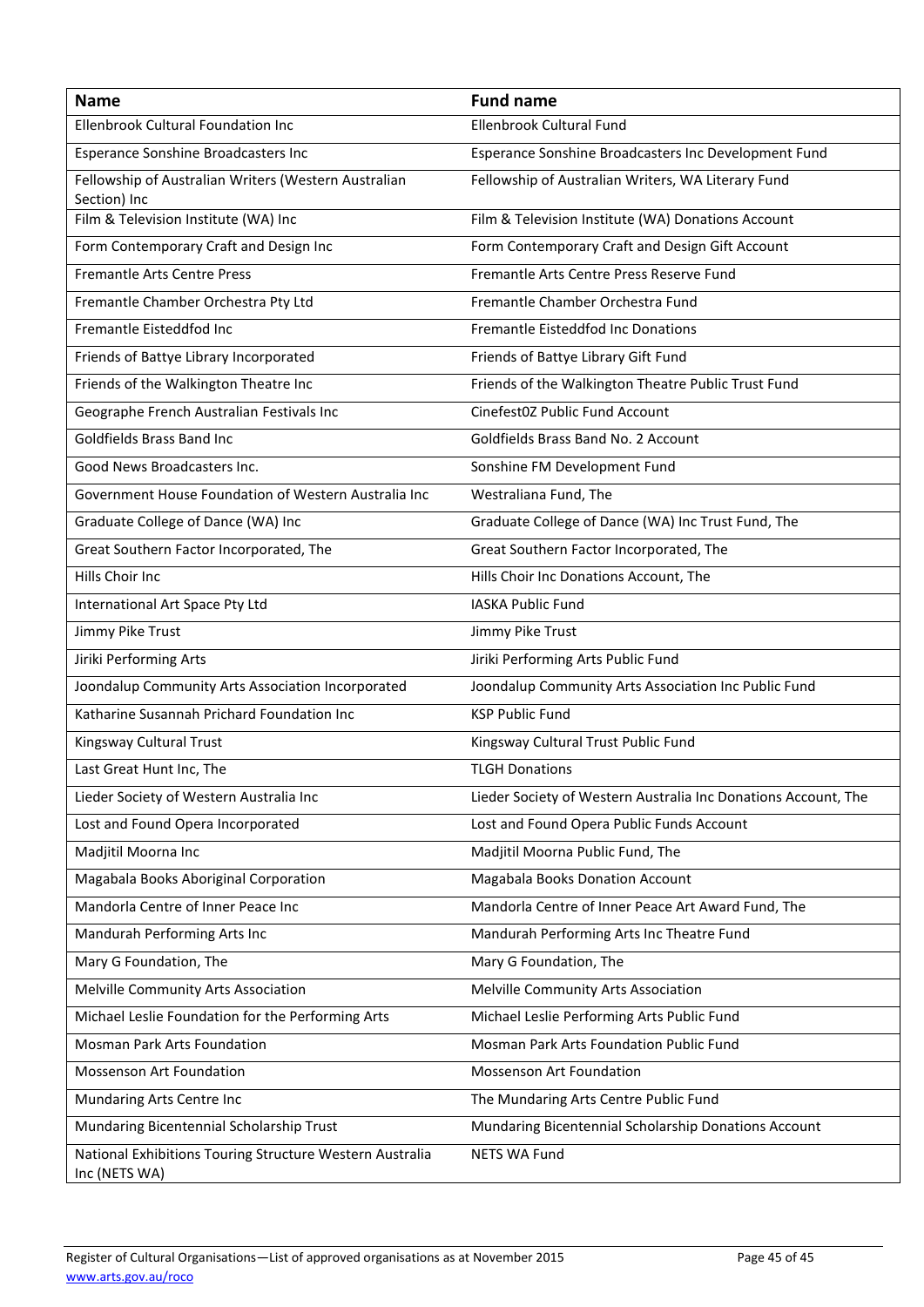| <b>Name</b>                                                               | <b>Fund name</b>                                               |
|---------------------------------------------------------------------------|----------------------------------------------------------------|
| <b>Ellenbrook Cultural Foundation Inc</b>                                 | Ellenbrook Cultural Fund                                       |
| Esperance Sonshine Broadcasters Inc                                       | Esperance Sonshine Broadcasters Inc Development Fund           |
| Fellowship of Australian Writers (Western Australian<br>Section) Inc      | Fellowship of Australian Writers, WA Literary Fund             |
| Film & Television Institute (WA) Inc                                      | Film & Television Institute (WA) Donations Account             |
| Form Contemporary Craft and Design Inc                                    | Form Contemporary Craft and Design Gift Account                |
| <b>Fremantle Arts Centre Press</b>                                        | Fremantle Arts Centre Press Reserve Fund                       |
| Fremantle Chamber Orchestra Pty Ltd                                       | Fremantle Chamber Orchestra Fund                               |
| Fremantle Eisteddfod Inc                                                  | Fremantle Eisteddfod Inc Donations                             |
| Friends of Battye Library Incorporated                                    | Friends of Battye Library Gift Fund                            |
| Friends of the Walkington Theatre Inc                                     | Friends of the Walkington Theatre Public Trust Fund            |
| Geographe French Australian Festivals Inc                                 | Cinefest0Z Public Fund Account                                 |
| Goldfields Brass Band Inc                                                 | Goldfields Brass Band No. 2 Account                            |
| Good News Broadcasters Inc.                                               | Sonshine FM Development Fund                                   |
| Government House Foundation of Western Australia Inc                      | Westraliana Fund, The                                          |
| Graduate College of Dance (WA) Inc                                        | Graduate College of Dance (WA) Inc Trust Fund, The             |
| Great Southern Factor Incorporated, The                                   | Great Southern Factor Incorporated, The                        |
| Hills Choir Inc                                                           | Hills Choir Inc Donations Account, The                         |
| International Art Space Pty Ltd                                           | <b>IASKA Public Fund</b>                                       |
| Jimmy Pike Trust                                                          | Jimmy Pike Trust                                               |
| Jiriki Performing Arts                                                    | Jiriki Performing Arts Public Fund                             |
| Joondalup Community Arts Association Incorporated                         | Joondalup Community Arts Association Inc Public Fund           |
| Katharine Susannah Prichard Foundation Inc                                | <b>KSP Public Fund</b>                                         |
| Kingsway Cultural Trust                                                   | Kingsway Cultural Trust Public Fund                            |
| Last Great Hunt Inc, The                                                  | <b>TLGH Donations</b>                                          |
| Lieder Society of Western Australia Inc                                   | Lieder Society of Western Australia Inc Donations Account, The |
| Lost and Found Opera Incorporated                                         | Lost and Found Opera Public Funds Account                      |
| Madjitil Moorna Inc                                                       | Madjitil Moorna Public Fund, The                               |
| Magabala Books Aboriginal Corporation                                     | Magabala Books Donation Account                                |
| Mandorla Centre of Inner Peace Inc                                        | Mandorla Centre of Inner Peace Art Award Fund, The             |
| Mandurah Performing Arts Inc                                              | Mandurah Performing Arts Inc Theatre Fund                      |
| Mary G Foundation, The                                                    | Mary G Foundation, The                                         |
| Melville Community Arts Association                                       | Melville Community Arts Association                            |
| Michael Leslie Foundation for the Performing Arts                         | Michael Leslie Performing Arts Public Fund                     |
| Mosman Park Arts Foundation                                               | Mosman Park Arts Foundation Public Fund                        |
| Mossenson Art Foundation                                                  | Mossenson Art Foundation                                       |
| Mundaring Arts Centre Inc                                                 | The Mundaring Arts Centre Public Fund                          |
| Mundaring Bicentennial Scholarship Trust                                  | Mundaring Bicentennial Scholarship Donations Account           |
| National Exhibitions Touring Structure Western Australia<br>Inc (NETS WA) | <b>NETS WA Fund</b>                                            |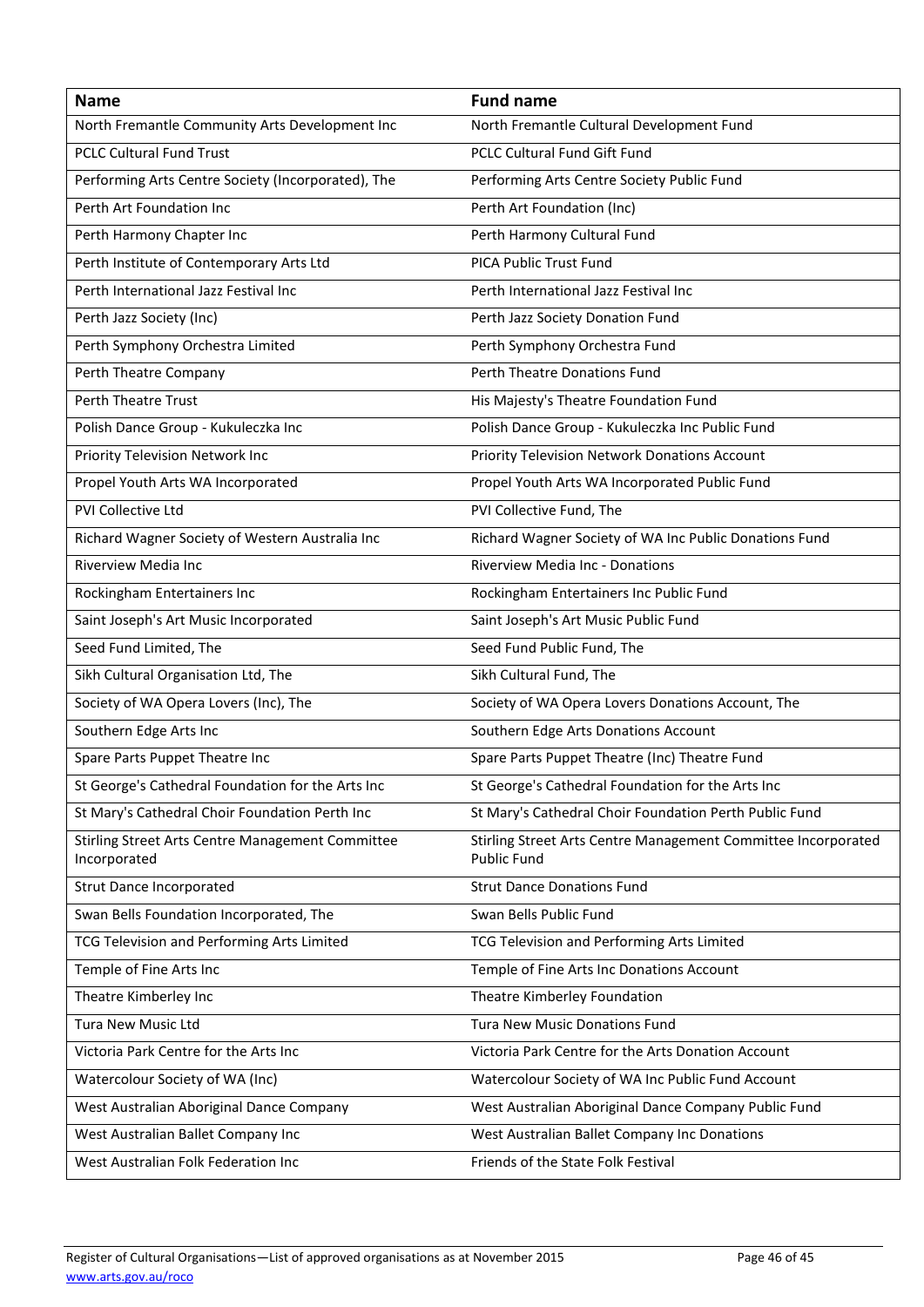| <b>Name</b>                                                      | <b>Fund name</b>                                                                    |
|------------------------------------------------------------------|-------------------------------------------------------------------------------------|
| North Fremantle Community Arts Development Inc                   | North Fremantle Cultural Development Fund                                           |
| <b>PCLC Cultural Fund Trust</b>                                  | PCLC Cultural Fund Gift Fund                                                        |
| Performing Arts Centre Society (Incorporated), The               | Performing Arts Centre Society Public Fund                                          |
| Perth Art Foundation Inc                                         | Perth Art Foundation (Inc)                                                          |
| Perth Harmony Chapter Inc                                        | Perth Harmony Cultural Fund                                                         |
| Perth Institute of Contemporary Arts Ltd                         | PICA Public Trust Fund                                                              |
| Perth International Jazz Festival Inc                            | Perth International Jazz Festival Inc                                               |
| Perth Jazz Society (Inc)                                         | Perth Jazz Society Donation Fund                                                    |
| Perth Symphony Orchestra Limited                                 | Perth Symphony Orchestra Fund                                                       |
| Perth Theatre Company                                            | Perth Theatre Donations Fund                                                        |
| <b>Perth Theatre Trust</b>                                       | His Majesty's Theatre Foundation Fund                                               |
| Polish Dance Group - Kukuleczka Inc                              | Polish Dance Group - Kukuleczka Inc Public Fund                                     |
| Priority Television Network Inc                                  | Priority Television Network Donations Account                                       |
| Propel Youth Arts WA Incorporated                                | Propel Youth Arts WA Incorporated Public Fund                                       |
| PVI Collective Ltd                                               | PVI Collective Fund, The                                                            |
| Richard Wagner Society of Western Australia Inc                  | Richard Wagner Society of WA Inc Public Donations Fund                              |
| Riverview Media Inc                                              | Riverview Media Inc - Donations                                                     |
| Rockingham Entertainers Inc                                      | Rockingham Entertainers Inc Public Fund                                             |
| Saint Joseph's Art Music Incorporated                            | Saint Joseph's Art Music Public Fund                                                |
| Seed Fund Limited, The                                           | Seed Fund Public Fund, The                                                          |
| Sikh Cultural Organisation Ltd, The                              | Sikh Cultural Fund, The                                                             |
| Society of WA Opera Lovers (Inc), The                            | Society of WA Opera Lovers Donations Account, The                                   |
| Southern Edge Arts Inc                                           | Southern Edge Arts Donations Account                                                |
| Spare Parts Puppet Theatre Inc                                   | Spare Parts Puppet Theatre (Inc) Theatre Fund                                       |
| St George's Cathedral Foundation for the Arts Inc                | St George's Cathedral Foundation for the Arts Inc                                   |
| St Mary's Cathedral Choir Foundation Perth Inc                   | St Mary's Cathedral Choir Foundation Perth Public Fund                              |
| Stirling Street Arts Centre Management Committee<br>Incorporated | Stirling Street Arts Centre Management Committee Incorporated<br><b>Public Fund</b> |
| <b>Strut Dance Incorporated</b>                                  | <b>Strut Dance Donations Fund</b>                                                   |
| Swan Bells Foundation Incorporated, The                          | Swan Bells Public Fund                                                              |
| TCG Television and Performing Arts Limited                       | TCG Television and Performing Arts Limited                                          |
| Temple of Fine Arts Inc                                          | Temple of Fine Arts Inc Donations Account                                           |
| Theatre Kimberley Inc                                            | Theatre Kimberley Foundation                                                        |
| Tura New Music Ltd                                               | <b>Tura New Music Donations Fund</b>                                                |
| Victoria Park Centre for the Arts Inc                            | Victoria Park Centre for the Arts Donation Account                                  |
| Watercolour Society of WA (Inc)                                  | Watercolour Society of WA Inc Public Fund Account                                   |
| West Australian Aboriginal Dance Company                         | West Australian Aboriginal Dance Company Public Fund                                |
| West Australian Ballet Company Inc                               | West Australian Ballet Company Inc Donations                                        |
| West Australian Folk Federation Inc                              | Friends of the State Folk Festival                                                  |